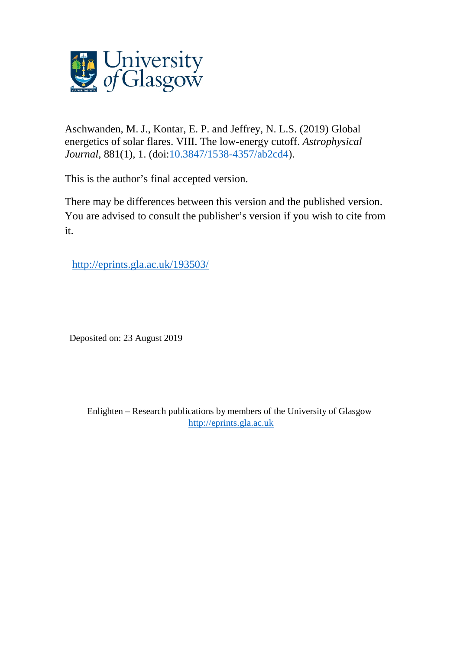

Aschwanden, M. J., Kontar, E. P. and Jeffrey, N. L.S. (2019) Global energetics of solar flares. VIII. The low-energy cutoff. *Astrophysical Journal*, 881(1), 1. (doi[:10.3847/1538-4357/ab2cd4\)](http://dx.doi.org/10.3847/1538-4357/ab2cd4).

This is the author's final accepted version.

There may be differences between this version and the published version. You are advised to consult the publisher's version if you wish to cite from it.

[http://eprints.gla.ac.uk/193503/](http://eprints.gla.ac.uk/193499/) 

Deposited on: 23 August 2019

Enlighten – Research publications by members of the University of Glasgow [http://eprints.gla.ac.uk](http://eprints.gla.ac.uk/)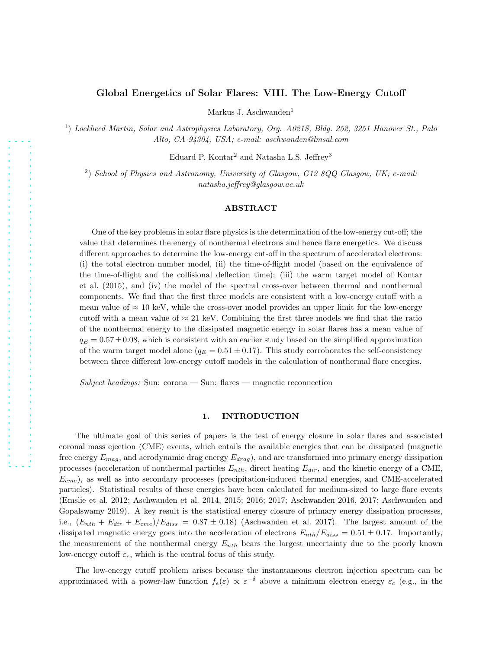# Global Energetics of Solar Flares: VIII. The Low-Energy Cutoff

Markus J. Aschwanden<sup>1</sup>

<sup>1</sup>) Lockheed Martin, Solar and Astrophysics Laboratory, Org. A021S, Bldg. 252, 3251 Hanover St., Palo Alto, CA 94304, USA; e-mail: aschwanden@lmsal.com

Eduard P. Kontar<sup>2</sup> and Natasha L.S. Jeffrey<sup>3</sup>

2 ) School of Physics and Astronomy, University of Glasgow, G12 8QQ Glasgow, UK; e-mail: natasha.jeffrey@glasgow.ac.uk

# ABSTRACT

One of the key problems in solar flare physics is the determination of the low-energy cut-off; the value that determines the energy of nonthermal electrons and hence flare energetics. We discuss different approaches to determine the low-energy cut-off in the spectrum of accelerated electrons: (i) the total electron number model, (ii) the time-of-flight model (based on the equivalence of the time-of-flight and the collisional deflection time); (iii) the warm target model of Kontar et al. (2015), and (iv) the model of the spectral cross-over between thermal and nonthermal components. We find that the first three models are consistent with a low-energy cutoff with a mean value of  $\approx 10$  keV, while the cross-over model provides an upper limit for the low-energy cutoff with a mean value of  $\approx 21$  keV. Combining the first three models we find that the ratio of the nonthermal energy to the dissipated magnetic energy in solar flares has a mean value of  $q_E = 0.57 \pm 0.08$ , which is consistent with an earlier study based on the simplified approximation of the warm target model alone  $(q_E = 0.51 \pm 0.17)$ . This study corroborates the self-consistency between three different low-energy cutoff models in the calculation of nonthermal flare energies.

Subject headings: Sun: corona — Sun: flares — magnetic reconnection

# 1. INTRODUCTION

The ultimate goal of this series of papers is the test of energy closure in solar flares and associated coronal mass ejection (CME) events, which entails the available energies that can be dissipated (magnetic free energy  $E_{mag}$ , and aerodynamic drag energy  $E_{drag}$ , and are transformed into primary energy dissipation processes (acceleration of nonthermal particles  $E_{nth}$ , direct heating  $E_{dir}$ , and the kinetic energy of a CME,  $E_{cme}$ ), as well as into secondary processes (precipitation-induced thermal energies, and CME-accelerated particles). Statistical results of these energies have been calculated for medium-sized to large flare events (Emslie et al. 2012; Aschwanden et al. 2014, 2015; 2016; 2017; Aschwanden 2016, 2017; Aschwanden and Gopalswamy 2019). A key result is the statistical energy closure of primary energy dissipation processes, i.e.,  $(E_{nth} + E_{dir} + E_{cme})/E_{diss} = 0.87 \pm 0.18)$  (Aschwanden et al. 2017). The largest amount of the dissipated magnetic energy goes into the acceleration of electrons  $E_{nth}/E_{diss} = 0.51 \pm 0.17$ . Importantly, the measurement of the nonthermal energy  $E_{nth}$  bears the largest uncertainty due to the poorly known low-energy cutoff  $\varepsilon_c$ , which is the central focus of this study.

The low-energy cutoff problem arises because the instantaneous electron injection spectrum can be approximated with a power-law function  $f_e(\varepsilon) \propto \varepsilon^{-\delta}$  above a minimum electron energy  $\varepsilon_c$  (e.g., in the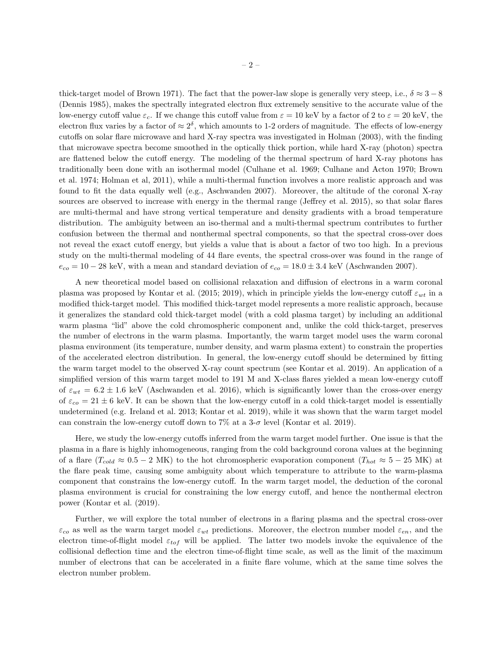thick-target model of Brown 1971). The fact that the power-law slope is generally very steep, i.e.,  $\delta \approx 3-8$ (Dennis 1985), makes the spectrally integrated electron flux extremely sensitive to the accurate value of the low-energy cutoff value  $\varepsilon_c$ . If we change this cutoff value from  $\varepsilon = 10$  keV by a factor of 2 to  $\varepsilon = 20$  keV, the electron flux varies by a factor of  $\approx 2^{\delta}$ , which amounts to 1-2 orders of magnitude. The effects of low-energy cutoffs on solar flare microwave and hard X-ray spectra was investigated in Holman (2003), with the finding that microwave spectra become smoothed in the optically thick portion, while hard X-ray (photon) spectra are flattened below the cutoff energy. The modeling of the thermal spectrum of hard X-ray photons has traditionally been done with an isothermal model (Culhane et al. 1969; Culhane and Acton 1970; Brown et al. 1974; Holman et al, 2011), while a multi-thermal function involves a more realistic approach and was found to fit the data equally well (e.g., Aschwanden 2007). Moreover, the altitude of the coronal X-ray sources are observed to increase with energy in the thermal range (Jeffrey et al. 2015), so that solar flares are multi-thermal and have strong vertical temperature and density gradients with a broad temperature distribution. The ambiguity between an iso-thermal and a multi-thermal spectrum contributes to further confusion between the thermal and nonthermal spectral components, so that the spectral cross-over does not reveal the exact cutoff energy, but yields a value that is about a factor of two too high. In a previous study on the multi-thermal modeling of 44 flare events, the spectral cross-over was found in the range of  $e_{co} = 10 - 28$  keV, with a mean and standard deviation of  $e_{co} = 18.0 \pm 3.4$  keV (Aschwanden 2007).

A new theoretical model based on collisional relaxation and diffusion of electrons in a warm coronal plasma was proposed by Kontar et al. (2015; 2019), which in principle yields the low-energy cutoff  $\varepsilon_{wt}$  in a modified thick-target model. This modified thick-target model represents a more realistic approach, because it generalizes the standard cold thick-target model (with a cold plasma target) by including an additional warm plasma "lid" above the cold chromospheric component and, unlike the cold thick-target, preserves the number of electrons in the warm plasma. Importantly, the warm target model uses the warm coronal plasma environment (its temperature, number density, and warm plasma extent) to constrain the properties of the accelerated electron distribution. In general, the low-energy cutoff should be determined by fitting the warm target model to the observed X-ray count spectrum (see Kontar et al. 2019). An application of a simplified version of this warm target model to 191 M and X-class flares yielded a mean low-energy cutoff of  $\varepsilon_{wt} = 6.2 \pm 1.6$  keV (Aschwanden et al. 2016), which is significantly lower than the cross-over energy of  $\varepsilon_{co} = 21 \pm 6$  keV. It can be shown that the low-energy cutoff in a cold thick-target model is essentially undetermined (e.g. Ireland et al. 2013; Kontar et al. 2019), while it was shown that the warm target model can constrain the low-energy cutoff down to 7% at a  $3-\sigma$  level (Kontar et al. 2019).

Here, we study the low-energy cutoffs inferred from the warm target model further. One issue is that the plasma in a flare is highly inhomogeneous, ranging from the cold background corona values at the beginning of a flare  $(T_{cold} \approx 0.5 - 2 \text{ MK})$  to the hot chromospheric evaporation component  $(T_{hot} \approx 5 - 25 \text{ MK})$  at the flare peak time, causing some ambiguity about which temperature to attribute to the warm-plasma component that constrains the low-energy cutoff. In the warm target model, the deduction of the coronal plasma environment is crucial for constraining the low energy cutoff, and hence the nonthermal electron power (Kontar et al. (2019).

Further, we will explore the total number of electrons in a flaring plasma and the spectral cross-over  $\varepsilon_{co}$  as well as the warm target model  $\varepsilon_{wt}$  predictions. Moreover, the electron number model  $\varepsilon_{en}$ , and the electron time-of-flight model  $\varepsilon_{tof}$  will be applied. The latter two models invoke the equivalence of the collisional deflection time and the electron time-of-flight time scale, as well as the limit of the maximum number of electrons that can be accelerated in a finite flare volume, which at the same time solves the electron number problem.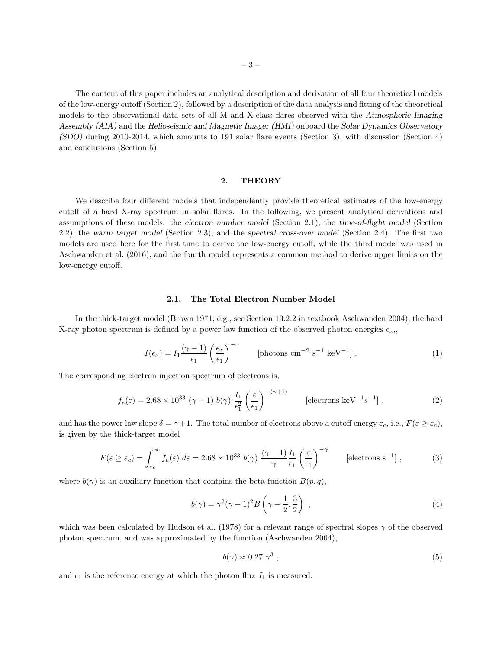The content of this paper includes an analytical description and derivation of all four theoretical models of the low-energy cutoff (Section 2), followed by a description of the data analysis and fitting of the theoretical models to the observational data sets of all M and X-class flares observed with the Atmospheric Imaging Assembly (AIA) and the Helioseismic and Magnetic Imager (HMI) onboard the Solar Dynamics Observatory (SDO) during 2010-2014, which amounts to 191 solar flare events (Section 3), with discussion (Section 4) and conclusions (Section 5).

# 2. THEORY

We describe four different models that independently provide theoretical estimates of the low-energy cutoff of a hard X-ray spectrum in solar flares. In the following, we present analytical derivations and assumptions of these models: the electron number model (Section 2.1), the time-of-flight model (Section 2.2), the warm target model (Section 2.3), and the spectral cross-over model (Section 2.4). The first two models are used here for the first time to derive the low-energy cutoff, while the third model was used in Aschwanden et al. (2016), and the fourth model represents a common method to derive upper limits on the low-energy cutoff.

### 2.1. The Total Electron Number Model

In the thick-target model (Brown 1971; e.g., see Section 13.2.2 in textbook Aschwanden 2004), the hard X-ray photon spectrum is defined by a power law function of the observed photon energies  $\epsilon_x$ ,

$$
I(\epsilon_x) = I_1 \frac{(\gamma - 1)}{\epsilon_1} \left(\frac{\epsilon_x}{\epsilon_1}\right)^{-\gamma} \qquad \text{[photons cm}^{-2} \text{ s}^{-1} \text{ keV}^{-1} \text{]} \tag{1}
$$

The corresponding electron injection spectrum of electrons is,

$$
f_e(\varepsilon) = 2.68 \times 10^{33} \; (\gamma - 1) \; b(\gamma) \; \frac{I_1}{\epsilon_1^2} \left(\frac{\varepsilon}{\epsilon_1}\right)^{-(\gamma + 1)} \qquad \text{[electrons keV}^{-1}\text{s}^{-1} \text{]} \; , \tag{2}
$$

and has the power law slope  $\delta = \gamma + 1$ . The total number of electrons above a cutoff energy  $\varepsilon_c$ , i.e.,  $F(\varepsilon \geq \varepsilon_c)$ , is given by the thick-target model

$$
F(\varepsilon \ge \varepsilon_c) = \int_{\varepsilon_c}^{\infty} f_e(\varepsilon) \ d\varepsilon = 2.68 \times 10^{33} \ b(\gamma) \ \frac{(\gamma - 1)}{\gamma} \frac{I_1}{\epsilon_1} \left(\frac{\varepsilon}{\epsilon_1}\right)^{-\gamma} \qquad \text{[electrons s}^{-1} \text{]},\tag{3}
$$

where  $b(\gamma)$  is an auxiliary function that contains the beta function  $B(p, q)$ ,

$$
b(\gamma) = \gamma^2(\gamma - 1)^2 B\left(\gamma - \frac{1}{2}, \frac{3}{2}\right) , \qquad (4)
$$

which was been calculated by Hudson et al. (1978) for a relevant range of spectral slopes  $\gamma$  of the observed photon spectrum, and was approximated by the function (Aschwanden 2004),

$$
b(\gamma) \approx 0.27 \gamma^3 \tag{5}
$$

and  $\epsilon_1$  is the reference energy at which the photon flux  $I_1$  is measured.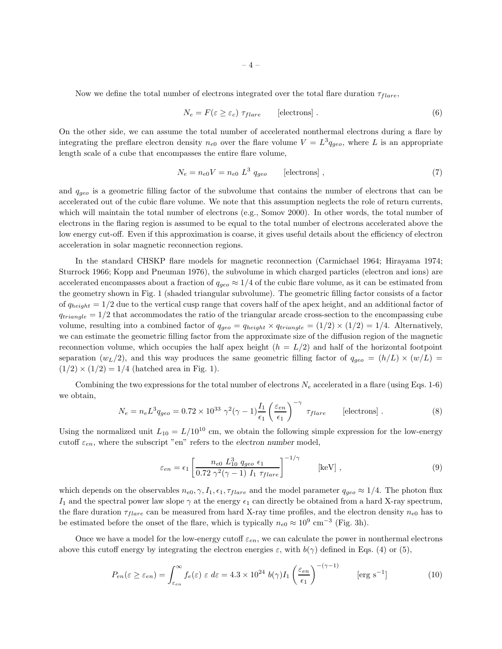Now we define the total number of electrons integrated over the total flare duration  $\tau_{flare}$ ,

$$
N_e = F(\varepsilon \ge \varepsilon_c) \tau_{flare} \qquad \text{[electrons]} \tag{6}
$$

On the other side, we can assume the total number of accelerated nonthermal electrons during a flare by integrating the preflare electron density  $n_{e0}$  over the flare volume  $V = L^3 q_{geo}$ , where L is an appropriate length scale of a cube that encompasses the entire flare volume,

$$
N_e = n_{e0}V = n_{e0} L^3 q_{geo} \qquad \text{[electrons]} , \qquad (7)
$$

and  $q_{qeo}$  is a geometric filling factor of the subvolume that contains the number of electrons that can be accelerated out of the cubic flare volume. We note that this assumption neglects the role of return currents, which will maintain the total number of electrons (e.g., Somov 2000). In other words, the total number of electrons in the flaring region is assumed to be equal to the total number of electrons accelerated above the low energy cut-off. Even if this approximation is coarse, it gives useful details about the efficiency of electron acceleration in solar magnetic reconnection regions.

In the standard CHSKP flare models for magnetic reconnection (Carmichael 1964; Hirayama 1974; Sturrock 1966; Kopp and Pneuman 1976), the subvolume in which charged particles (electron and ions) are accelerated encompasses about a fraction of  $q_{geo} \approx 1/4$  of the cubic flare volume, as it can be estimated from the geometry shown in Fig. 1 (shaded triangular subvolume). The geometric filling factor consists of a factor of  $q_{hei} = 1/2$  due to the vertical cusp range that covers half of the apex height, and an additional factor of  $q_{triangle} = 1/2$  that accommodates the ratio of the triangular arcade cross-section to the encompassing cube volume, resulting into a combined factor of  $q_{qeo} = q_{height} \times q_{triangle} = (1/2) \times (1/2) = 1/4$ . Alternatively, we can estimate the geometric filling factor from the approximate size of the diffusion region of the magnetic reconnection volume, which occupies the half apex height  $(h = L/2)$  and half of the horizontal footpoint separation  $(w_L/2)$ , and this way produces the same geometric filling factor of  $q_{q\bar{e}o} = (h/L) \times (w/L)$  $(1/2) \times (1/2) = 1/4$  (hatched area in Fig. 1).

Combining the two expressions for the total number of electrons  $N_e$  accelerated in a flare (using Eqs. 1-6) we obtain,

$$
N_e = n_e L^3 q_{geo} = 0.72 \times 10^{33} \gamma^2 (\gamma - 1) \frac{I_1}{\epsilon_1} \left(\frac{\varepsilon_{en}}{\epsilon_1}\right)^{-\gamma} \tau_{flare} \qquad \text{[electrons]} . \tag{8}
$$

Using the normalized unit  $L_{10} = L/10^{10}$  cm, we obtain the following simple expression for the low-energy cutoff  $\varepsilon_{en}$ , where the subscript "en" refers to the electron number model,

$$
\varepsilon_{en} = \epsilon_1 \left[ \frac{n_{e0} L_{10}^3 q_{geo} \epsilon_1}{0.72 \gamma^2 (\gamma - 1) I_1 \tau_{flare}} \right]^{-1/\gamma} \qquad [\text{keV}] \ , \tag{9}
$$

which depends on the observables  $n_{e0}$ ,  $\gamma$ ,  $I_1$ ,  $\epsilon_1$ ,  $\tau_{flare}$  and the model parameter  $q_{geo} \approx 1/4$ . The photon flux I<sub>1</sub> and the spectral power law slope  $\gamma$  at the energy  $\epsilon_1$  can directly be obtained from a hard X-ray spectrum, the flare duration  $\tau_{flare}$  can be measured from hard X-ray time profiles, and the electron density  $n_{e0}$  has to be estimated before the onset of the flare, which is typically  $n_{e0} \approx 10^9 \text{ cm}^{-3}$  (Fig. 3h).

Once we have a model for the low-energy cutoff  $\varepsilon_{en}$ , we can calculate the power in nonthermal electrons above this cutoff energy by integrating the electron energies  $\varepsilon$ , with  $b(\gamma)$  defined in Eqs. (4) or (5),

$$
P_{en}(\varepsilon \ge \varepsilon_{en}) = \int_{\varepsilon_{en}}^{\infty} f_e(\varepsilon) \varepsilon d\varepsilon = 4.3 \times 10^{24} \ b(\gamma) I_1 \left(\frac{\varepsilon_{en}}{\epsilon_1}\right)^{-(\gamma-1)} \qquad \text{[erg s$^{-1}$]} \tag{10}
$$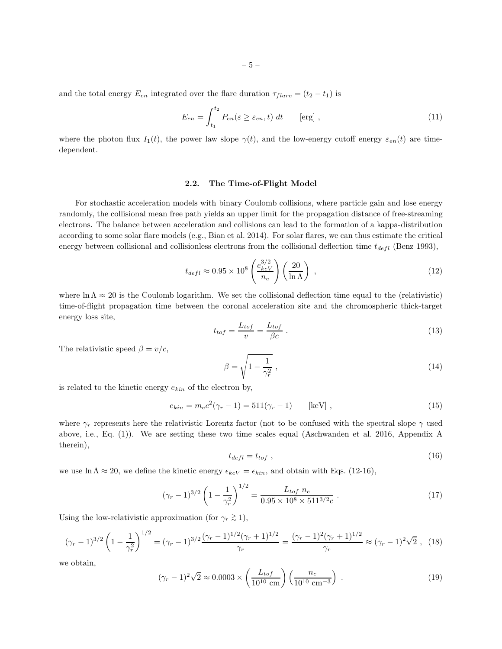and the total energy  $E_{en}$  integrated over the flare duration  $\tau_{flare} = (t_2 - t_1)$  is

$$
E_{en} = \int_{t_1}^{t_2} P_{en}(\varepsilon \ge \varepsilon_{en}, t) dt \qquad \text{[erg]},
$$
\n(11)

where the photon flux  $I_1(t)$ , the power law slope  $\gamma(t)$ , and the low-energy cutoff energy  $\varepsilon_{en}(t)$  are timedependent.

# 2.2. The Time-of-Flight Model

For stochastic acceleration models with binary Coulomb collisions, where particle gain and lose energy randomly, the collisional mean free path yields an upper limit for the propagation distance of free-streaming electrons. The balance between acceleration and collisions can lead to the formation of a kappa-distribution according to some solar flare models (e.g., Bian et al. 2014). For solar flares, we can thus estimate the critical energy between collisional and collisionless electrons from the collisional deflection time  $t_{defl}$  (Benz 1993),

$$
t_{defl} \approx 0.95 \times 10^8 \left(\frac{e_{keV}^{3/2}}{n_e}\right) \left(\frac{20}{\ln \Lambda}\right) ,\qquad (12)
$$

where  $\ln \Lambda \approx 20$  is the Coulomb logarithm. We set the collisional deflection time equal to the (relativistic) time-of-flight propagation time between the coronal acceleration site and the chromospheric thick-target energy loss site,

$$
t_{tof} = \frac{L_{tof}}{v} = \frac{L_{tof}}{\beta c} \tag{13}
$$

The relativistic speed  $\beta = v/c$ ,

$$
\beta = \sqrt{1 - \frac{1}{\gamma_r^2}} \,,\tag{14}
$$

is related to the kinetic energy  $e_{kin}$  of the electron by,

$$
e_{kin} = m_e c^2 (\gamma_r - 1) = 511 (\gamma_r - 1) \qquad [\text{keV}], \qquad (15)
$$

where  $\gamma_r$  represents here the relativistic Lorentz factor (not to be confused with the spectral slope  $\gamma$  used above, i.e., Eq. (1)). We are setting these two time scales equal (Aschwanden et al. 2016, Appendix A therein),

$$
t_{defl} = t_{tof} \t{,} \t(16)
$$

we use  $\ln \Lambda \approx 20$ , we define the kinetic energy  $\epsilon_{keV} = \epsilon_{kin}$ , and obtain with Eqs. (12-16),

$$
(\gamma_r - 1)^{3/2} \left(1 - \frac{1}{\gamma_r^2}\right)^{1/2} = \frac{L_{\text{tof}} n_e}{0.95 \times 10^8 \times 511^{3/2}c} \,. \tag{17}
$$

Using the low-relativistic approximation (for  $\gamma_r \gtrsim 1$ ),

$$
(\gamma_r - 1)^{3/2} \left(1 - \frac{1}{\gamma_r^2}\right)^{1/2} = (\gamma_r - 1)^{3/2} \frac{(\gamma_r - 1)^{1/2} (\gamma_r + 1)^{1/2}}{\gamma_r} = \frac{(\gamma_r - 1)^2 (\gamma_r + 1)^{1/2}}{\gamma_r} \approx (\gamma_r - 1)^2 \sqrt{2} , \tag{18}
$$

we obtain,

$$
(\gamma_r - 1)^2 \sqrt{2} \approx 0.0003 \times \left(\frac{L_{\text{tof}}}{10^{10} \text{ cm}}\right) \left(\frac{n_e}{10^{10} \text{ cm}^{-3}}\right) \tag{19}
$$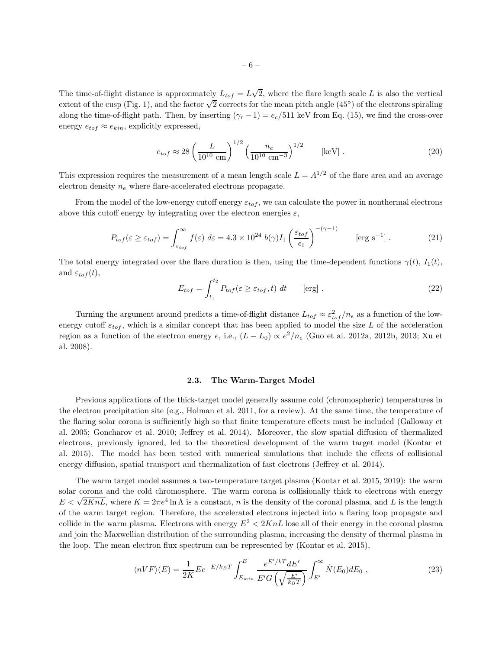The time-of-flight distance is approximately  $L_{tof} = L\sqrt{2}$ , where the flare length scale L is also the vertical extent of the cusp (Fig. 1), and the factor  $\sqrt{2}$  corrects for the mean pitch angle (45°) of the electrons spiraling along the time-of-flight path. Then, by inserting  $(\gamma_r - 1) = e_c/511$  keV from Eq. (15), we find the cross-over energy  $e_{tof} \approx e_{kin}$ , explicitly expressed,

$$
e_{tof} \approx 28 \left(\frac{L}{10^{10} \text{ cm}}\right)^{1/2} \left(\frac{n_e}{10^{10} \text{ cm}^{-3}}\right)^{1/2} \qquad \text{[keV]}.
$$
 (20)

This expression requires the measurement of a mean length scale  $L = A^{1/2}$  of the flare area and an average electron density  $n_e$  where flare-accelerated electrons propagate.

From the model of the low-energy cutoff energy  $\varepsilon_{tof}$ , we can calculate the power in nonthermal electrons above this cutoff energy by integrating over the electron energies  $\varepsilon$ ,

$$
P_{tof}(\varepsilon \ge \varepsilon_{tof}) = \int_{\varepsilon_{tof}}^{\infty} f(\varepsilon) d\varepsilon = 4.3 \times 10^{24} b(\gamma) I_1 \left(\frac{\varepsilon_{tof}}{\epsilon_1}\right)^{-(\gamma-1)} \qquad \text{[erg s$^{-1}$]} . \tag{21}
$$

The total energy integrated over the flare duration is then, using the time-dependent functions  $\gamma(t)$ ,  $I_1(t)$ , and  $\varepsilon_{tof}(t)$ ,

$$
E_{tof} = \int_{t_1}^{t_2} P_{tof}(\varepsilon \ge \varepsilon_{tof}, t) dt \qquad \text{[erg]}.
$$
 (22)

Turning the argument around predicts a time-of-flight distance  $L_{tof} \approx \varepsilon_{tof}^2/n_e$  as a function of the lowenergy cutoff  $\varepsilon_{tof}$ , which is a similar concept that has been applied to model the size L of the acceleration region as a function of the electron energy e, i.e.,  $(L - L_0) \propto e^2/n_e$  (Guo et al. 2012a, 2012b, 2013; Xu et al. 2008).

#### 2.3. The Warm-Target Model

Previous applications of the thick-target model generally assume cold (chromospheric) temperatures in the electron precipitation site (e.g., Holman et al. 2011, for a review). At the same time, the temperature of the flaring solar corona is sufficiently high so that finite temperature effects must be included (Galloway et al. 2005; Goncharov et al. 2010; Jeffrey et al. 2014). Moreover, the slow spatial diffusion of thermalized electrons, previously ignored, led to the theoretical development of the warm target model (Kontar et al. 2015). The model has been tested with numerical simulations that include the effects of collisional energy diffusion, spatial transport and thermalization of fast electrons (Jeffrey et al. 2014).

The warm target model assumes a two-temperature target plasma (Kontar et al. 2015, 2019): the warm solar corona and the cold chromosphere. The warm corona is collisionally thick to electrons with energy  $E < \sqrt{2KnL}$ , where  $K = 2\pi e^4 \ln \Lambda$  is a constant, n is the density of the coronal plasma, and L is the length of the warm target region. Therefore, the accelerated electrons injected into a flaring loop propagate and collide in the warm plasma. Electrons with energy  $E^2 < 2KnL$  lose all of their energy in the coronal plasma and join the Maxwellian distribution of the surrounding plasma, increasing the density of thermal plasma in the loop. The mean electron flux spectrum can be represented by (Kontar et al. 2015),

$$
\langle nVF \rangle (E) = \frac{1}{2K} E e^{-E/k_B T} \int_{E_{min}}^{E} \frac{e^{E'/kT} dE'}{E' G \left(\sqrt{\frac{E'}{k_B T}}\right)} \int_{E'}^{\infty} \dot{N}(E_0) dE_0 , \qquad (23)
$$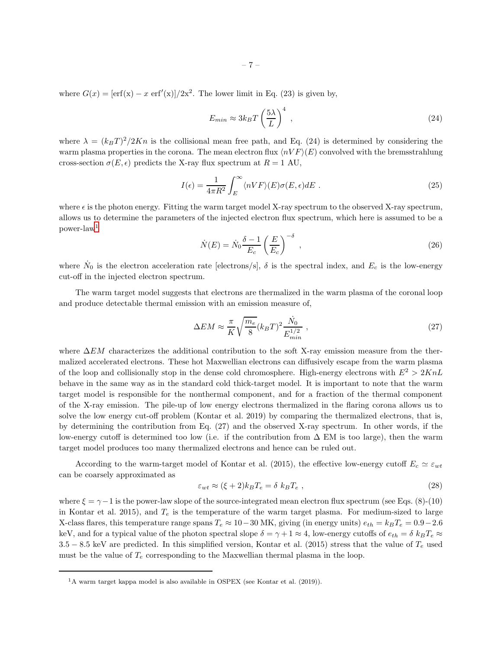where  $G(x) = [\text{erf}(x) - x \text{ erf}'(x)]/2x^2$ . The lower limit in Eq. (23) is given by,

$$
E_{min} \approx 3k_B T \left(\frac{5\lambda}{L}\right)^4 \,,\tag{24}
$$

where  $\lambda = (k_B T)^2 / 2Kn$  is the collisional mean free path, and Eq. (24) is determined by considering the warm plasma properties in the corona. The mean electron flux  $\langle nVF \rangle (E)$  convolved with the bremsstrahlung cross-section  $\sigma(E, \epsilon)$  predicts the X-ray flux spectrum at  $R = 1$  AU,

$$
I(\epsilon) = \frac{1}{4\pi R^2} \int_{E}^{\infty} \langle n V F \rangle(E) \sigma(E, \epsilon) dE \tag{25}
$$

where  $\epsilon$  is the photon energy. Fitting the warm target model X-ray spectrum to the observed X-ray spectrum, allows us to determine the parameters of the injected electron flux spectrum, which here is assumed to be a power-law[1](#page-7-0)

$$
\dot{N}(E) = \dot{N}_0 \frac{\delta - 1}{E_c} \left(\frac{E}{E_c}\right)^{-\delta} ,\qquad (26)
$$

where  $\dot{N}_0$  is the electron acceleration rate [electrons/s],  $\delta$  is the spectral index, and  $E_c$  is the low-energy cut-off in the injected electron spectrum.

The warm target model suggests that electrons are thermalized in the warm plasma of the coronal loop and produce detectable thermal emission with an emission measure of,

$$
\Delta EM \approx \frac{\pi}{K} \sqrt{\frac{m_e}{8}} (k_B T)^2 \frac{\dot{N}_0}{E_{min}^{1/2}} , \qquad (27)
$$

where  $\Delta EM$  characterizes the additional contribution to the soft X-ray emission measure from the thermalized accelerated electrons. These hot Maxwellian electrons can diffusively escape from the warm plasma of the loop and collisionally stop in the dense cold chromosphere. High-energy electrons with  $E^2 > 2KnL$ behave in the same way as in the standard cold thick-target model. It is important to note that the warm target model is responsible for the nonthermal component, and for a fraction of the thermal component of the X-ray emission. The pile-up of low energy electrons thermalized in the flaring corona allows us to solve the low energy cut-off problem (Kontar et al. 2019) by comparing the thermalized electrons, that is, by determining the contribution from Eq. (27) and the observed X-ray spectrum. In other words, if the low-energy cutoff is determined too low (i.e. if the contribution from  $\Delta$  EM is too large), then the warm target model produces too many thermalized electrons and hence can be ruled out.

According to the warm-target model of Kontar et al. (2015), the effective low-energy cutoff  $E_c \simeq \varepsilon_{wt}$ can be coarsely approximated as

$$
\varepsilon_{wt} \approx (\xi + 2)k_B T_e = \delta k_B T_e , \qquad (28)
$$

where  $\xi = \gamma - 1$  is the power-law slope of the source-integrated mean electron flux spectrum (see Eqs. (8)-(10) in Kontar et al. 2015), and  $T_e$  is the temperature of the warm target plasma. For medium-sized to large X-class flares, this temperature range spans  $T_e \approx 10-30$  MK, giving (in energy units)  $e_{th} = k_B T_e = 0.9-2.6$ keV, and for a typical value of the photon spectral slope  $\delta = \gamma + 1 \approx 4$ , low-energy cutoffs of  $e_{th} = \delta k_B T_e \approx$ 3.5 − 8.5 keV are predicted. In this simplified version, Kontar et al. (2015) stress that the value of  $T_e$  used must be the value of  $T_e$  corresponding to the Maxwellian thermal plasma in the loop.

<span id="page-7-0"></span><sup>&</sup>lt;sup>1</sup>A warm target kappa model is also available in OSPEX (see Kontar et al. (2019)).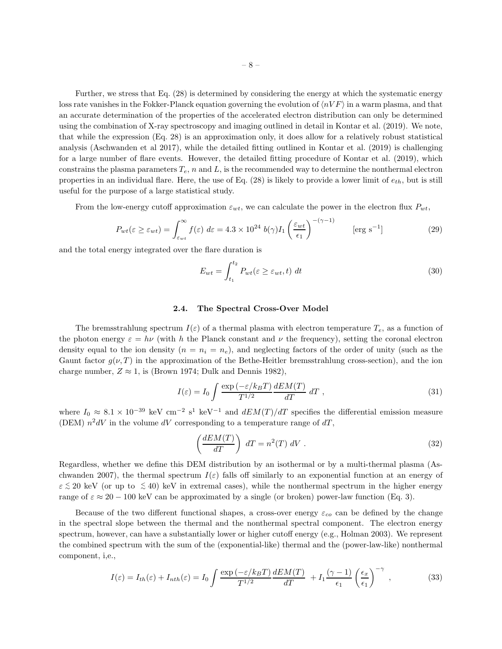Further, we stress that Eq. (28) is determined by considering the energy at which the systematic energy loss rate vanishes in the Fokker-Planck equation governing the evolution of  $\langle nVF \rangle$  in a warm plasma, and that an accurate determination of the properties of the accelerated electron distribution can only be determined using the combination of X-ray spectroscopy and imaging outlined in detail in Kontar et al. (2019). We note, that while the expression (Eq. 28) is an approximation only, it does allow for a relatively robust statistical analysis (Aschwanden et al 2017), while the detailed fitting outlined in Kontar et al. (2019) is challenging for a large number of flare events. However, the detailed fitting procedure of Kontar et al. (2019), which constrains the plasma parameters  $T_e$ , n and L, is the recommended way to determine the nonthermal electron properties in an individual flare. Here, the use of Eq.  $(28)$  is likely to provide a lower limit of  $e_{th}$ , but is still useful for the purpose of a large statistical study.

From the low-energy cutoff approximation  $\varepsilon_{wt}$ , we can calculate the power in the electron flux  $P_{wt}$ ,

$$
P_{wt}(\varepsilon \ge \varepsilon_{wt}) = \int_{\varepsilon_{wt}}^{\infty} f(\varepsilon) d\varepsilon = 4.3 \times 10^{24} b(\gamma) I_1 \left(\frac{\varepsilon_{wt}}{\epsilon_1}\right)^{-(\gamma - 1)} \qquad \text{[erg s}^{-1} \text{]}
$$
 (29)

and the total energy integrated over the flare duration is

$$
E_{wt} = \int_{t_1}^{t_2} P_{wt}(\varepsilon \ge \varepsilon_{wt}, t) dt
$$
\n(30)

#### 2.4. The Spectral Cross-Over Model

The bremsstrahlung spectrum  $I(\varepsilon)$  of a thermal plasma with electron temperature  $T_e$ , as a function of the photon energy  $\varepsilon = h\nu$  (with h the Planck constant and  $\nu$  the frequency), setting the coronal electron density equal to the ion density  $(n = n_i = n_e)$ , and neglecting factors of the order of unity (such as the Gaunt factor  $g(\nu, T)$  in the approximation of the Bethe-Heitler bremsstrahlung cross-section), and the ion charge number,  $Z \approx 1$ , is (Brown 1974; Dulk and Dennis 1982),

$$
I(\varepsilon) = I_0 \int \frac{\exp\left(-\varepsilon/k_B T\right)}{T^{1/2}} \frac{dEM(T)}{dT} \, dT \tag{31}
$$

where  $I_0 \approx 8.1 \times 10^{-39}$  keV cm<sup>-2</sup> s<sup>1</sup> keV<sup>-1</sup> and  $dEM(T)/dT$  specifies the differential emission measure (DEM)  $n^2 dV$  in the volume dV corresponding to a temperature range of  $dT$ ,

$$
\left(\frac{dEM(T)}{dT}\right) dT = n^2(T) dV.
$$
\n(32)

Regardless, whether we define this DEM distribution by an isothermal or by a multi-thermal plasma (Aschwanden 2007), the thermal spectrum  $I(\varepsilon)$  falls off similarly to an exponential function at an energy of  $\varepsilon \lesssim 20$  keV (or up to  $\lesssim 40$ ) keV in extremal cases), while the nonthermal spectrum in the higher energy range of  $\varepsilon \approx 20 - 100$  keV can be approximated by a single (or broken) power-law function (Eq. 3).

Because of the two different functional shapes, a cross-over energy  $\varepsilon_{co}$  can be defined by the change in the spectral slope between the thermal and the nonthermal spectral component. The electron energy spectrum, however, can have a substantially lower or higher cutoff energy (e.g., Holman 2003). We represent the combined spectrum with the sum of the (exponential-like) thermal and the (power-law-like) nonthermal component, i,e.,

$$
I(\varepsilon) = I_{th}(\varepsilon) + I_{nth}(\varepsilon) = I_0 \int \frac{\exp\left(-\varepsilon/k_B T\right)}{T^{1/2}} \frac{dEM(T)}{dT} + I_1 \frac{(\gamma - 1)}{\epsilon_1} \left(\frac{\epsilon_x}{\epsilon_1}\right)^{-\gamma},\tag{33}
$$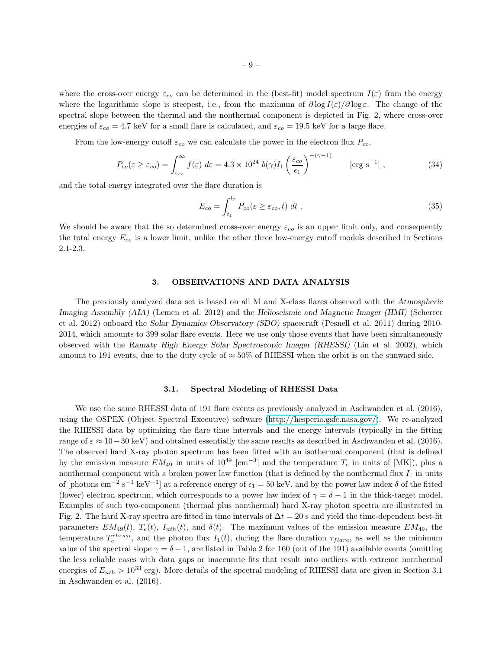where the cross-over energy  $\varepsilon_{co}$  can be determined in the (best-fit) model spectrum  $I(\varepsilon)$  from the energy where the logarithmic slope is steepest, i.e., from the maximum of  $\partial \log I(\varepsilon)/\partial \log \varepsilon$ . The change of the spectral slope between the thermal and the nonthermal component is depicted in Fig. 2, where cross-over energies of  $\varepsilon_{co} = 4.7 \text{ keV}$  for a small flare is calculated, and  $\varepsilon_{co} = 19.5 \text{ keV}$  for a large flare.

From the low-energy cutoff  $\varepsilon_{co}$  we can calculate the power in the electron flux  $P_{co}$ ,

$$
P_{co}(\varepsilon \ge \varepsilon_{co}) = \int_{\varepsilon_{co}}^{\infty} f(\varepsilon) d\varepsilon = 4.3 \times 10^{24} b(\gamma) I_1 \left(\frac{\varepsilon_{co}}{\epsilon_1}\right)^{-(\gamma - 1)} \qquad \text{[erg s}^{-1]},
$$
 (34)

and the total energy integrated over the flare duration is

$$
E_{co} = \int_{t_1}^{t_2} P_{co}(\varepsilon \ge \varepsilon_{co}, t) dt . \tag{35}
$$

We should be aware that the so determined cross-over energy  $\varepsilon_{co}$  is an upper limit only, and consequently the total energy  $E_{co}$  is a lower limit, unlike the other three low-energy cutoff models described in Sections 2.1-2.3.

# 3. OBSERVATIONS AND DATA ANALYSIS

The previously analyzed data set is based on all M and X-class flares observed with the Atmospheric Imaging Assembly (AIA) (Lemen et al. 2012) and the Helioseismic and Magnetic Imager (HMI) (Scherrer et al. 2012) onboard the Solar Dynamics Observatory (SDO) spacecraft (Pesnell et al. 2011) during 2010- 2014, which amounts to 399 solar flare events. Here we use only those events that have been simultaneously observed with the Ramaty High Energy Solar Spectroscopic Imager (RHESSI) (Lin et al. 2002), which amount to 191 events, due to the duty cycle of  $\approx 50\%$  of RHESSI when the orbit is on the sunward side.

# 3.1. Spectral Modeling of RHESSI Data

We use the same RHESSI data of 191 flare events as previously analyzed in Aschwanden et al. (2016), using the OSPEX (Object Spectral Executive) software [\(http://hesperia.gsfc.nasa.gov/\)](http://hesperia.gsfc.nasa.gov/). We re-analyzed the RHESSI data by optimizing the flare time intervals and the energy intervals (typically in the fitting range of  $\varepsilon \approx 10-30$  keV) and obtained essentially the same results as described in Aschwanden et al. (2016). The observed hard X-ray photon spectrum has been fitted with an isothermal component (that is defined by the emission measure  $EM_{49}$  in units of  $10^{49}$  [cm<sup>-3</sup>] and the temperature  $T_e$  in units of [MK]), plus a nonthermal component with a broken power law function (that is defined by the nonthermal flux  $I_1$  in units of [photons cm<sup>-2</sup> s<sup>-1</sup> keV<sup>-1</sup>] at a reference energy of  $\epsilon_1 = 50$  keV, and by the power law index  $\delta$  of the fitted (lower) electron spectrum, which corresponds to a power law index of  $\gamma = \delta - 1$  in the thick-target model. Examples of such two-component (thermal plus nonthermal) hard X-ray photon spectra are illustrated in Fig. 2. The hard X-ray spectra are fitted in time intervals of  $\Delta t = 20$  s and yield the time-dependent best-fit parameters  $EM_{49}(t)$ ,  $T_e(t)$ ,  $I_{nth}(t)$ , and  $\delta(t)$ . The maximum values of the emission measure  $EM_{49}$ , the temperature  $T_e^{rhessi}$ , and the photon flux  $I_1(t)$ , during the flare duration  $\tau_{flare}$ , as well as the minimum value of the spectral slope  $\gamma = \delta - 1$ , are listed in Table 2 for 160 (out of the 191) available events (omitting the less reliable cases with data gaps or inaccurate fits that result into outliers with extreme nonthermal energies of  $E_{nth} > 10^{33}$  erg). More details of the spectral modeling of RHESSI data are given in Section 3.1 in Aschwanden et al. (2016).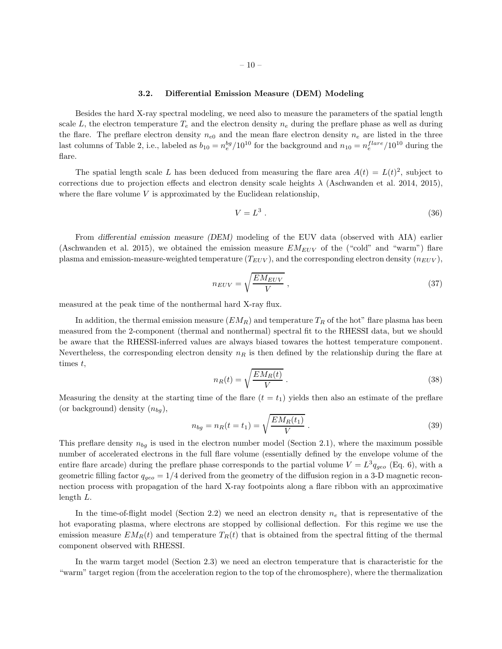# 3.2. Differential Emission Measure (DEM) Modeling

Besides the hard X-ray spectral modeling, we need also to measure the parameters of the spatial length scale L, the electron temperature  $T_e$  and the electron density  $n_e$  during the preflare phase as well as during the flare. The preflare electron density  $n_{e0}$  and the mean flare electron density  $n_e$  are listed in the three last columns of Table 2, i.e., labeled as  $b_{10} = n_e^{bg}/10^{10}$  for the background and  $n_{10} = n_e^{flare}/10^{10}$  during the flare.

The spatial length scale L has been deduced from measuring the flare area  $A(t) = L(t)^2$ , subject to corrections due to projection effects and electron density scale heights  $\lambda$  (Aschwanden et al. 2014, 2015), where the flare volume  $V$  is approximated by the Euclidean relationship,

$$
V = L^3 \tag{36}
$$

From differential emission measure (DEM) modeling of the EUV data (observed with AIA) earlier (Aschwanden et al. 2015), we obtained the emission measure  $EM_{EUV}$  of the ("cold" and "warm") flare plasma and emission-measure-weighted temperature  $(T_{EUV})$ , and the corresponding electron density  $(n_{EUV})$ ,

$$
n_{EUV} = \sqrt{\frac{EM_{EUV}}{V}} \tag{37}
$$

measured at the peak time of the nonthermal hard X-ray flux.

In addition, the thermal emission measure  $(EM_R)$  and temperature  $T_R$  of the hot" flare plasma has been measured from the 2-component (thermal and nonthermal) spectral fit to the RHESSI data, but we should be aware that the RHESSI-inferred values are always biased towares the hottest temperature component. Nevertheless, the corresponding electron density  $n_R$  is then defined by the relationship during the flare at times  $t$ ,

$$
n_R(t) = \sqrt{\frac{EM_R(t)}{V}}.
$$
\n(38)

Measuring the density at the starting time of the flare  $(t = t_1)$  yields then also an estimate of the preflare (or background) density  $(n_{bq})$ ,

$$
n_{bg} = n_R(t = t_1) = \sqrt{\frac{EM_R(t_1)}{V}}.
$$
\n(39)

This preflare density  $n_{bg}$  is used in the electron number model (Section 2.1), where the maximum possible number of accelerated electrons in the full flare volume (essentially defined by the envelope volume of the entire flare arcade) during the preflare phase corresponds to the partial volume  $V = L^3 q_{geo}$  (Eq. 6), with a geometric filling factor  $q_{qeo} = 1/4$  derived from the geometry of the diffusion region in a 3-D magnetic reconnection process with propagation of the hard X-ray footpoints along a flare ribbon with an approximative length L.

In the time-of-flight model (Section 2.2) we need an electron density  $n_e$  that is representative of the hot evaporating plasma, where electrons are stopped by collisional deflection. For this regime we use the emission measure  $EM_R(t)$  and temperature  $T_R(t)$  that is obtained from the spectral fitting of the thermal component observed with RHESSI.

In the warm target model (Section 2.3) we need an electron temperature that is characteristic for the "warm" target region (from the acceleration region to the top of the chromosphere), where the thermalization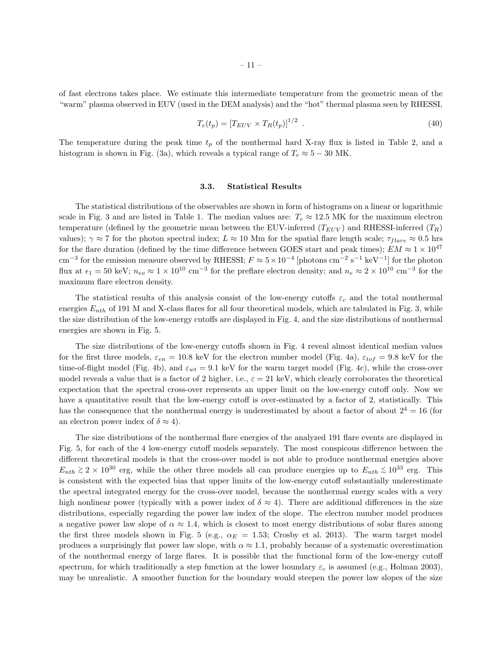of fast electrons takes place. We estimate this intermediate temperature from the geometric mean of the "warm" plasma observed in EUV (used in the DEM analysis) and the "hot" thermal plasma seen by RHESSI,

$$
T_e(t_p) = [T_{EUV} \times T_R(t_p)]^{1/2} \tag{40}
$$

The temperature during the peak time  $t_p$  of the nonthermal hard X-ray flux is listed in Table 2, and a histogram is shown in Fig. (3a), which reveals a typical range of  $T_e \approx 5 - 30$  MK.

### 3.3. Statistical Results

The statistical distributions of the observables are shown in form of histograms on a linear or logarithmic scale in Fig. 3 and are listed in Table 1. The median values are:  $T_e \approx 12.5$  MK for the maximum electron temperature (defined by the geometric mean between the EUV-inferred  $(T_{EUV})$  and RHESSI-inferred  $(T_R)$ values);  $\gamma \approx 7$  for the photon spectral index;  $L \approx 10$  Mm for the spatial flare length scale;  $\tau_{flare} \approx 0.5$  hrs for the flare duration (defined by the time difference between GOES start and peak times);  $EM \approx 1 \times 10^{47}$ cm<sup>-3</sup> for the emission measure observed by RHESSI;  $F \approx 5 \times 10^{-4}$  [photons cm<sup>-2</sup> s<sup>-1</sup> keV<sup>-1</sup>] for the photon flux at  $\epsilon_1 = 50$  keV;  $n_{eo} \approx 1 \times 10^{10}$  cm<sup>-3</sup> for the preflare electron density; and  $n_e \approx 2 \times 10^{10}$  cm<sup>-3</sup> for the maximum flare electron density.

The statistical results of this analysis consist of the low-energy cutoffs  $\varepsilon_c$  and the total nonthermal energies  $E_{nth}$  of 191 M and X-class flares for all four theoretical models, which are tabulated in Fig. 3, while the size distribution of the low-energy cutoffs are displayed in Fig. 4, and the size distributions of nonthermal energies are shown in Fig. 5.

The size distributions of the low-energy cutoffs shown in Fig. 4 reveal almost identical median values for the first three models,  $\varepsilon_{en} = 10.8 \text{ keV}$  for the electron number model (Fig. 4a),  $\varepsilon_{tof} = 9.8 \text{ keV}$  for the time-of-flight model (Fig. 4b), and  $\varepsilon_{wt} = 9.1$  keV for the warm target model (Fig. 4c), while the cross-over model reveals a value that is a factor of 2 higher, i.e.,  $\varepsilon = 21 \text{ keV}$ , which clearly corroborates the theoretical expectation that the spectral cross-over represents an upper limit on the low-energy cutoff only. Now we have a quantitative result that the low-energy cutoff is over-estimated by a factor of 2, statistically. This has the consequence that the nonthermal energy is underestimated by about a factor of about  $2^4 = 16$  (for an electron power index of  $\delta \approx 4$ ).

The size distributions of the nonthermal flare energies of the analyzed 191 flare events are displayed in Fig. 5, for each of the 4 low-energy cutoff models separately. The most conspicous difference between the different theoretical models is that the cross-over model is not able to produce nonthermal energies above  $E_{nth} \gtrsim 2 \times 10^{30}$  erg, while the other three models all can produce energies up to  $E_{nth} \lesssim 10^{33}$  erg. This is consistent with the expected bias that upper limits of the low-energy cutoff substantially underestimate the spectral integrated energy for the cross-over model, because the nonthermal energy scales with a very high nonlinear power (typically with a power index of  $\delta \approx 4$ ). There are additional differences in the size distributions, especially regarding the power law index of the slope. The electron number model produces a negative power law slope of  $\alpha \approx 1.4$ , which is closest to most energy distributions of solar flares among the first three models shown in Fig. 5 (e.g.,  $\alpha_E = 1.53$ ; Crosby et al. 2013). The warm target model produces a surprisingly flat power law slope, with  $\alpha \approx 1.1$ , probably because of a systematic overestimation of the nonthermal energy of large flares. It is possible that the functional form of the low-energy cutoff spectrum, for which traditionally a step function at the lower boundary  $\varepsilon_c$  is assumed (e.g., Holman 2003), may be unrealistic. A smoother function for the boundary would steepen the power law slopes of the size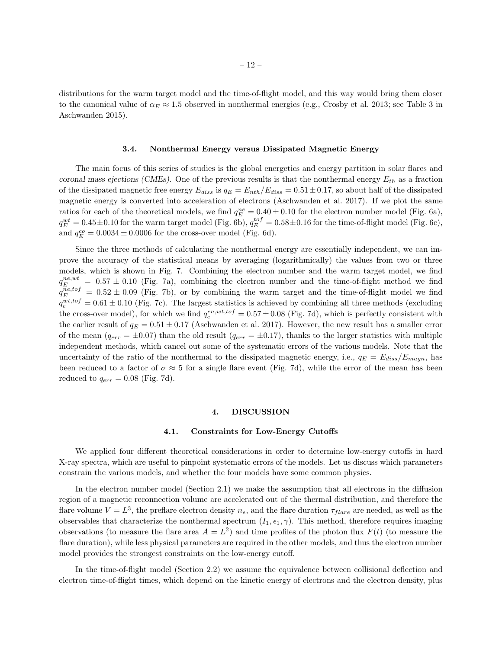distributions for the warm target model and the time-of-flight model, and this way would bring them closer to the canonical value of  $\alpha_E \approx 1.5$  observed in nonthermal energies (e.g., Crosby et al. 2013; see Table 3 in Aschwanden 2015).

### 3.4. Nonthermal Energy versus Dissipated Magnetic Energy

The main focus of this series of studies is the global energetics and energy partition in solar flares and coronal mass ejections (CMEs). One of the previous results is that the nonthermal energy  $E_{th}$  as a fraction of the dissipated magnetic free energy  $E_{diss}$  is  $q_E = E_{nth}/E_{diss} = 0.51 \pm 0.17$ , so about half of the dissipated magnetic energy is converted into acceleration of electrons (Aschwanden et al. 2017). If we plot the same ratios for each of the theoretical models, we find  $q_E^{ne} = 0.40 \pm 0.10$  for the electron number model (Fig. 6a),  $q_E^{wt} = 0.45 \pm 0.10$  for the warm target model (Fig. 6b),  $q_E^{tot} = 0.58 \pm 0.16$  for the time-of-flight model (Fig. 6c), and  $q_E^{co} = 0.0034 \pm 0.0006$  for the cross-over model (Fig. 6d).

Since the three methods of calculating the nonthermal energy are essentially independent, we can improve the accuracy of the statistical means by averaging (logarithmically) the values from two or three models, which is shown in Fig. 7. Combining the electron number and the warm target model, we find  $q_E^{ne,wt} = 0.57 \pm 0.10$  (Fig. 7a), combining the electron number and the time-of-flight method we find  $q_E^{ne,tof} = 0.52 \pm 0.09$  (Fig. 7b), or by combining the warm target and the time-of-flight model we find  $q_e^{wt,tof} = 0.61 \pm 0.10$  (Fig. 7c). The largest statistics is achieved by combining all three methods (excluding the cross-over model), for which we find  $q_e^{en,wt,tof} = 0.57 \pm 0.08$  (Fig. 7d), which is perfectly consistent with the earlier result of  $q_E = 0.51 \pm 0.17$  (Aschwanden et al. 2017). However, the new result has a smaller error of the mean  $(q_{err} = \pm 0.07)$  than the old result  $(q_{err} = \pm 0.17)$ , thanks to the larger statistics with multiple independent methods, which cancel out some of the systematic errors of the various models. Note that the uncertainty of the ratio of the nonthermal to the dissipated magnetic energy, i.e.,  $q_E = E_{diss}/E_{maqn}$ , has been reduced to a factor of  $\sigma \approx 5$  for a single flare event (Fig. 7d), while the error of the mean has been reduced to  $q_{err} = 0.08$  (Fig. 7d).

#### 4. DISCUSSION

### 4.1. Constraints for Low-Energy Cutoffs

We applied four different theoretical considerations in order to determine low-energy cutoffs in hard X-ray spectra, which are useful to pinpoint systematic errors of the models. Let us discuss which parameters constrain the various models, and whether the four models have some common physics.

In the electron number model (Section 2.1) we make the assumption that all electrons in the diffusion region of a magnetic reconnection volume are accelerated out of the thermal distribution, and therefore the flare volume  $V = L^3$ , the preflare electron density  $n_e$ , and the flare duration  $\tau_{flare}$  are needed, as well as the observables that characterize the nonthermal spectrum  $(I_1, \epsilon_1, \gamma)$ . This method, therefore requires imaging observations (to measure the flare area  $A = L^2$ ) and time profiles of the photon flux  $F(t)$  (to measure the flare duration), while less physical parameters are required in the other models, and thus the electron number model provides the strongest constraints on the low-energy cutoff.

In the time-of-flight model (Section 2.2) we assume the equivalence between collisional deflection and electron time-of-flight times, which depend on the kinetic energy of electrons and the electron density, plus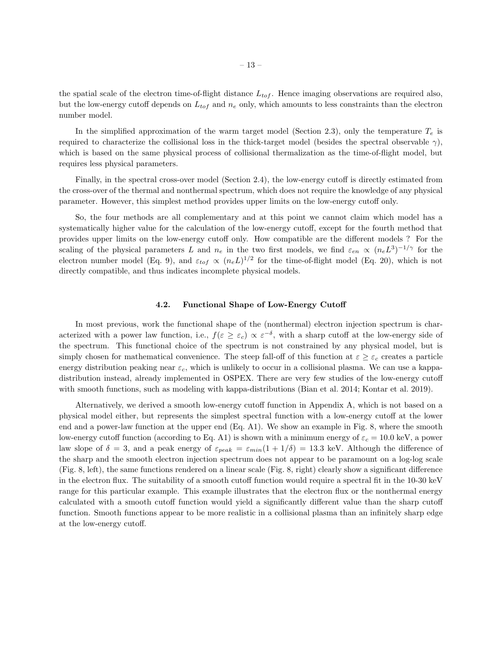the spatial scale of the electron time-of-flight distance  $L_{tof}$ . Hence imaging observations are required also, but the low-energy cutoff depends on  $L_{tof}$  and  $n_e$  only, which amounts to less constraints than the electron number model.

In the simplified approximation of the warm target model (Section 2.3), only the temperature  $T_e$  is required to characterize the collisional loss in the thick-target model (besides the spectral observable  $\gamma$ ), which is based on the same physical process of collisional thermalization as the time-of-flight model, but requires less physical parameters.

Finally, in the spectral cross-over model (Section 2.4), the low-energy cutoff is directly estimated from the cross-over of the thermal and nonthermal spectrum, which does not require the knowledge of any physical parameter. However, this simplest method provides upper limits on the low-energy cutoff only.

So, the four methods are all complementary and at this point we cannot claim which model has a systematically higher value for the calculation of the low-energy cutoff, except for the fourth method that provides upper limits on the low-energy cutoff only. How compatible are the different models ? For the scaling of the physical parameters L and  $n_e$  in the two first models, we find  $\varepsilon_{en} \propto (n_e L^3)^{-1/\gamma}$  for the electron number model (Eq. 9), and  $\varepsilon_{tof} \propto (n_e L)^{1/2}$  for the time-of-flight model (Eq. 20), which is not directly compatible, and thus indicates incomplete physical models.

### 4.2. Functional Shape of Low-Energy Cutoff

In most previous, work the functional shape of the (nonthermal) electron injection spectrum is characterized with a power law function, i.e.,  $f(\varepsilon \geq \varepsilon_c) \propto \varepsilon^{-\delta}$ , with a sharp cutoff at the low-energy side of the spectrum. This functional choice of the spectrum is not constrained by any physical model, but is simply chosen for mathematical convenience. The steep fall-off of this function at  $\varepsilon \geq \varepsilon_c$  creates a particle energy distribution peaking near  $\varepsilon_c$ , which is unlikely to occur in a collisional plasma. We can use a kappadistribution instead, already implemented in OSPEX. There are very few studies of the low-energy cutoff with smooth functions, such as modeling with kappa-distributions (Bian et al. 2014; Kontar et al. 2019).

Alternatively, we derived a smooth low-energy cutoff function in Appendix A, which is not based on a physical model either, but represents the simplest spectral function with a low-energy cutoff at the lower end and a power-law function at the upper end (Eq. A1). We show an example in Fig. 8, where the smooth low-energy cutoff function (according to Eq. A1) is shown with a minimum energy of  $\varepsilon_c = 10.0 \text{ keV}$ , a power law slope of  $\delta = 3$ , and a peak energy of  $\varepsilon_{peak} = \varepsilon_{min}(1 + 1/\delta) = 13.3$  keV. Although the difference of the sharp and the smooth electron injection spectrum does not appear to be paramount on a log-log scale (Fig. 8, left), the same functions rendered on a linear scale (Fig. 8, right) clearly show a significant difference in the electron flux. The suitability of a smooth cutoff function would require a spectral fit in the 10-30 keV range for this particular example. This example illustrates that the electron flux or the nonthermal energy calculated with a smooth cutoff function would yield a significantly different value than the sharp cutoff function. Smooth functions appear to be more realistic in a collisional plasma than an infinitely sharp edge at the low-energy cutoff.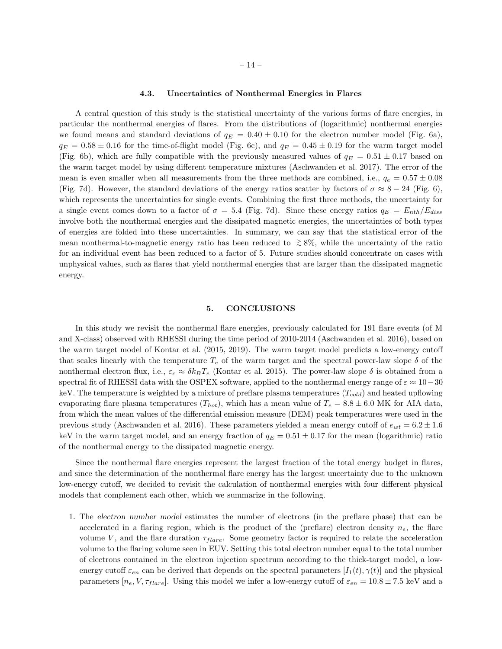### 4.3. Uncertainties of Nonthermal Energies in Flares

A central question of this study is the statistical uncertainty of the various forms of flare energies, in particular the nonthermal energies of flares. From the distributions of (logarithmic) nonthermal energies we found means and standard deviations of  $q_E = 0.40 \pm 0.10$  for the electron number model (Fig. 6a),  $q_E = 0.58 \pm 0.16$  for the time-of-flight model (Fig. 6c), and  $q_E = 0.45 \pm 0.19$  for the warm target model (Fig. 6b), which are fully compatible with the previously measured values of  $q_E = 0.51 \pm 0.17$  based on the warm target model by using different temperature mixtures (Aschwanden et al. 2017). The error of the mean is even smaller when all measurements from the three methods are combined, i.e.,  $q_e = 0.57 \pm 0.08$ (Fig. 7d). However, the standard deviations of the energy ratios scatter by factors of  $\sigma \approx 8-24$  (Fig. 6), which represents the uncertainties for single events. Combining the first three methods, the uncertainty for a single event comes down to a factor of  $\sigma = 5.4$  (Fig. 7d). Since these energy ratios  $q_E = E_{nth}/E_{diss}$ involve both the nonthermal energies and the dissipated magnetic energies, the uncertainties of both types of energies are folded into these uncertainties. In summary, we can say that the statistical error of the mean nonthermal-to-magnetic energy ratio has been reduced to  $\geq 8\%$ , while the uncertainty of the ratio for an individual event has been reduced to a factor of 5. Future studies should concentrate on cases with unphysical values, such as flares that yield nonthermal energies that are larger than the dissipated magnetic energy.

### 5. CONCLUSIONS

In this study we revisit the nonthermal flare energies, previously calculated for 191 flare events (of M and X-class) observed with RHESSI during the time period of 2010-2014 (Aschwanden et al. 2016), based on the warm target model of Kontar et al. (2015, 2019). The warm target model predicts a low-energy cutoff that scales linearly with the temperature  $T_e$  of the warm target and the spectral power-law slope  $\delta$  of the nonthermal electron flux, i.e.,  $\varepsilon_c \approx \delta k_B T_e$  (Kontar et al. 2015). The power-law slope  $\delta$  is obtained from a spectral fit of RHESSI data with the OSPEX software, applied to the nonthermal energy range of  $\varepsilon \approx 10-30$ keV. The temperature is weighted by a mixture of preflare plasma temperatures  $(T_{cold})$  and heated upflowing evaporating flare plasma temperatures  $(T_{hot})$ , which has a mean value of  $T_e = 8.8 \pm 6.0$  MK for AIA data, from which the mean values of the differential emission measure (DEM) peak temperatures were used in the previous study (Aschwanden et al. 2016). These parameters yielded a mean energy cutoff of  $e_{wt} = 6.2 \pm 1.6$ keV in the warm target model, and an energy fraction of  $q_E = 0.51 \pm 0.17$  for the mean (logarithmic) ratio of the nonthermal energy to the dissipated magnetic energy.

Since the nonthermal flare energies represent the largest fraction of the total energy budget in flares, and since the determination of the nonthermal flare energy has the largest uncertainty due to the unknown low-energy cutoff, we decided to revisit the calculation of nonthermal energies with four different physical models that complement each other, which we summarize in the following.

1. The electron number model estimates the number of electrons (in the preflare phase) that can be accelerated in a flaring region, which is the product of the (preflare) electron density  $n_e$ , the flare volume V, and the flare duration  $\tau_{flare}$ . Some geometry factor is required to relate the acceleration volume to the flaring volume seen in EUV. Setting this total electron number equal to the total number of electrons contained in the electron injection spectrum according to the thick-target model, a lowenergy cutoff  $\varepsilon_{en}$  can be derived that depends on the spectral parameters  $[I_1(t), \gamma(t)]$  and the physical parameters  $[n_e, V, \tau_{flare}]$ . Using this model we infer a low-energy cutoff of  $\varepsilon_{en} = 10.8 \pm 7.5$  keV and a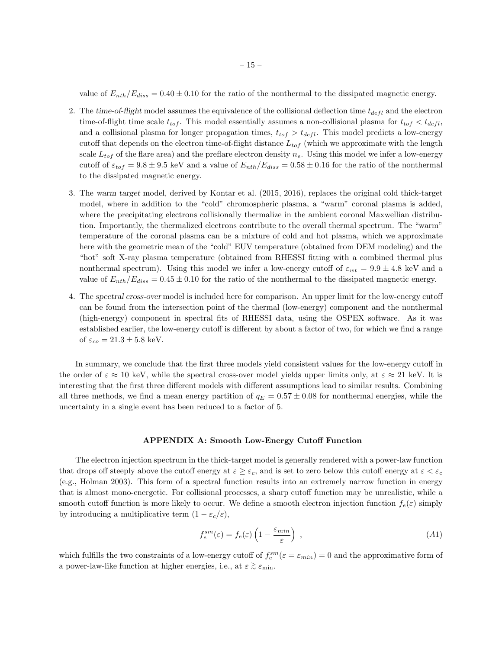value of  $E_{nth}/E_{diss} = 0.40 \pm 0.10$  for the ratio of the nonthermal to the dissipated magnetic energy.

- 2. The time-of-flight model assumes the equivalence of the collisional deflection time  $t_{defl}$  and the electron time-of-flight time scale  $t_{tof}$ . This model essentially assumes a non-collisional plasma for  $t_{tof} < t_{defl}$ , and a collisional plasma for longer propagation times,  $t_{tof} > t_{defl}$ . This model predicts a low-energy cutoff that depends on the electron time-of-flight distance  $L_{tof}$  (which we approximate with the length scale  $L_{tof}$  of the flare area) and the preflare electron density  $n_e$ . Using this model we infer a low-energy cutoff of  $\varepsilon_{tof} = 9.8 \pm 9.5$  keV and a value of  $E_{nth}/E_{diss} = 0.58 \pm 0.16$  for the ratio of the nonthermal to the dissipated magnetic energy.
- 3. The warm target model, derived by Kontar et al. (2015, 2016), replaces the original cold thick-target model, where in addition to the "cold" chromospheric plasma, a "warm" coronal plasma is added, where the precipitating electrons collisionally thermalize in the ambient coronal Maxwellian distribution. Importantly, the thermalized electrons contribute to the overall thermal spectrum. The "warm" temperature of the coronal plasma can be a mixture of cold and hot plasma, which we approximate here with the geometric mean of the "cold" EUV temperature (obtained from DEM modeling) and the "hot" soft X-ray plasma temperature (obtained from RHESSI fitting with a combined thermal plus nonthermal spectrum). Using this model we infer a low-energy cutoff of  $\varepsilon_{wt} = 9.9 \pm 4.8$  keV and a value of  $E_{nth}/E_{diss} = 0.45 \pm 0.10$  for the ratio of the nonthermal to the dissipated magnetic energy.
- 4. The spectral cross-over model is included here for comparison. An upper limit for the low-energy cutoff can be found from the intersection point of the thermal (low-energy) component and the nonthermal (high-energy) component in spectral fits of RHESSI data, using the OSPEX software. As it was established earlier, the low-energy cutoff is different by about a factor of two, for which we find a range of  $\varepsilon_{co} = 21.3 \pm 5.8$  keV.

In summary, we conclude that the first three models yield consistent values for the low-energy cutoff in the order of  $\varepsilon \approx 10$  keV, while the spectral cross-over model yields upper limits only, at  $\varepsilon \approx 21$  keV. It is interesting that the first three different models with different assumptions lead to similar results. Combining all three methods, we find a mean energy partition of  $q_E = 0.57 \pm 0.08$  for nonthermal energies, while the uncertainty in a single event has been reduced to a factor of 5.

# APPENDIX A: Smooth Low-Energy Cutoff Function

The electron injection spectrum in the thick-target model is generally rendered with a power-law function that drops off steeply above the cutoff energy at  $\varepsilon \geq \varepsilon_c$ , and is set to zero below this cutoff energy at  $\varepsilon < \varepsilon_c$ (e.g., Holman 2003). This form of a spectral function results into an extremely narrow function in energy that is almost mono-energetic. For collisional processes, a sharp cutoff function may be unrealistic, while a smooth cutoff function is more likely to occur. We define a smooth electron injection function  $f_e(\varepsilon)$  simply by introducing a multiplicative term  $(1 - \varepsilon_c/\varepsilon)$ ,

$$
f_e^{sm}(\varepsilon) = f_e(\varepsilon) \left( 1 - \frac{\varepsilon_{min}}{\varepsilon} \right) , \qquad (A1)
$$

which fulfills the two constraints of a low-energy cutoff of  $f_e^{sm}(\varepsilon = \varepsilon_{min}) = 0$  and the approximative form of a power-law-like function at higher energies, i.e., at  $\varepsilon \gtrsim \varepsilon_{\rm min}$ .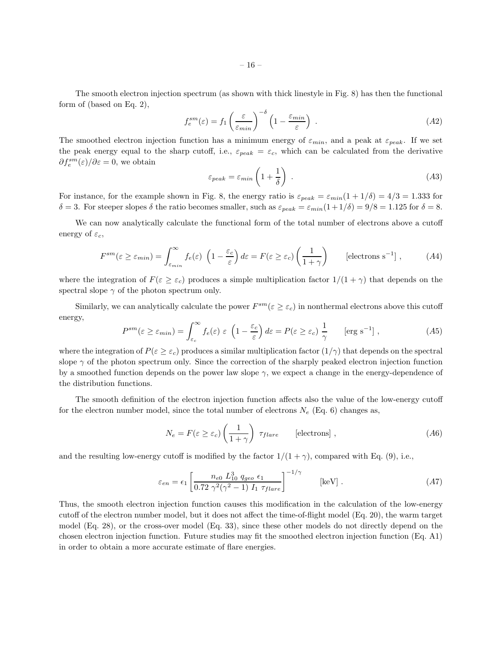The smooth electron injection spectrum (as shown with thick linestyle in Fig. 8) has then the functional form of (based on Eq. 2),

$$
f_e^{sm}(\varepsilon) = f_1 \left(\frac{\varepsilon}{\varepsilon_{min}}\right)^{-\delta} \left(1 - \frac{\varepsilon_{min}}{\varepsilon}\right) . \tag{A2}
$$

The smoothed electron injection function has a minimum energy of  $\varepsilon_{min}$ , and a peak at  $\varepsilon_{peak}$ . If we set the peak energy equal to the sharp cutoff, i.e.,  $\varepsilon_{peak} = \varepsilon_c$ , which can be calculated from the derivative  $\partial f_e^{sm}(\varepsilon)/\partial \varepsilon = 0$ , we obtain

$$
\varepsilon_{peak} = \varepsilon_{min} \left( 1 + \frac{1}{\delta} \right) \tag{A3}
$$

For instance, for the example shown in Fig. 8, the energy ratio is  $\varepsilon_{peak} = \varepsilon_{min}(1 + 1/\delta) = 4/3 = 1.333$  for  $\delta = 3$ . For steeper slopes  $\delta$  the ratio becomes smaller, such as  $\varepsilon_{peak} = \varepsilon_{min}(1 + 1/\delta) = 9/8 = 1.125$  for  $\delta = 8$ .

We can now analytically calculate the functional form of the total number of electrons above a cutoff energy of  $\varepsilon_c$ ,

$$
F^{sm}(\varepsilon \ge \varepsilon_{min}) = \int_{\varepsilon_{min}}^{\infty} f_e(\varepsilon) \left(1 - \frac{\varepsilon_c}{\varepsilon}\right) d\varepsilon = F(\varepsilon \ge \varepsilon_c) \left(\frac{1}{1+\gamma}\right) \qquad \text{[electrons s}^{-1} \, ,\tag{A4}
$$

where the integration of  $F(\varepsilon \geq \varepsilon_c)$  produces a simple multiplication factor  $1/(1 + \gamma)$  that depends on the spectral slope  $\gamma$  of the photon spectrum only.

Similarly, we can analytically calculate the power  $F^{sm}(\varepsilon \geq \varepsilon_c)$  in nonthermal electrons above this cutoff energy,

$$
P^{sm}(\varepsilon \ge \varepsilon_{min}) = \int_{\varepsilon_c}^{\infty} f_e(\varepsilon) \varepsilon \left(1 - \frac{\varepsilon_c}{\varepsilon}\right) d\varepsilon = P(\varepsilon \ge \varepsilon_c) \frac{1}{\gamma} \qquad \text{[erg s}^{-1]},\tag{A5}
$$

where the integration of  $P(\varepsilon \geq \varepsilon_c)$  produces a similar multiplication factor  $(1/\gamma)$  that depends on the spectral slope  $\gamma$  of the photon spectrum only. Since the correction of the sharply peaked electron injection function by a smoothed function depends on the power law slope  $\gamma$ , we expect a change in the energy-dependence of the distribution functions.

The smooth definition of the electron injection function affects also the value of the low-energy cutoff for the electron number model, since the total number of electrons  $N_e$  (Eq. 6) changes as,

$$
N_e = F(\varepsilon \ge \varepsilon_c) \left(\frac{1}{1+\gamma}\right) \tau_{flare} \qquad \text{[electrons]},
$$
\n(A6)

and the resulting low-energy cutoff is modified by the factor  $1/(1 + \gamma)$ , compared with Eq. (9), i.e.,

$$
\varepsilon_{en} = \epsilon_1 \left[ \frac{n_{e0} L_{10}^3 q_{geo} \epsilon_1}{0.72 \gamma^2 (\gamma^2 - 1) I_1 \tau_{flare}} \right]^{-1/\gamma} \qquad [\text{keV}] . \tag{A7}
$$

Thus, the smooth electron injection function causes this modification in the calculation of the low-energy cutoff of the electron number model, but it does not affect the time-of-flight model (Eq. 20), the warm target model (Eq. 28), or the cross-over model (Eq. 33), since these other models do not directly depend on the chosen electron injection function. Future studies may fit the smoothed electron injection function (Eq. A1) in order to obtain a more accurate estimate of flare energies.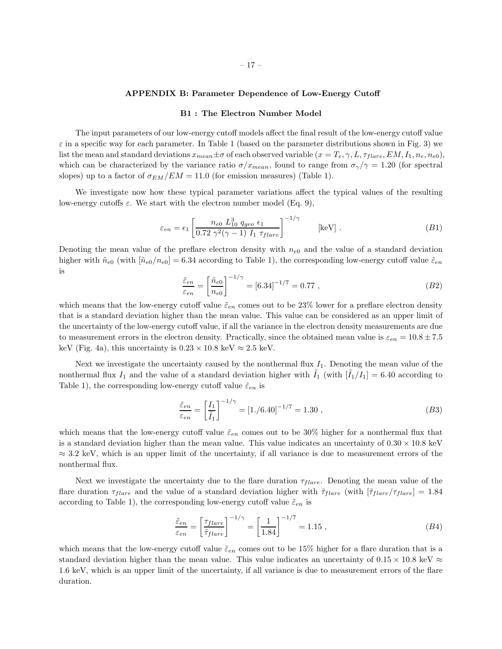# APPENDIX B: Parameter Dependence of Low-Energy Cutoff

### B1 : The Electron Number Model

The input parameters of our low-energy cutoff models affect the final result of the low-energy cutoff value  $\varepsilon$  in a specific way for each parameter. In Table 1 (based on the parameter distributions shown in Fig. 3) we list the mean and standard deviations  $x_{mean} \pm \sigma$  of each observed variable  $(x = T_e, \gamma, L, \tau_{flare}, EM, I_1, n_e, n_{e0}),$ which can be characterized by the variance ratio  $\sigma/x_{mean}$ , found to range from  $\sigma_{\gamma}/\gamma = 1.20$  (for spectral slopes) up to a factor of  $\sigma_{EM} / EM = 11.0$  (for emission measures) (Table 1).

We investigate now how these typical parameter variations affect the typical values of the resulting low-energy cutoffs  $\varepsilon$ . We start with the electron number model (Eq. 9),

$$
\varepsilon_{en} = \epsilon_1 \left[ \frac{n_{e0} L_{10}^3 q_{geo} \epsilon_1}{0.72 \gamma^2 (\gamma - 1) I_1 \tau_{flare}} \right]^{-1/\gamma} \qquad [\text{keV}] . \tag{B1}
$$

Denoting the mean value of the preflare electron density with  $n_{e0}$  and the value of a standard deviation higher with  $\tilde{n}_{e0}$  (with  $[\tilde{n}_{e0}/n_{e0}] = 6.34$  according to Table 1), the corresponding low-energy cutoff value  $\tilde{\varepsilon}_{en}$ is

$$
\frac{\tilde{\varepsilon}_{en}}{\varepsilon_{en}} = \left[ \frac{\tilde{n}_{e0}}{n_{e0}} \right]^{-1/\gamma} = [6.34]^{-1/7} = 0.77 , \qquad (B2)
$$

which means that the low-energy cutoff value  $\tilde{\varepsilon}_{en}$  comes out to be 23% lower for a preflare electron density that is a standard deviation higher than the mean value. This value can be considered as an upper limit of the uncertainty of the low-energy cutoff value, if all the variance in the electron density measurements are due to measurement errors in the electron density. Practically, since the obtained mean value is  $\varepsilon_{en} = 10.8 \pm 7.5$ keV (Fig. 4a), this uncertainty is  $0.23 \times 10.8$  keV  $\approx 2.5$  keV.

Next we investigate the uncertainty caused by the nonthermal flux  $I_1$ . Denoting the mean value of the nonthermal flux  $I_1$  and the value of a standard deviation higher with  $I_1$  (with  $|I_1/I_1| = 6.40$  according to Table 1), the corresponding low-energy cutoff value  $\tilde{\varepsilon}_{en}$  is

$$
\frac{\tilde{\varepsilon}_{en}}{\varepsilon_{en}} = \left[\frac{I_1}{\tilde{I}_1}\right]^{-1/\gamma} = [1./6.40]^{-1/7} = 1.30 ,\qquad (B3)
$$

which means that the low-energy cutoff value  $\tilde{\varepsilon}_{en}$  comes out to be 30% higher for a nonthermal flux that is a standard deviation higher than the mean value. This value indicates an uncertainty of  $0.30 \times 10.8$  keV  $\approx$  3.2 keV, which is an upper limit of the uncertainty, if all variance is due to measurement errors of the nonthermal flux.

Next we investigate the uncertainty due to the flare duration  $\tau_{flare}$ . Denoting the mean value of the flare duration  $\tau_{flare}$  and the value of a standard deviation higher with  $\tilde{\tau}_{flare}$  (with  $[\tilde{\tau}_{flare}/\tau_{flare}] = 1.84$ according to Table 1), the corresponding low-energy cutoff value  $\tilde{\varepsilon}_{en}$  is

$$
\frac{\tilde{\varepsilon}_{en}}{\varepsilon_{en}} = \left[\frac{\tau_{flare}}{\tilde{\tau}_{flare}}\right]^{-1/\gamma} = \left[\frac{1}{1.84}\right]^{-1/7} = 1.15 ,\qquad (B4)
$$

which means that the low-energy cutoff value  $\tilde{\varepsilon}_{en}$  comes out to be 15% higher for a flare duration that is a standard deviation higher than the mean value. This value indicates an uncertainty of  $0.15 \times 10.8$  keV  $\approx$ 1.6 keV, which is an upper limit of the uncertainty, if all variance is due to measurement errors of the flare duration.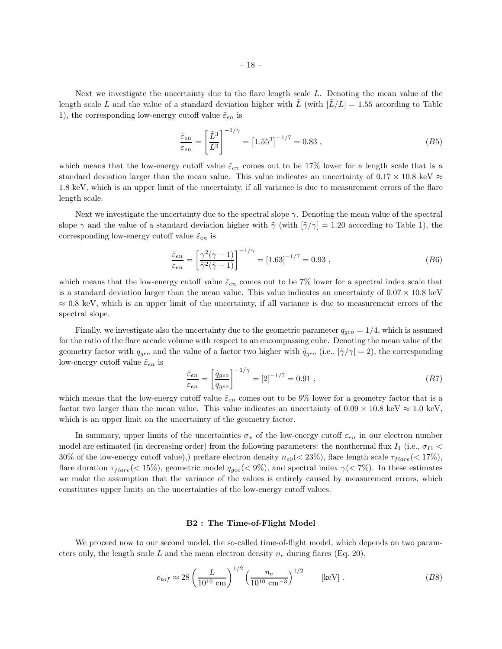Next we investigate the uncertainty due to the flare length scale L. Denoting the mean value of the length scale L and the value of a standard deviation higher with  $\tilde{L}$  (with  $\tilde{L}/L$  = 1.55 according to Table 1), the corresponding low-energy cutoff value  $\tilde{\varepsilon}_{en}$  is

$$
\frac{\tilde{\varepsilon}_{en}}{\varepsilon_{en}} = \left[\frac{\tilde{L}^3}{L^3}\right]^{-1/\gamma} = \left[1.55^3\right]^{-1/7} = 0.83\,,\tag{B5}
$$

which means that the low-energy cutoff value  $\tilde{\varepsilon}_{en}$  comes out to be 17% lower for a length scale that is a standard deviation larger than the mean value. This value indicates an uncertainty of  $0.17 \times 10.8$  keV  $\approx$ 1.8 keV, which is an upper limit of the uncertainty, if all variance is due to measurement errors of the flare length scale.

Next we investigate the uncertainty due to the spectral slope  $\gamma$ . Denoting the mean value of the spectral slope  $\gamma$  and the value of a standard deviation higher with  $\tilde{\gamma}$  (with  $[\tilde{\gamma}/\gamma] = 1.20$  according to Table 1), the corresponding low-energy cutoff value  $\tilde{\varepsilon}_{en}$  is

$$
\frac{\tilde{\varepsilon}_{en}}{\varepsilon_{en}} = \left[ \frac{\gamma^2 (\gamma - 1)}{\tilde{\gamma}^2 (\tilde{\gamma} - 1)} \right]^{-1/\gamma} = \left[ 1.63 \right]^{-1/7} = 0.93 ,\qquad (B6)
$$

which means that the low-energy cutoff value  $\tilde{\epsilon}_{en}$  comes out to be 7% lower for a spectral index scale that is a standard deviation larger than the mean value. This value indicates an uncertainty of  $0.07 \times 10.8 \text{ keV}$  $\approx 0.8$  keV, which is an upper limit of the uncertainty, if all variance is due to measurement errors of the spectral slope.

Finally, we investigate also the uncertainty due to the geometric parameter  $q_{q\epsilon\sigma} = 1/4$ , which is assumed for the ratio of the flare arcade volume with respect to an encompassing cube. Denoting the mean value of the geometry factor with  $q_{q\bar{e}o}$  and the value of a factor two higher with  $\tilde{q}_{q\bar{e}o}$  (i.e.,  $[\tilde{\gamma}/\gamma] = 2$ ), the corresponding low-energy cutoff value  $\tilde{\varepsilon}_{en}$  is

$$
\frac{\tilde{\varepsilon}_{en}}{\varepsilon_{en}} = \left[\frac{\tilde{q}_{geo}}{q_{geo}}\right]^{-1/\gamma} = [2]^{-1/7} = 0.91 ,\qquad (B7)
$$

which means that the low-energy cutoff value  $\tilde{\varepsilon}_{en}$  comes out to be 9% lower for a geometry factor that is a factor two larger than the mean value. This value indicates an uncertainty of  $0.09 \times 10.8 \text{ keV} \approx 1.0 \text{ keV}$ , which is an upper limit on the uncertainty of the geometry factor.

In summary, upper limits of the uncertainties  $\sigma_x$  of the low-energy cutoff  $\varepsilon_{en}$  in our electron number model are estimated (in decreasing order) from the following parameters: the nonthermal flux  $I_1$  (i.e.,  $\sigma_{I1}$  < 30% of the low-energy cutoff value),) preflare electron density  $n_{e0}$  (< 23%), flare length scale  $\tau_{flare}$  (< 17%), flare duration  $\tau_{flare}(< 15\%)$ , geometric model  $q_{geo}(< 9\%)$ , and spectral index  $\gamma(< 7\%)$ . In these estimates we make the assumption that the variance of the values is entirely caused by measurement errors, which constitutes upper limits on the uncertainties of the low-energy cutoff values.

# B2 : The Time-of-Flight Model

We proceed now to our second model, the so-called time-of-flight model, which depends on two parameters only, the length scale L and the mean electron density  $n_e$  during flares (Eq. 20),

$$
e_{tof} \approx 28 \left(\frac{L}{10^{10} \text{ cm}}\right)^{1/2} \left(\frac{n_e}{10^{10} \text{ cm}^{-3}}\right)^{1/2} \qquad \text{[keV]}.
$$
 (B8)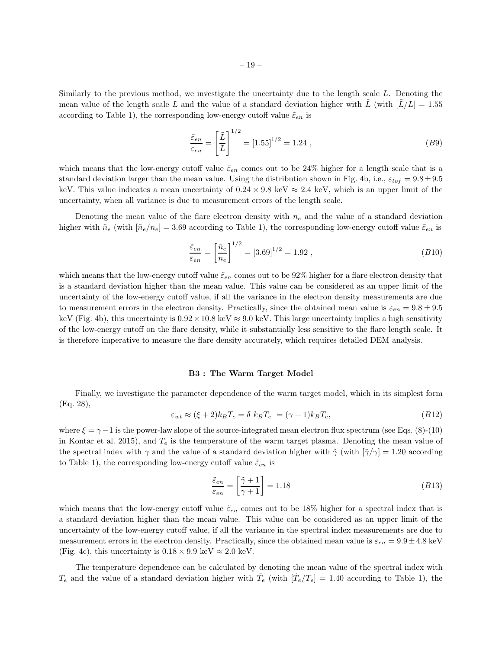Similarly to the previous method, we investigate the uncertainty due to the length scale L. Denoting the mean value of the length scale L and the value of a standard deviation higher with  $\tilde{L}$  (with  $\tilde{L}/L$  = 1.55 according to Table 1), the corresponding low-energy cutoff value  $\tilde{\varepsilon}_{en}$  is

$$
\frac{\tilde{\varepsilon}_{en}}{\varepsilon_{en}} = \left[\frac{\tilde{L}}{L}\right]^{1/2} = [1.55]^{1/2} = 1.24 ,\qquad (B9)
$$

which means that the low-energy cutoff value  $\tilde{\varepsilon}_{en}$  comes out to be 24% higher for a length scale that is a standard deviation larger than the mean value. Using the distribution shown in Fig. 4b, i.e.,  $\varepsilon_{tot} = 9.8 \pm 9.5$ keV. This value indicates a mean uncertainty of  $0.24 \times 9.8 \text{ keV} \approx 2.4 \text{ keV}$ , which is an upper limit of the uncertainty, when all variance is due to measurement errors of the length scale.

Denoting the mean value of the flare electron density with  $n_e$  and the value of a standard deviation higher with  $\tilde{n}_e$  (with  $[\tilde{n}_e/n_e] = 3.69$  according to Table 1), the corresponding low-energy cutoff value  $\tilde{\varepsilon}_{en}$  is

$$
\frac{\tilde{\varepsilon}_{en}}{\varepsilon_{en}} = \left[\frac{\tilde{n}_e}{n_e}\right]^{1/2} = [3.69]^{1/2} = 1.92 ,\qquad (B10)
$$

which means that the low-energy cutoff value  $\tilde{\epsilon}_{en}$  comes out to be 92% higher for a flare electron density that is a standard deviation higher than the mean value. This value can be considered as an upper limit of the uncertainty of the low-energy cutoff value, if all the variance in the electron density measurements are due to measurement errors in the electron density. Practically, since the obtained mean value is  $\varepsilon_{en} = 9.8 \pm 9.5$ keV (Fig. 4b), this uncertainty is  $0.92 \times 10.8$  keV  $\approx 9.0$  keV. This large uncertainty implies a high sensitivity of the low-energy cutoff on the flare density, while it substantially less sensitive to the flare length scale. It is therefore imperative to measure the flare density accurately, which requires detailed DEM analysis.

### B3 : The Warm Target Model

Finally, we investigate the parameter dependence of the warm target model, which in its simplest form (Eq. 28),

$$
\varepsilon_{wt} \approx (\xi + 2)k_B T_e = \delta k_B T_e = (\gamma + 1)k_B T_e, \tag{B12}
$$

where  $\xi = \gamma - 1$  is the power-law slope of the source-integrated mean electron flux spectrum (see Eqs. (8)-(10) in Kontar et al. 2015), and  $T_e$  is the temperature of the warm target plasma. Denoting the mean value of the spectral index with  $\gamma$  and the value of a standard deviation higher with  $\tilde{\gamma}$  (with  $[\tilde{\gamma}/\gamma] = 1.20$  according to Table 1), the corresponding low-energy cutoff value  $\tilde{\varepsilon}_{en}$  is

$$
\frac{\tilde{\varepsilon}_{en}}{\varepsilon_{en}} = \left[\frac{\tilde{\gamma} + 1}{\gamma + 1}\right] = 1.18\tag{B13}
$$

which means that the low-energy cutoff value  $\tilde{\varepsilon}_{en}$  comes out to be 18% higher for a spectral index that is a standard deviation higher than the mean value. This value can be considered as an upper limit of the uncertainty of the low-energy cutoff value, if all the variance in the spectral index measurements are due to measurement errors in the electron density. Practically, since the obtained mean value is  $\varepsilon_{en} = 9.9 \pm 4.8$  keV (Fig. 4c), this uncertainty is  $0.18 \times 9.9 \text{ keV} \approx 2.0 \text{ keV}$ .

The temperature dependence can be calculated by denoting the mean value of the spectral index with  $T_e$  and the value of a standard deviation higher with  $\tilde{T}_e$  (with  $[\tilde{T}_e/T_e] = 1.40$  according to Table 1), the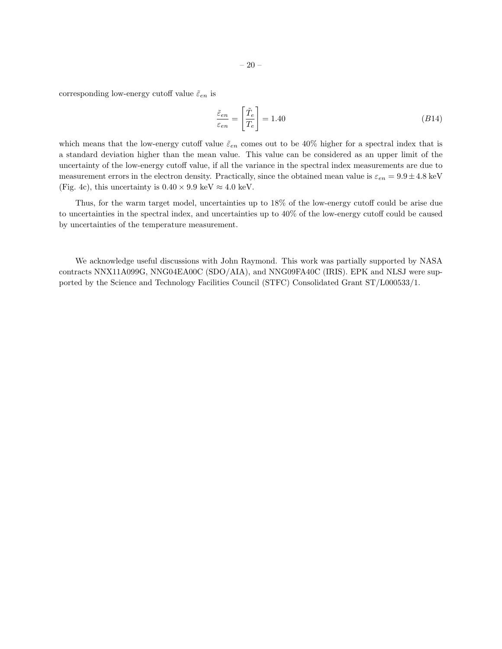corresponding low-energy cutoff value  $\tilde{\varepsilon}_{en}$  is

$$
\frac{\tilde{\varepsilon}_{en}}{\varepsilon_{en}} = \left[ \frac{\tilde{T}_e}{T_e} \right] = 1.40 \tag{B14}
$$

which means that the low-energy cutoff value  $\tilde{\varepsilon}_{en}$  comes out to be 40% higher for a spectral index that is a standard deviation higher than the mean value. This value can be considered as an upper limit of the uncertainty of the low-energy cutoff value, if all the variance in the spectral index measurements are due to measurement errors in the electron density. Practically, since the obtained mean value is  $\varepsilon_{en} = 9.9 \pm 4.8 \text{ keV}$ (Fig. 4c), this uncertainty is  $0.40 \times 9.9 \text{ keV} \approx 4.0 \text{ keV}$ .

Thus, for the warm target model, uncertainties up to 18% of the low-energy cutoff could be arise due to uncertainties in the spectral index, and uncertainties up to 40% of the low-energy cutoff could be caused by uncertainties of the temperature measurement.

We acknowledge useful discussions with John Raymond. This work was partially supported by NASA contracts NNX11A099G, NNG04EA00C (SDO/AIA), and NNG09FA40C (IRIS). EPK and NLSJ were supported by the Science and Technology Facilities Council (STFC) Consolidated Grant ST/L000533/1.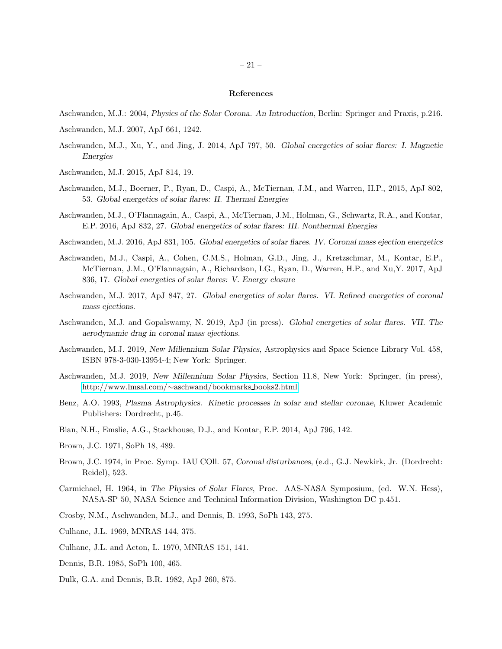### References

- Aschwanden, M.J.: 2004, Physics of the Solar Corona. An Introduction, Berlin: Springer and Praxis, p.216.
- Aschwanden, M.J. 2007, ApJ 661, 1242.
- Aschwanden, M.J., Xu, Y., and Jing, J. 2014, ApJ 797, 50. Global energetics of solar flares: I. Magnetic Energies
- Aschwanden, M.J. 2015, ApJ 814, 19.
- Aschwanden, M.J., Boerner, P., Ryan, D., Caspi, A., McTiernan, J.M., and Warren, H.P., 2015, ApJ 802, 53. Global energetics of solar flares: II. Thermal Energies
- Aschwanden, M.J., O'Flannagain, A., Caspi, A., McTiernan, J.M., Holman, G., Schwartz, R.A., and Kontar, E.P. 2016, ApJ 832, 27. Global energetics of solar flares: III. Nonthermal Energies
- Aschwanden, M.J. 2016, ApJ 831, 105. Global energetics of solar flares. IV. Coronal mass ejection energetics
- Aschwanden, M.J., Caspi, A., Cohen, C.M.S., Holman, G.D., Jing, J., Kretzschmar, M., Kontar, E.P., McTiernan, J.M., O'Flannagain, A., Richardson, I.G., Ryan, D., Warren, H.P., and Xu,Y. 2017, ApJ 836, 17. Global energetics of solar flares: V. Energy closure
- Aschwanden, M.J. 2017, ApJ 847, 27. Global energetics of solar flares. VI. Refined energetics of coronal mass ejections.
- Aschwanden, M.J. and Gopalswamy, N. 2019, ApJ (in press). Global energetics of solar flares. VII. The aerodynamic drag in coronal mass ejections.
- Aschwanden, M.J. 2019, New Millennium Solar Physics, Astrophysics and Space Science Library Vol. 458, ISBN 978-3-030-13954-4; New York: Springer.
- Aschwanden, M.J. 2019, New Millennium Solar Physics, Section 11.8, New York: Springer, (in press), [http://www.lmsal.com/](http://www.lmsal.com/~aschwand/bookmarks$_$books2.html)∼aschwand/bookmarks books2.html.
- Benz, A.O. 1993, Plasma Astrophysics. Kinetic processes in solar and stellar coronae, Kluwer Academic Publishers: Dordrecht, p.45.
- Bian, N.H., Emslie, A.G., Stackhouse, D.J., and Kontar, E.P. 2014, ApJ 796, 142.
- Brown, J.C. 1971, SoPh 18, 489.
- Brown, J.C. 1974, in Proc. Symp. IAU COll. 57, Coronal disturbances, (e.d., G.J. Newkirk, Jr. (Dordrecht: Reidel), 523.
- Carmichael, H. 1964, in The Physics of Solar Flares, Proc. AAS-NASA Symposium, (ed. W.N. Hess), NASA-SP 50, NASA Science and Technical Information Division, Washington DC p.451.
- Crosby, N.M., Aschwanden, M.J., and Dennis, B. 1993, SoPh 143, 275.
- Culhane, J.L. 1969, MNRAS 144, 375.
- Culhane, J.L. and Acton, L. 1970, MNRAS 151, 141.
- Dennis, B.R. 1985, SoPh 100, 465.
- Dulk, G.A. and Dennis, B.R. 1982, ApJ 260, 875.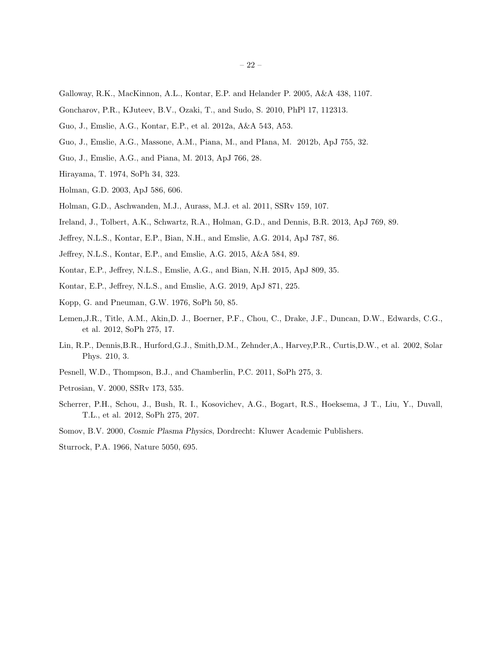- Galloway, R.K., MacKinnon, A.L., Kontar, E.P. and Helander P. 2005, A&A 438, 1107.
- Goncharov, P.R., KJuteev, B.V., Ozaki, T., and Sudo, S. 2010, PhPl 17, 112313.
- Guo, J., Emslie, A.G., Kontar, E.P., et al. 2012a, A&A 543, A53.
- Guo, J., Emslie, A.G., Massone, A.M., Piana, M., and PIana, M. 2012b, ApJ 755, 32.
- Guo, J., Emslie, A.G., and Piana, M. 2013, ApJ 766, 28.
- Hirayama, T. 1974, SoPh 34, 323.
- Holman, G.D. 2003, ApJ 586, 606.
- Holman, G.D., Aschwanden, M.J., Aurass, M.J. et al. 2011, SSRv 159, 107.
- Ireland, J., Tolbert, A.K., Schwartz, R.A., Holman, G.D., and Dennis, B.R. 2013, ApJ 769, 89.
- Jeffrey, N.L.S., Kontar, E.P., Bian, N.H., and Emslie, A.G. 2014, ApJ 787, 86.
- Jeffrey, N.L.S., Kontar, E.P., and Emslie, A.G. 2015, A&A 584, 89.
- Kontar, E.P., Jeffrey, N.L.S., Emslie, A.G., and Bian, N.H. 2015, ApJ 809, 35.
- Kontar, E.P., Jeffrey, N.L.S., and Emslie, A.G. 2019, ApJ 871, 225.
- Kopp, G. and Pneuman, G.W. 1976, SoPh 50, 85.
- Lemen,J.R., Title, A.M., Akin,D. J., Boerner, P.F., Chou, C., Drake, J.F., Duncan, D.W., Edwards, C.G., et al. 2012, SoPh 275, 17.
- Lin, R.P., Dennis,B.R., Hurford,G.J., Smith,D.M., Zehnder,A., Harvey,P.R., Curtis,D.W., et al. 2002, Solar Phys. 210, 3.
- Pesnell, W.D., Thompson, B.J., and Chamberlin, P.C. 2011, SoPh 275, 3.
- Petrosian, V. 2000, SSRv 173, 535.
- Scherrer, P.H., Schou, J., Bush, R. I., Kosovichev, A.G., Bogart, R.S., Hoeksema, J T., Liu, Y., Duvall, T.L., et al. 2012, SoPh 275, 207.
- Somov, B.V. 2000, Cosmic Plasma Physics, Dordrecht: Kluwer Academic Publishers.
- Sturrock, P.A. 1966, Nature 5050, 695.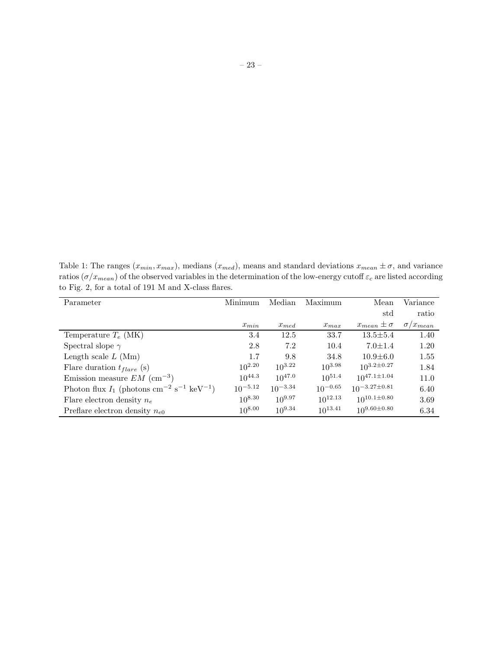Table 1: The ranges  $(x_{min}, x_{max})$ , medians  $(x_{med})$ , means and standard deviations  $x_{mean} \pm \sigma$ , and variance ratios  $(\sigma/x_{mean})$  of the observed variables in the determination of the low-energy cutoff  $\varepsilon_c$  are listed according to Fig. 2, for a total of 191 M and X-class flares.

| Parameter                                                                       | Minimum      | Median       | Maximum      | Mean                  | Variance          |
|---------------------------------------------------------------------------------|--------------|--------------|--------------|-----------------------|-------------------|
|                                                                                 |              |              |              | std                   | ratio             |
|                                                                                 | $x_{min}$    | $x_{med}$    | $x_{max}$    | $x_{mean} \pm \sigma$ | $\sigma/x_{mean}$ |
| Temperature $T_e$ (MK)                                                          | 3.4          | 12.5         | 33.7         | $13.5 \pm 5.4$        | 1.40              |
| Spectral slope $\gamma$                                                         | 2.8          | 7.2          | 10.4         | $7.0 \pm 1.4$         | 1.20              |
| Length scale $L(Mm)$                                                            | 1.7          | 9.8          | 34.8         | $10.9 \pm 6.0$        | 1.55              |
| Flare duration $t_{flare}$ (s)                                                  | $10^{2.20}$  | $10^{3.22}$  | $10^{3.98}$  | $10^{3.2 \pm 0.27}$   | 1.84              |
| Emission measure $EM~(\text{cm}^{-3})$                                          | $10^{44.3}$  | $10^{47.0}$  | $10^{51.4}$  | $10^{47.1 \pm 1.04}$  | 11.0              |
| Photon flux $I_1$ (photons cm <sup>-2</sup> s <sup>-1</sup> keV <sup>-1</sup> ) | $10^{-5.12}$ | $10^{-3.34}$ | $10^{-0.65}$ | $10^{-3.27 \pm 0.81}$ | 6.40              |
| Flare electron density $n_e$                                                    | $10^{8.30}$  | $10^{9.97}$  | $10^{12.13}$ | $10^{10.1 \pm 0.80}$  | 3.69              |
| Preflare electron density $n_{e0}$                                              | $10^{8.00}$  | $10^{9.34}$  | $10^{13.41}$ | $10^{9.60 \pm 0.80}$  | 6.34              |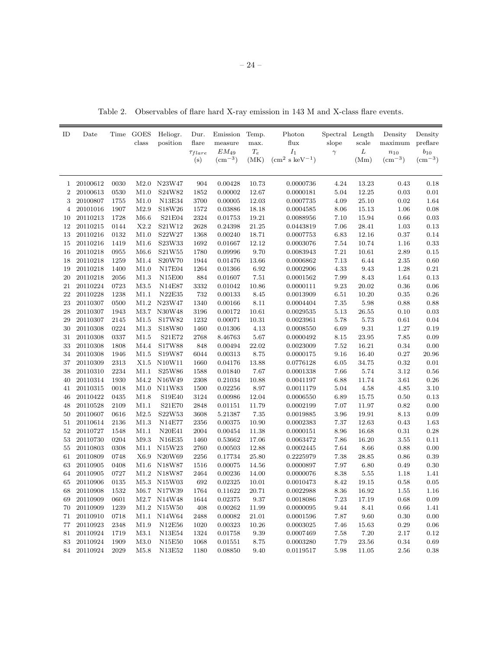Table 2. Observables of flare hard X-ray emission in 143 M and X-class flare events.

| ID             | Date     |      | Time GOES<br>class | Heliogr.<br>position | Dur.<br>flare<br>$\tau_{flare}$<br>(s) | Emission<br>measure<br>$EM_{49}$<br>$\rm (cm^{-3})$ | Temp.<br>max.<br>$\mathcal{T}_e$<br>(MK) | Photon<br>flux<br>$I_1$<br>$\rm (cm^2~s~keV^{-1})$ | Spectral Length<br>slope<br>$\gamma$ | scale<br>${\cal L}$<br>(Mm) | Density<br>maximum<br>$n_{10}$<br>$\rm (cm^{-3})$ | Density<br>preflare<br>$b_{10}$<br>$\rm (cm^{-3})$ |
|----------------|----------|------|--------------------|----------------------|----------------------------------------|-----------------------------------------------------|------------------------------------------|----------------------------------------------------|--------------------------------------|-----------------------------|---------------------------------------------------|----------------------------------------------------|
|                |          |      |                    |                      |                                        |                                                     |                                          |                                                    |                                      |                             |                                                   |                                                    |
| $\mathbf{1}$   | 20100612 | 0030 | M2.0               | N23W47               | 904                                    | 0.00428                                             | 10.73                                    | 0.0000736                                          | 4.24                                 | 13.23                       | 0.43                                              | 0.18                                               |
| $\overline{2}$ | 20100613 | 0530 | M1.0               | S24W82               | 1852                                   | 0.00002                                             | 12.67                                    | 0.0000181                                          | 5.04                                 | 12.25                       | $\rm 0.03$                                        | 0.01                                               |
| 3              | 20100807 | 1755 | M1.0               | N13E34               | 3700                                   | 0.00005                                             | 12.03                                    | 0.0007735                                          | 4.09                                 | 25.10                       | $0.02\,$                                          | 1.64                                               |
| $\overline{4}$ | 20101016 | 1907 | M2.9               | S18W26               | 1572                                   | 0.03886                                             | 18.18                                    | 0.0004585                                          | 8.06                                 | 15.13                       | 1.06                                              | 0.08                                               |
| 10             | 20110213 | 1728 | M6.6               | S21E04               | 2324                                   | 0.01753                                             | 19.21                                    | 0.0088956                                          | 7.10                                 | 15.94                       | 0.66                                              | 0.03                                               |
| 12             | 20110215 | 0144 | X2.2               | S21W12               | 2628                                   | 0.24398                                             | 21.25                                    | 0.0443819                                          | 7.06                                 | 28.41                       | 1.03                                              | 0.13                                               |
| 13             | 20110216 | 0132 | M1.0               | S22W27               | 1368                                   | 0.00240                                             | 18.71                                    | 0.0007753                                          | 6.83                                 | 12.16                       | 0.37                                              | 0.14                                               |
| 15             | 20110216 | 1419 | M1.6               | S23W33               | 1692                                   | 0.01667                                             | 12.12                                    | 0.0003076                                          | 7.54                                 | 10.74                       | 1.16                                              | 0.33                                               |
| 16             | 20110218 | 0955 | M6.6               | S21W55               | 1780                                   | 0.09996                                             | 9.70                                     | 0.0083943                                          | $7.21\,$                             | 10.61                       | $2.89\,$                                          | $0.15\,$                                           |
| 18             | 20110218 | 1259 | M1.4               | S20W70               | 1944                                   | 0.01476                                             | 13.66                                    | 0.0006862                                          | 7.13                                 | 6.44                        | $2.35\,$                                          | 0.60                                               |
| 19             | 20110218 | 1400 | M1.0               | <b>N17E04</b>        | 1264                                   | 0.01366                                             | $6.92\,$                                 | 0.0002906                                          | 4.33                                 | $9.43\,$                    | $1.28\,$                                          | $0.21\,$                                           |
| 20             | 20110218 | 2056 | M1.3               | N15E00               | 884                                    | 0.01607                                             | 7.51                                     | 0.0001562                                          | 7.99                                 | 8.43                        | 1.64                                              | 0.13                                               |
| 21             | 20110224 | 0723 | M3.5               | N14E87               | 3332                                   | 0.01042                                             | 10.86                                    | 0.0000111                                          | 9.23                                 | 20.02                       | 0.36                                              | 0.06                                               |
| 22             | 20110228 | 1238 | M1.1               | N22E35               | 732                                    | 0.00133                                             | 8.45                                     | 0.0013909                                          | 6.51                                 | 10.20                       | 0.35                                              | 0.26                                               |
| 23             | 20110307 | 0500 | M1.2               | N23W47               | 1340                                   | 0.00166                                             | 8.11                                     | 0.0004404                                          | 7.35                                 | 5.98                        | 0.88                                              | 0.88                                               |
| 28             | 20110307 | 1943 | M3.7               | N30W48               | 3196                                   | 0.00172                                             | 10.61                                    | 0.0029535                                          | 5.13                                 | 26.55                       | $0.10\,$                                          | 0.03                                               |
| 29             | 20110307 | 2145 | M1.5               | S17W82               | 1232                                   | 0.00071                                             | 10.31                                    | 0.0023961                                          | 5.78                                 | 5.73                        | $\rm 0.61$                                        | 0.04                                               |
| 30             | 20110308 | 0224 | M1.3               | S18W80               | 1460                                   | 0.01306                                             | 4.13                                     | 0.0008550                                          | 6.69                                 | 9.31                        | 1.27                                              | 0.19                                               |
| 31             | 20110308 | 0337 | M1.5               | S21E72               | 2768                                   | 8.46763                                             | 5.67                                     | 0.0000492                                          | 8.15                                 | 23.95                       | $7.85\,$                                          | 0.09                                               |
| 33             | 20110308 | 1808 | M4.4               | S17W88               | 848                                    | 0.00494                                             | 22.02                                    | 0.0023009                                          | $7.52\,$                             | 16.21                       | $0.34\,$                                          | 0.00                                               |
| 34             | 20110308 | 1946 | M1.5               | S19W87               | 6044                                   | 0.00313                                             | $8.75\,$                                 | 0.0000175                                          | 9.16                                 | 16.40                       | $0.27\,$                                          | 20.96                                              |
| 37             | 20110309 | 2313 | X1.5               | N10W11               | 1660                                   | 0.04176                                             | 13.88                                    | 0.0776128                                          | 6.05                                 | 34.75                       | 0.32                                              | 0.01                                               |
| 38             | 20110310 | 2234 | M1.1               | S25W86               | 1588                                   | 0.01840                                             | 7.67                                     | 0.0001338                                          | 7.66                                 | 5.74                        | 3.12                                              | 0.56                                               |
| 40             | 20110314 | 1930 |                    | M4.2 N16W49          | 2308                                   | 0.21034                                             | 10.88                                    | 0.0041197                                          | 6.88                                 | 11.74                       | 3.61                                              | 0.26                                               |
| 41             | 20110315 | 0018 | M1.0               | N11W83               | 1500                                   | 0.02256                                             | 8.97                                     | 0.0011179                                          | 5.04                                 | 4.58                        | 4.85                                              | 3.10                                               |
| 46             | 20110422 | 0435 | M1.8               | S19E40               | 3124                                   | 0.00986                                             | 12.04                                    | 0.0006550                                          | 6.89                                 | 15.75                       | $0.50\,$                                          | 0.13                                               |
| 48             | 20110528 | 2109 | M1.1               | S21E70               | 2848                                   | 0.01151                                             | 11.79                                    | 0.0002199                                          | 7.07                                 | 11.97                       | 0.82                                              | 0.00                                               |
| 50             | 20110607 | 0616 | M2.5               | S22W53               | 3608                                   | 5.21387                                             | 7.35                                     | 0.0019885                                          | 3.96                                 | 19.91                       | 8.13                                              | 0.09                                               |
| 51             | 20110614 | 2136 | M1.3               | N14E77               | 2356                                   | 0.00375                                             | 10.90                                    | $\,0.0002383\,$                                    | 7.37                                 | 12.63                       | $0.43\,$                                          | 1.63                                               |
| 52             | 20110727 | 1548 | M1.1               | <b>N20E41</b>        | 2004                                   | 0.00454                                             | 11.38                                    | 0.0000151                                          | 8.96                                 | 16.68                       | $\rm 0.31$                                        | $0.28\,$                                           |
| 53             | 20110730 | 0204 | M9.3               | N16E35               | 1460                                   | 0.53662                                             | 17.06                                    | 0.0063472                                          | 7.86                                 | 16.20                       | $3.55\,$                                          | 0.11                                               |
| 55             | 20110803 | 0308 | M1.1               | N15W23               | 2760                                   | 0.00503                                             | 12.88                                    | $\, 0.0002445\,$                                   | 7.64                                 | 8.66                        | 0.88                                              | 0.00                                               |
| 61             | 20110809 | 0748 | X6.9               | N20W69               | 2256                                   | 0.17734                                             | 25.80                                    | 0.2225979                                          | 7.38                                 | 28.85                       | 0.86                                              | 0.39                                               |
| 63             | 20110905 | 0408 | M1.6               | N18W87               | 1516                                   | 0.00075                                             | 14.56                                    | 0.0000897                                          | 7.97                                 | 6.80                        | 0.49                                              | 0.30                                               |
| 64             | 20110905 | 0727 | M1.2               | N18W87               | 2464                                   | 0.00236                                             | 14.00                                    | 0.0000076                                          | 8.38                                 | $5.55\,$                    | 1.18                                              | 1.41                                               |
| 65             | 20110906 | 0135 | M5.3               | N15W03               | 692                                    | 0.02325                                             | 10.01                                    | 0.0010473                                          | 8.42                                 | 19.15                       | 0.58                                              | 0.05                                               |
| 68             | 20110908 | 1532 | M6.7               | N17W39               | 1764                                   | 0.11622                                             | 20.71                                    | 0.0022988                                          | $8.36\,$                             | 16.92                       | 1.55                                              | 1.16                                               |
| 69             | 20110909 | 0601 | M2.7               | N14W48               | 1644                                   | 0.02375                                             | 9.37                                     | 0.0018086                                          | 7.23                                 | 17.19                       | 0.68                                              | 0.09                                               |
| 70             | 20110909 | 1239 | M1.2               | N15W50               | 408                                    | 0.00262                                             | 11.99                                    | 0.0000095                                          | 9.44                                 | 8.41                        | 0.66                                              | 1.41                                               |
| 71             | 20110910 | 0718 | M1.1               | N14W64               | 2488                                   | 0.00082                                             | 21.01                                    | 0.0001596                                          | 7.87                                 | 9.60                        | 0.30                                              | 0.00                                               |
| 77             | 20110923 | 2348 | M1.9               | N12E56               | 1020                                   | 0.00323                                             | 10.26                                    | 0.0003025                                          | 7.46                                 | 15.63                       | $0.29\,$                                          | 0.06                                               |
| 81             | 20110924 | 1719 | M3.1               | N13E54               | 1324                                   | 0.01758                                             | 9.39                                     | 0.0007469                                          | 7.58                                 | 7.20                        | 2.17                                              | 0.12                                               |
| 83             | 20110924 | 1909 | M3.0               | N15E50               | 1068                                   | 0.01551                                             | 8.75                                     | 0.0003280                                          | 7.79                                 | 23.56                       | 0.34                                              | 0.69                                               |
| 84             | 20110924 | 2029 | M5.8               | N13E52               | 1180                                   | 0.08850                                             | 9.40                                     | 0.0119517                                          | 5.98                                 | 11.05                       | 2.56                                              | 0.38                                               |
|                |          |      |                    |                      |                                        |                                                     |                                          |                                                    |                                      |                             |                                                   |                                                    |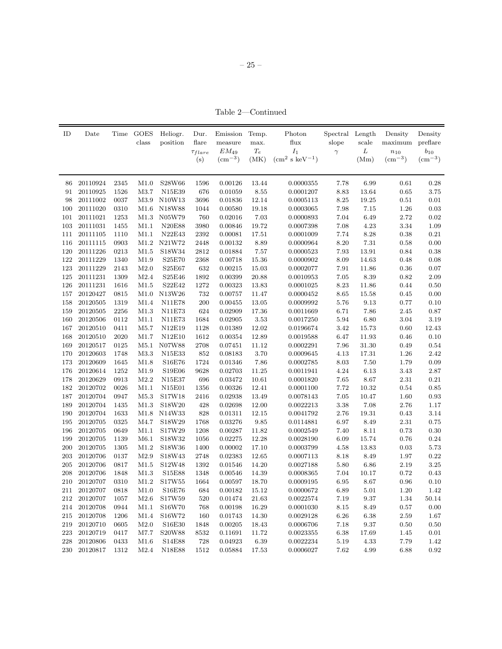– 25 –

Table 2—Continued

| ID  | Date     |          | Time GOES<br>class | Heliogr.<br>position | Dur.<br>flare<br>$\tau_{flare}$ | Emission<br>measure<br>$EM_{49}$ | Temp.<br>max.<br>$\mathcal{T} _e$ | Photon<br>flux<br>$I_1$ | Spectral Length<br>slope<br>$\gamma$ | scale<br>$\cal L$ | Density<br>maximum<br>$n_{10}$ | Density<br>preflare<br>$b_{10}$ |
|-----|----------|----------|--------------------|----------------------|---------------------------------|----------------------------------|-----------------------------------|-------------------------|--------------------------------------|-------------------|--------------------------------|---------------------------------|
|     |          |          |                    |                      | (s)                             | $\rm (cm^{-3})$                  | (MK)                              | $\rm (cm^2~s~keV^{-1})$ |                                      | (Mm)              | $\rm (cm^{-3})$                | $\rm (cm^{-3})$                 |
|     |          |          |                    |                      |                                 |                                  |                                   |                         |                                      |                   |                                |                                 |
| 86  | 20110924 | 2345     | M1.0               | S28W66               | 1596                            | 0.00126                          | 13.44                             | 0.0000355               | 7.78                                 | 6.99              | 0.61                           | 0.28                            |
| 91  | 20110925 | 1526     | M3.7               | N15E39               | 676                             | 0.01059                          | 8.55                              | 0.0001207               | $8.83\,$                             | 13.64             | 0.65                           | 3.75                            |
| 98  | 20111002 | 0037     | M3.9               | N10W13               | 3696                            | 0.01836                          | 12.14                             | 0.0005113               | 8.25                                 | 19.25             | $\rm 0.51$                     | $0.01\,$                        |
| 100 | 20111020 | 0310     | M1.6               | N18W88               | 1044                            | 0.00580                          | 19.18                             | 0.0003065               | 7.98                                 | 7.15              | 1.26                           | $\rm 0.03$                      |
| 101 | 20111021 | 1253     | M1.3               | N05W79               | 760                             | 0.02016                          | 7.03                              | 0.0000893               | 7.04                                 | 6.49              | 2.72                           | $\rm 0.02$                      |
| 103 | 20111031 | 1455     | M1.1               | <b>N20E88</b>        | 3980                            | 0.00846                          | 19.72                             | 0.0007398               | 7.08                                 | 4.23              | 3.34                           | 1.09                            |
| 111 | 20111105 | 1110     | M1.1               | <b>N22E43</b>        | 2392                            | 0.00081                          | $17.51\,$                         | 0.0001009               | 7.74                                 | 8.28              | $0.38\,$                       | $\rm 0.21$                      |
| 116 | 20111115 | 0903     | M1.2               | N21W72               | 2448                            | 0.00132                          | $8.89\,$                          | 0.0000964               | $8.20\,$                             | 7.31              | 0.58                           | 0.00                            |
| 120 | 20111226 | 0213     | M1.5               | S18W34               | 2812                            | 0.01884                          | $7.57\,$                          | 0.0000523               | $7.93\,$                             | 13.91             | 0.84                           | $\rm 0.38$                      |
| 122 | 20111229 | 1340     | M1.9               | S25E70               | 2368                            | 0.00718                          | 15.36                             | 0.0000902               | $8.09\,$                             | 14.63             | 0.48                           | 0.08                            |
| 123 | 20111229 | 2143     | M2.0               | S25E67               | 632                             | 0.00215                          | 15.03                             | 0.0002077               | $7.91\,$                             | 11.86             | $0.36\,$                       | $0.07\,$                        |
| 125 | 20111231 | 1309     | M2.4               | S25E46               | 1892                            | 0.00399                          | 20.88                             | 0.0010953               | $7.05\,$                             | 8.39              | 0.82                           | 2.09                            |
| 126 | 20111231 | 1616     | M1.5               | S22E42               | 1272                            | 0.00323                          | 13.83                             | 0.0001025               | 8.23                                 | 11.86             | 0.44                           | 0.50                            |
| 157 | 20120427 | 0815     | M1.0               | N13W26               | 732                             | 0.00757                          | 11.47                             | 0.0000452               | 8.65                                 | 15.58             | 0.45                           | 0.00                            |
| 158 | 20120505 | 1319     | M1.4               | <b>N11E78</b>        | 200                             | 0.00455                          | 13.05                             | 0.0009992               | 5.76                                 | 9.13              | 0.77                           | 0.10                            |
| 159 | 20120505 | 2256     | M1.3               | <b>N11E73</b>        | 624                             | 0.02909                          | 17.36                             | 0.0011669               | 6.71                                 | 7.86              | 2.45                           | 0.87                            |
| 160 | 20120506 | 0112     | M1.1               | <b>N11E73</b>        | 1684                            | 0.02905                          | 3.53                              | 0.0017250               | 5.94                                 | 6.80              | 3.04                           | 3.19                            |
| 167 | 20120510 | 0411     | M <sub>5.7</sub>   | N12E19               | 1128                            | 0.01389                          | 12.02                             | 0.0196674               | 3.42                                 | 15.73             | 0.60                           | 12.43                           |
| 168 | 20120510 | $2020\,$ | M1.7               | N12E10               | 1612                            | 0.00354                          | 12.89                             | 0.0019588               | 6.47                                 | 11.93             | 0.46                           | 0.10                            |
| 169 | 20120517 | 0125     | M5.1               | N07W88               | 2708                            | 0.07451                          | 11.12                             | 0.0002291               | 7.96                                 | 31.30             | 0.49                           | 0.54                            |
| 170 | 20120603 | 1748     | $\rm M3.3$         | N15E33               | 852                             | 0.08183                          | $3.70\,$                          | 0.0009645               | 4.13                                 | 17.31             | 1.26                           | 2.42                            |
| 173 | 20120609 | 1645     | M1.8               | S16E76               | 1724                            | 0.01346                          | $7.86\,$                          | 0.0002785               | $8.03\,$                             | 7.50              | 1.79                           | $0.09\,$                        |
| 176 | 20120614 | 1252     | M1.9               | S19E06               | 9628                            | 0.02703                          | $11.25\,$                         | 0.0011941               | 4.24                                 | 6.13              | $3.43\,$                       | 2.87                            |
| 178 | 20120629 | 0913     | M2.2               | N15E37               | 696                             | 0.03472                          | 10.61                             | 0.0001820               | $7.65\,$                             | 8.67              | $2.31\,$                       | $\rm 0.21$                      |
| 182 | 20120702 | 0026     | M1.1               | N15E01               | 1356                            | 0.00326                          | 12.41                             | 0.0001100               | 7.72                                 | 10.32             | 0.54                           | 0.85                            |
| 187 | 20120704 | 0947     | M5.3               | S17W18               | 2416                            | 0.02938                          | 13.49                             | 0.0078143               | $7.05\,$                             | 10.47             | 1.60                           | $\rm 0.93$                      |
| 189 | 20120704 | 1435     | M1.3               | S18W20               | 428                             | 0.02698                          | 12.00                             | 0.0022213               | $3.38\,$                             | 7.08              | 2.76                           | $1.17\,$                        |
| 190 | 20120704 | 1633     | M1.8               | N14W33               | $828\,$                         | 0.01311                          | $12.15\,$                         | 0.0041792               | $2.76\,$                             | 19.31             | 0.43                           | 3.14                            |
| 195 | 20120705 | 0325     | M4.7               | S18W29               | 1768                            | 0.03276                          | 9.85                              | 0.0114881               | 6.97                                 | 8.49              | 2.31                           | 0.75                            |
| 196 | 20120705 | 0649     | M1.1               | S17W29               | 1208                            | 0.00287                          | 11.82                             | 0.0002549               | 7.40                                 | 8.11              | 0.73                           | 0.30                            |
| 199 | 20120705 | 1139     | M6.1               | S18W32               | 1056                            | 0.02275                          | 12.28                             | 0.0028190               | $6.09\,$                             | 15.74             | 0.76                           | 0.24                            |
| 200 | 20120705 | 1305     | M1.2               | S18W36               | 1400                            | 0.00002                          | 17.10                             | 0.0003799               | 4.58                                 | 13.83             | $\rm 0.03$                     | $5.73\,$                        |
| 203 | 20120706 | 0137     | M2.9               | S18W43               | 2748                            | 0.02383                          | 12.65                             | 0.0007113               | 8.18                                 | 8.49              | $1.97\,$                       | $\rm 0.22$                      |
| 205 | 20120706 | 0817     | M1.5               | S12W48               | 1392                            | 0.01546                          | 14.20                             | 0.0027188               | 5.80                                 | 6.86              | $2.19\,$                       | 3.25                            |
| 208 | 20120706 | 1848     | M1.3               | S15E88               | 1348                            | $\, 0.00546\,$                   | 14.39                             | 0.0008365               | 7.04                                 | 10.17             | 0.72                           | 0.43                            |
| 210 | 20120707 | 0310     | M1.2               | S17W55               | 1664                            | 0.00597                          | 18.70                             | 0.0009195               | 6.95                                 | 8.67              | 0.96                           | 0.10                            |
| 211 | 20120707 | 0818     | M1.0               | S16E76               | 684                             | 0.00182                          | 15.12                             | 0.0000672               | 6.89                                 | 5.01              | 1.20                           | 1.42                            |
| 212 | 20120707 | 1057     | M2.6               | S17W59               | 520                             | 0.01474                          | 21.63                             | 0.0022574               | 7.19                                 | 9.37              | 1.34                           | 50.14                           |
| 214 | 20120708 | 0944     | M1.1               | S16W70               | 768                             | 0.00198                          | 16.29                             | 0.0001030               | 8.15                                 | 8.49              | 0.57                           | 0.00                            |
| 215 | 20120708 | 1206     | M1.4               | S16W72               | 160                             | 0.01743                          | $14.30\,$                         | 0.0029128               | $6.26\,$                             | 6.38              | 2.59                           | 1.67                            |
| 219 | 20120710 | 0605     | M2.0               | S16E30               | 1848                            | 0.00205                          | 18.43                             | 0.0006706               | 7.18                                 | 9.37              | $0.50\,$                       | 0.50                            |
| 223 | 20120719 | 0417     | M7.7               | S20W88               | 8532                            | 0.11691                          | 11.72                             | 0.0023355               | $6.38\,$                             | 17.69             | 1.45                           | 0.01                            |
| 228 | 20120806 | 0433     | M1.6               | S14E88               | 728                             | 0.04923                          | 6.39                              | 0.0022234               | 5.19                                 | 4.33              | 7.79                           | 1.42                            |
|     |          |          |                    |                      |                                 |                                  |                                   |                         |                                      |                   |                                |                                 |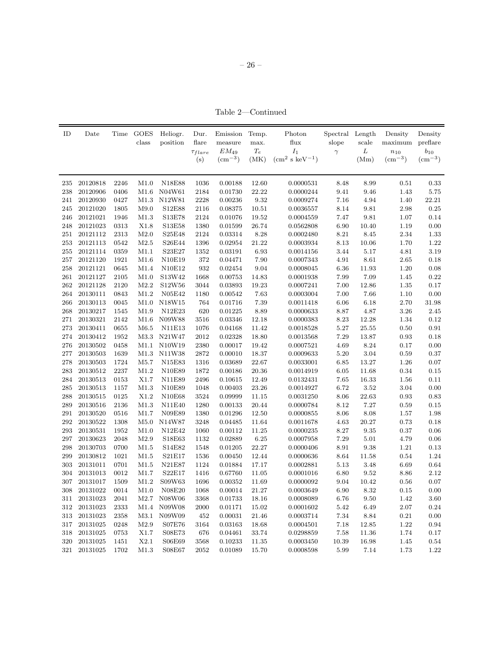– 26 –

Table 2—Continued

| ID      | Date     |              | Time GOES<br>class | Heliogr.<br>position | Dur.<br>flare  | Emission<br>measure | Temp.<br>max.       | Photon<br>flux          | Spectral Length<br>slope | scale         | Density<br>maximum | Density<br>preflare |
|---------|----------|--------------|--------------------|----------------------|----------------|---------------------|---------------------|-------------------------|--------------------------|---------------|--------------------|---------------------|
|         |          |              |                    |                      | $\tau_{flare}$ | $EM_{49}$           | $\mathcal{T} _e$    | $I_1$                   | $\gamma$                 | ${\cal L}$    | $n_{10}$           | $b_{10}$            |
|         |          |              |                    |                      | (s)            | $\rm (cm^{-3})$     | (MK)                | $\rm (cm^2~s~keV^{-1})$ |                          | (Mm)          | $\rm (cm^{-3})$    | $\rm (cm^{-3})$     |
|         |          |              |                    |                      |                |                     |                     |                         |                          |               |                    |                     |
| 235     | 20120818 | 2246         | M1.0               | N18E88               | 1036           | 0.00188             | 12.60               | 0.0000531               | 8.48                     | 8.99          | 0.51               | 0.33                |
| 238     | 20120906 | 0406         | M1.6               | N04W61               | 2184           | 0.01730             | 22.22               | 0.0000244               | 9.41                     | 9.46          | 1.43               | 5.75                |
| 241     | 20120930 | 0427         | M1.3               | N12W81               | 2228           | 0.00236             | $\boldsymbol{9.32}$ | 0.0009274               | $7.16\,$                 | 4.94          | 1.40               | 22.21               |
| 245     | 20121020 | 1805         | M9.0               | S12E88               | 2116           | 0.08375             | 10.51               | 0.0036557               | 8.14                     | 9.81          | 2.98               | $\rm 0.25$          |
| 246     | 20121021 | 1946         | M1.3               | S13E78               | 2124           | 0.01076             | 19.52               | 0.0004559               | 7.47                     | 9.81          | $1.07\,$           | 0.14                |
| 248     | 20121023 | 0313         | X1.8               | S13E58               | 1380           | 0.01599             | 26.74               | 0.0562808               | $6.90\,$                 | 10.40         | $1.19\,$           | 0.00                |
| 251     | 20121112 | 2313         | M2.0               | S25E48               | 2124           | 0.03314             | $8.28\,$            | 0.0002480               | $8.21\,$                 | 8.45          | $2.34\,$           | 1.33                |
| 253     | 20121113 | 0542         | M2.5               | S26E44               | 1396           | 0.02954             | $21.22\,$           | 0.0003934               | $8.13\,$                 | 10.06         | $1.70\,$           | $1.22\,$            |
| 255     | 20121114 | 0359         | M1.1               | S23E27               | 1352           | 0.03191             | 6.93                | 0.0014156               | 3.44                     | 5.17          | 4.81               | 3.19                |
| 257     | 20121120 | 1921         | M1.6               | N10E19               | 372            | 0.04471             | 7.90                | 0.0007343               | 4.91                     | 8.61          | 2.65               | 0.18                |
| 258     | 20121121 | 0645         | M1.4               | N10E12               | 932            | 0.02454             | 9.04                | 0.0008045               | 6.36                     | 11.93         | $1.20\,$           | 0.08                |
| 261     | 20121127 | 2105         | M1.0               | S13W42               | 1668           | 0.00753             | 14.83               | 0.0001938               | 7.99                     | 7.09          | 1.45               | 0.22                |
| 262     | 20121128 | 2120         | M2.2               | S12W56               | 3044           | 0.03893             | 19.23               | 0.0007241               | 7.00                     | 12.86         | $1.35\,$           | 0.17                |
| 264     | 20130111 | 0843         | M1.2               | N05E42               | 1180           | 0.00542             | 7.63                | 0.0003004               | 7.00                     | 7.66          | $1.10\,$           | 0.00                |
| 266     | 20130113 | 0045         | M1.0               | N18W15               | 764            | 0.01716             | 7.39                | 0.0011418               | $6.06\,$                 | 6.18          | 2.70               | 31.98               |
| 268     | 20130217 | 1545         | M1.9               | N12E23               | 620            | 0.01225             | 8.89                | 0.0000633               | 8.87                     | 4.87          | 3.26               | 2.45                |
| 271     | 20130321 | 2142         | M1.6               | N09W88               | 3516           | 0.03346             | 12.18               | 0.0000383               | $8.23\,$                 | 12.28         | $1.34\,$           | $0.12\,$            |
| 273     | 20130411 | 0655         | M6.5               | <b>N11E13</b>        | 1076           | 0.04168             | 11.42               | 0.0018528               | $5.27\,$                 | 25.55         | $0.50\,$           | $\rm 0.91$          |
| 274     | 20130412 | 1952         | M3.3               | N21W47               | 2012           | 0.02328             | 18.80               | 0.0013568               | $7.29\,$                 | 13.87         | $\rm 0.93$         | $0.18\,$            |
| 276     | 20130502 | 0458         | M1.1               | N10W19               | 2380           | 0.00017             | 19.42               | 0.0007521               | 4.69                     | 8.24          | 0.17               | 0.00                |
| 277     | 20130503 | 1639         | M1.3               | N11W38               | $2872\,$       | 0.00010             | 18.37               | 0.0009633               | $5.20\,$                 | $3.04\,$      | $\rm 0.59$         | $0.37\,$            |
| 278     | 20130503 | 1724         | M5.7               | N15E83               | 1316           | 0.03689             | 22.67               | 0.0033001               | 6.85                     | 13.27         | $1.26\,$           | $0.07\,$            |
| 283     | 20130512 | 2237         | M1.2               | N10E89               | 1872           | 0.00186             | 20.36               | 0.0014919               | $6.05\,$                 | 11.68         | 0.34               | 0.15                |
| 284     | 20130513 |              | X1.7               | N11E89               | 2496           | 0.10615             |                     |                         | 7.65                     |               | 1.56               | 0.11                |
| 285     | 20130513 | 0153<br>1157 | M1.3               | N10E89               | 1048           | 0.00403             | 12.49<br>23.26      | 0.0132431               | 6.72                     | 16.33<br>3.52 | 3.04               | 0.00                |
|         |          |              |                    |                      |                |                     |                     | 0.0014927               |                          |               |                    |                     |
| 288     | 20130515 | 0125         | X1.2               | N10E68               | 3524           | 0.09999             | 11.15               | 0.0031250               | 8.06                     | 22.63         | 0.93               | 0.83                |
| 289     | 20130516 | 2136         | M1.3               | N11E40               | 1280           | 0.00133             | 20.44               | 0.0000784               | 8.12                     | 7.27          | 0.59               | 0.15                |
| 291     | 20130520 | 0516         | M1.7               | N09E89               | 1380           | 0.01296             | 12.50               | 0.0000855               | 8.06                     | 8.08          | 1.57               | 1.98                |
| 292     | 20130522 | 1308         | M5.0               | N14W87               | 3248           | 0.04485             | 11.64               | 0.0011678               | 4.63                     | 20.27         | 0.73               | 0.18                |
| 293     | 20130531 | 1952         | M1.0               | N12E42               | 1060           | 0.00112             | $11.25\,$           | 0.0000235               | $8.27\,$                 | $\ \, 9.35$   | $\rm 0.37$         | 0.06                |
| 297     | 20130623 | 2048         | M2.9               | S18E63               | 1132           | 0.02889             | 6.25                | 0.0007958               | $7.29\,$                 | $5.01\,$      | 4.79               | 0.06                |
| $\,298$ | 20130703 | 0700         | M1.5               | S14E82               | 1548           | 0.01205             | 22.27               | 0.0000406               | 8.91                     | 9.38          | $1.21\,$           | $0.13\,$            |
| 299     | 20130812 | 1021         | M1.5               | S21E17               | 1536           | 0.00450             | 12.44               | 0.0000636               | 8.64                     | 11.58         | 0.54               | 1.24                |
| 303     | 20131011 | 0701         | M1.5               | N21E87               | 1124           | 0.01884             | 17.17               | 0.0002881               | 5.13                     | 3.48          | 6.69               | $\,0.64\,$          |
| 304     | 20131013 | 0012         | M1.7               | S22E17               | 1416           | 0.67760             | 11.05               | 0.0001016               | $6.80\,$                 | 9.52          | 8.86               | $2.12\,$            |
| 307     | 20131017 | 1509         | $\rm M1.2$         | S09W63               | 1696           | 0.00352             | 11.69               | 0.0000092               | 9.04                     | 10.42         | 0.56               | $0.07\,$            |
| 308     | 20131022 | 0014         | M1.0               | N08E20               | 1068           | 0.00014             | 21.27               | 0.0003649               | $6.90\,$                 | 8.32          | 0.15               | 0.00                |
| 311     | 20131023 | 2041         | M2.7               | N08W06               | 3368           | 0.01733             | 18.16               | 0.0008089               | 6.76                     | 9.50          | 1.42               | 3.60                |
| 312     | 20131023 | 2333         | $\rm M1.4$         | N09W08               | 2000           | 0.01171             | 15.02               | $\,0.0001602\,$         | 5.42                     | 6.49          | 2.07               | 0.24                |
| 313     | 20131023 | 2358         | M3.1               | N09W09               | 452            | 0.00031             | 21.46               | 0.0003714               | 7.34                     | 8.84          | 0.21               | 0.00                |
| 317     | 20131025 | 0248         | M2.9               | <b>S07E76</b>        | 3164           | 0.03163             | 18.68               | 0.0004501               | 7.18                     | 12.85         | 1.22               | 0.94                |
| 318     | 20131025 | 0753         | X1.7               | S08E73               | 676            | 0.04461             | 33.74               | 0.0298859               | $7.58\,$                 | 11.36         | 1.74               | $0.17\,$            |
| 320     | 20131025 | 1451         | X2.1               | S06E69               | 3568           | 0.10233             | 11.35               | 0.0003450               | 10.39                    | 16.98         | 1.45               | 0.54                |
| 321     | 20131025 | 1702         | M1.3               | S08E67               | 2052           | 0.01089             | 15.70               | 0.0008598               | 5.99                     | 7.14          | 1.73               | $1.22\,$            |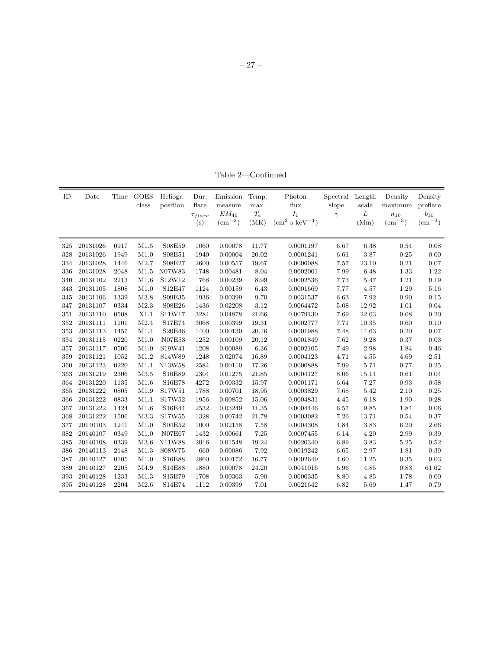Table 2—Continued

| ID  | Date     | Time | <b>GOES</b><br>class | Heliogr.<br>position | Dur.<br>flare<br>$\tau_{flare}$<br>(s) | Emission<br>measure<br>$EM_{49}$<br>$\rm (cm^{-3})$ | Temp.<br>max.<br>$\mathcal{T}_e$<br>(MK) | Photon<br>flux<br>$I_1$<br>$(cm2 s keV-1)$ | Spectral Length<br>slope<br>$\gamma$ | scale<br>L<br>(Mm) | Density<br>maximum<br>$n_{10}$<br>$\rm (cm^{-3})$ | Density<br>preflare<br>$b_{10}$<br>$\rm (cm^{-3})$ |
|-----|----------|------|----------------------|----------------------|----------------------------------------|-----------------------------------------------------|------------------------------------------|--------------------------------------------|--------------------------------------|--------------------|---------------------------------------------------|----------------------------------------------------|
| 325 | 20131026 | 0917 | M1.5                 | S08E59               | 1060                                   | 0.00078                                             | 11.77                                    | 0.0001197                                  | 6.67                                 | 6.48               | 0.54                                              | 0.08                                               |
| 328 | 20131026 | 1949 | M1.0                 | S08E51               | 1940                                   | 0.00004                                             | 20.02                                    | 0.0001241                                  | 6.61                                 | 3.87               | 0.25                                              | 0.00                                               |
| 334 | 20131028 | 1446 | M2.7                 | S08E27               | 2600                                   | 0.00557                                             | 19.67                                    | 0.0006088                                  | 7.57                                 | 23.10              | 0.21                                              | 0.07                                               |
| 336 | 20131028 | 2048 | M1.5                 | N07W83               | 1748                                   | 0.00481                                             | 8.04                                     | 0.0002001                                  | 7.99                                 | 6.48               | 1.33                                              | 1.22                                               |
| 340 | 20131102 | 2213 | M1.6                 | S12W12               | 768                                    | 0.00239                                             | 8.99                                     | 0.0002536                                  | 7.73                                 | 5.47               | 1.21                                              | 0.19                                               |
| 343 | 20131105 | 1808 | M1.0                 | S12E47               | 1124                                   | 0.00159                                             | 6.43                                     | 0.0001669                                  | 7.77                                 | 4.57               | 1.29                                              | 5.16                                               |
| 345 | 20131106 | 1339 | M3.8                 | S09E35               | 1936                                   | 0.00399                                             | 9.70                                     | 0.0031537                                  | 6.63                                 | 7.92               | 0.90                                              | 0.15                                               |
| 347 | 20131107 | 0334 | M2.3                 | S08E26               | 1436                                   | 0.02208                                             | 3.12                                     | 0.0064472                                  | 5.08                                 | 12.92              | $1.01\,$                                          | 0.04                                               |
| 351 | 20131110 | 0508 | X1.1                 | S11W17               | 3284                                   | 0.04878                                             | 21.66                                    | 0.0079130                                  | 7.69                                 | 22.03              | 0.68                                              | $0.20\,$                                           |
| 352 | 20131111 | 1101 | M2.4                 | S17E74               | 3068                                   | 0.00399                                             | 19.31                                    | 0.0002777                                  | 7.71                                 | 10.35              | 0.60                                              | 0.10                                               |
| 353 | 20131113 | 1457 | M1.4                 | S20E46               | 1400                                   | 0.00130                                             | 20.16                                    | 0.0001988                                  | 7.48                                 | 14.63              | 0.20                                              | 0.07                                               |
| 354 | 20131115 | 0220 | M1.0                 | <b>N07E53</b>        | 1252                                   | 0.00109                                             | 20.12                                    | 0.0001849                                  | 7.62                                 | 9.28               | 0.37                                              | $\rm 0.03$                                         |
| 357 | 20131117 | 0506 | M1.0                 | S19W41               | 1208                                   | 0.00089                                             | 6.36                                     | 0.0002105                                  | 7.49                                 | 2.98               | 1.84                                              | 0.46                                               |
| 359 | 20131121 | 1052 | M1.2                 | S14W89               | 1248                                   | 0.02074                                             | 16.89                                    | 0.0004123                                  | 4.71                                 | 4.55               | 4.69                                              | 2.51                                               |
| 360 | 20131123 | 0220 | M1.1                 | N13W58               | 2584                                   | 0.00110                                             | 17.26                                    | 0.0000888                                  | 7.99                                 | 5.71               | 0.77                                              | 0.25                                               |
| 363 | 20131219 | 2306 | M3.5                 | S16E89               | 2304                                   | 0.01275                                             | 21.85                                    | 0.0004127                                  | 8.06                                 | 15.14              | 0.61                                              | 0.04                                               |
| 364 | 20131220 | 1135 | M1.6                 | S16E78               | 4272                                   | 0.00332                                             | 15.97                                    | 0.0001171                                  | 6.64                                 | 7.27               | 0.93                                              | 0.58                                               |
| 365 | 20131222 | 0805 | M1.9                 | S17W51               | 1788                                   | 0.00701                                             | 18.95                                    | 0.0003829                                  | 7.68                                 | 5.42               | 2.10                                              | 0.25                                               |
| 366 | 20131222 | 0833 | M1.1                 | S17W52               | 1956                                   | 0.00852                                             | 15.06                                    | 0.0004831                                  | 4.45                                 | 6.18               | 1.90                                              | 0.28                                               |
| 367 | 20131222 | 1424 | M1.6                 | S16E44               | 2532                                   | 0.03249                                             | 11.35                                    | 0.0004446                                  | 6.57                                 | 9.85               | 1.84                                              | 0.06                                               |
| 368 | 20131222 | 1506 | M3.3                 | S17W55               | 1328                                   | 0.00742                                             | 21.78                                    | 0.0003082                                  | 7.26                                 | 13.71              | 0.54                                              | 0.37                                               |
| 377 | 20140103 | 1241 | M1.0                 | S04E52               | 1000                                   | 0.02158                                             | 7.58                                     | 0.0004308                                  | 4.84                                 | 3.83               | 6.20                                              | 2.66                                               |
| 382 | 20140107 | 0349 | M1.0                 | <b>N07E07</b>        | 1432                                   | 0.00661                                             | $7.25\,$                                 | 0.0007455                                  | 6.14                                 | 4.20               | 2.99                                              | 0.39                                               |
| 385 | 20140108 | 0339 | M3.6                 | N11W88               | 2016                                   | 0.01548                                             | 19.24                                    | 0.0020340                                  | 6.89                                 | 3.83               | $5.25\,$                                          | 0.52                                               |
| 386 | 20140113 | 2148 | M1.3                 | S08W75               | 660                                    | 0.00086                                             | 7.92                                     | 0.0019242                                  | 6.65                                 | 2.97               | 1.81                                              | 0.39                                               |
| 387 | 20140127 | 0105 | M1.0                 | S16E88               | 2860                                   | 0.00172                                             | 16.77                                    | 0.0002649                                  | 4.60                                 | 11.25              | 0.35                                              | 0.03                                               |
| 389 | 20140127 | 2205 | M4.9                 | S14E88               | 1880                                   | 0.00078                                             | 24.20                                    | 0.0041016                                  | 6.96                                 | 4.85               | 0.83                                              | 61.62                                              |
| 393 | 20140128 | 1233 | M1.3                 | S15E79               | 1708                                   | 0.00363                                             | 5.90                                     | 0.0000335                                  | 8.80                                 | 4.85               | 1.78                                              | 0.00                                               |
| 395 | 20140128 | 2204 | M2.6                 | S14E74               | 1112                                   | 0.00399                                             | 7.01                                     | 0.0021642                                  | 6.82                                 | 5.69               | 1.47                                              | 0.79                                               |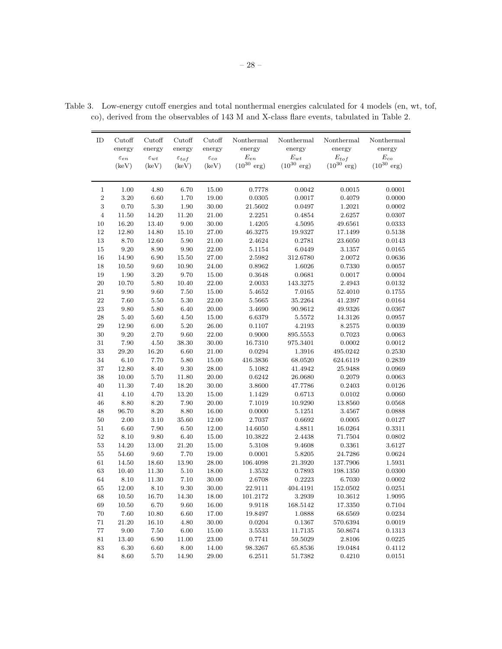| ID             | Cutoff             | Cutoff             | Cutoff              | Cutoff             | Nonthermal              | Nonthermal              | Nonthermal              | Nonthermal              |
|----------------|--------------------|--------------------|---------------------|--------------------|-------------------------|-------------------------|-------------------------|-------------------------|
|                | energy             | energy             | energy              | energy             | energy                  | energy                  | energy                  | energy                  |
|                | $\varepsilon_{en}$ | $\varepsilon_{wt}$ | $\varepsilon_{tof}$ | $\varepsilon_{co}$ | $E_{en}$                | $E_{wt}$                | $E_{tof}$               | $\mathcal{E}_{co}$      |
|                | (keV)              | (keV)              | (keV)               | (keV)              | $(10^{30} \text{ erg})$ | $(10^{30} \text{ erg})$ | $(10^{30} \text{ erg})$ | $(10^{30} \text{ erg})$ |
|                |                    |                    |                     |                    |                         |                         |                         |                         |
| $\mathbf 1$    | 1.00               | 4.80               | 6.70                | 15.00              | 0.7778                  | 0.0042                  | 0.0015                  | 0.0001                  |
| $\,2$          | $3.20\,$           | $6.60\,$           | 1.70                | 19.00              | 0.0305                  | 0.0017                  | 0.4079                  | 0.0000                  |
| 3              | 0.70               | $5.30\,$           | 1.90                | 30.00              | 21.5602                 | 0.0497                  | 1.2021                  | 0.0002                  |
| $\overline{4}$ | 11.50              | 14.20              | 11.20               | 21.00              | 2.2251                  | 0.4854                  | 2.6257                  | 0.0307                  |
| 10             | 16.20              | 13.40              | 9.00                | 30.00              | 1.4205                  | 4.5095                  | 49.6561                 | 0.0333                  |
| 12             | 12.80              | 14.80              | 15.10               | 27.00              | 46.3275                 | 19.9327                 | 17.1499                 | 0.5138                  |
| 13             | 8.70               | 12.60              | 5.90                | 21.00              | 2.4624                  | 0.2781                  | 23.6050                 | 0.0143                  |
| 15             | 9.20               | 8.90               | 9.90                | 22.00              | 5.1154                  | 6.0449                  | 3.1357                  | 0.0165                  |
| 16             | 14.90              | 6.90               | 15.50               | 27.00              | 2.5982                  | 312.6780                | 2.0072                  | 0.0636                  |
| 18             | 10.50              | $9.60\,$           | 10.90               | 24.00              | 0.8962                  | 1.6026                  | 0.7330                  | 0.0057                  |
| 19             | 1.90               | 3.20               | 9.70                | 15.00              | 0.3648                  | 0.0681                  | 0.0017                  | 0.0004                  |
| 20             | 10.70              | $5.80\,$           | 10.40               | 22.00              | 2.0033                  | 143.3275                | 2.4943                  | 0.0132                  |
| 21             | 9.90               | 9.60               | 7.50                | 15.00              | 5.4652                  | 7.0165                  | 52.4010                 | 0.1755                  |
| $22\,$         | 7.60               | $5.50\,$           | 5.30                | 22.00              | 5.5665                  | 35.2264                 | 41.2397                 | 0.0164                  |
| $\bf 23$       | 9.80               | 5.80               | 6.40                | 20.00              | 3.4690                  | 90.9612                 | 49.9326                 | 0.0367                  |
| $\bf 28$       | 5.40               | 5.60               | 4.50                | 15.00              | 6.6379                  | 5.5572                  | 14.3126                 | 0.0957                  |
| $\,29$         | 12.90              | 6.00               | 5.20                | 26.00              | 0.1107                  | 4.2193                  | 8.2575                  | 0.0039                  |
| $30\,$         | 9.20               | 2.70               | 9.60                | 22.00              | 0.9000                  | 895.5553                | 0.7023                  | 0.0063                  |
| 31             | 7.90               | 4.50               | 38.30               | 30.00              | 16.7310                 | 975.3401                | 0.0002                  | 0.0012                  |
| $33\,$         | 29.20              | 16.20              | 6.60                | 21.00              | 0.0294                  | 1.3916                  | 495.0242                | 0.2530                  |
| 34             | 6.10               | 7.70               | 5.80                | 15.00              | 416.3836                | 68.0520                 | 624.6119                | 0.2839                  |
| $37\,$         | 12.80              | 8.40               | 9.30                | 28.00              | 5.1082                  | 41.4942                 | 25.9488                 | 0.0969                  |
| 38             | 10.00              | 5.70               | 11.80               | 20.00              | 0.6242                  | 26.0680                 | 0.2079                  | 0.0063                  |
| 40             | 11.30              | 7.40               | 18.20               | 30.00              | 3.8600                  | 47.7786                 | 0.2403                  | 0.0126                  |
| 41             | 4.10               | 4.70               | 13.20               | 15.00              | 1.1429                  | 0.6713                  | 0.0102                  | 0.0060                  |
| 46             | 8.80               | $8.20\,$           | 7.90                | 20.00              | 7.1019                  | 10.9290                 | 13.8560                 | 0.0568                  |
| 48             | 96.70              | 8.20               | 8.80                | 16.00              | 0.0000                  | 5.1251                  | 3.4567                  | 0.0888                  |
| 50             | 2.00               | 3.10               | 35.60               | 12.00              | 2.7037                  | 0.6692                  | 0.0005                  | 0.0127                  |
| $51\,$         | 6.60               | $7.90\,$           | 6.50                | 12.00              | 14.6050                 | 4.8811                  | 16.0264                 | 0.3311                  |
| 52             | 8.10               | 9.80               | 6.40                | 15.00              | 10.3822                 | 2.4438                  | 71.7504                 | 0.0802                  |
| 53             | 14.20              | 13.00              | 21.20               | 15.00              | 5.3108                  | 9.4608                  | 0.3361                  | 3.6127                  |
| $55\,$         | 54.60              | 9.60               | 7.70                | 19.00              | 0.0001                  | 5.8205                  | 24.7286                 | 0.0624                  |
| $61\,$         | 14.50              | 18.60              | 13.90               | 28.00              | 106.4098                | 21.3920                 | 137.7906                | 1.5931                  |
| 63             | 10.40              | 11.30              | 5.10                | 18.00              | 1.3532                  | 0.7893                  | 198.1350                | 0.0300                  |
| 64             | 8.10               | 11.30              | 7.10                | 30.00              | 2.6708                  | 0.2223                  | 6.7030                  | 0.0002                  |
| 65             | 12.00              | 8.10               | 9.30                | 30.00              | 22.9111                 | 404.4191                | 152.0502                | 0.0251                  |
| 68             | 10.50              | 16.70              | 14.30               | 18.00              | 101.2172                | 3.2939                  | 10.3612                 | 1.9095                  |
| 69             | 10.50              | 6.70               | 9.60                | 16.00              | 9.9118                  | 168.5142                | 17.3350                 | 0.7104                  |
| $70\,$         | 7.60               | 10.80              | 6.60                | 17.00              | 19.8497                 | 1.0888                  | 68.6569                 | 0.0234                  |
| $71\,$         | 21.20              | 16.10              | 4.80                | 30.00              | 0.0204                  | 0.1367                  | 570.6394                | 0.0019                  |
| $77\,$         | 9.00               | 7.50               | $6.00\,$            | 15.00              | 3.5533                  | 11.7135                 | 50.8674                 | 0.1313                  |
| $81\,$         | 13.40              | 6.90               | 11.00               | 23.00              | 0.7741                  | 59.5029                 | 2.8106                  | 0.0225                  |
| $\rm 83$       | 6.30               | $6.60\,$           | 8.00                | 14.00              | 98.3267                 | 65.8536                 | 19.0484                 | 0.4112                  |
| $\bf 84$       | 8.60               | 5.70               | 14.90               | 29.00              | 6.2511                  | 51.7382                 | 0.4210                  | 0.0151                  |

Table 3. Low-energy cutoff energies and total nonthermal energies calculated for 4 models (en, wt, tof, co), derived from the observables of 143 M and X-class flare events, tabulated in Table 2.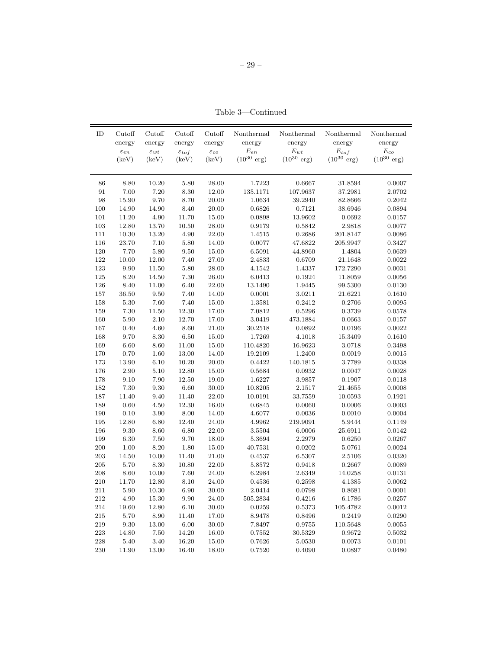– 29 –

Table 3—Continued

| ID      | Cutoff<br>energy<br>$\varepsilon_{en}$ | Cutoff<br>energy<br>$\varepsilon_{wt}$ | Cutoff<br>energy<br>$\varepsilon_{tof}$ | Cutoff<br>energy<br>$\varepsilon_{co}$ | Nonthermal<br>energy<br>$E_{en}$ | Nonthermal<br>energy<br>$E_{wt}$ | Nonthermal<br>energy<br>$E_{tof}$ | Nonthermal<br>energy<br>$E_{co}$ |
|---------|----------------------------------------|----------------------------------------|-----------------------------------------|----------------------------------------|----------------------------------|----------------------------------|-----------------------------------|----------------------------------|
|         | (keV)                                  | (keV)                                  | (keV)                                   | (keV)                                  | $(10^{30} \text{ erg})$          | $(10^{30} \text{ erg})$          | $(10^{30} \text{ erg})$           | $(10^{30} \text{ erg})$          |
| 86      | 8.80                                   | 10.20                                  | $5.80\,$                                | 28.00                                  | 1.7223                           | 0.6667                           | 31.8594                           | 0.0007                           |
| 91      | 7.00                                   | 7.20                                   | 8.30                                    | 12.00                                  | 135.1171                         | 107.9637                         | 37.2981                           | 2.0702                           |
| 98      | 15.90                                  | 9.70                                   | 8.70                                    | 20.00                                  | 1.0634                           | 39.2940                          | 82.8666                           | 0.2042                           |
| 100     | 14.90                                  | 14.90                                  | 8.40                                    | 20.00                                  | 0.6826                           | 0.7121                           | 38.6946                           | 0.0894                           |
| 101     | 11.20                                  | 4.90                                   | 11.70                                   | 15.00                                  | 0.0898                           | 13.9602                          | 0.0692                            | 0.0157                           |
| 103     | 12.80                                  | 13.70                                  | 10.50                                   | 28.00                                  | 0.9179                           | 0.5842                           | 2.9818                            | 0.0077                           |
| 111     | 10.30                                  | 13.20                                  | 4.90                                    | 22.00                                  | 1.4515                           | 0.2686                           | 201.8147                          | 0.0086                           |
| 116     | 23.70                                  | 7.10                                   | 5.80                                    | 14.00                                  | 0.0077                           | 47.6822                          | 205.9947                          | 0.3427                           |
| 120     | 7.70                                   | 5.80                                   | 9.50                                    | 15.00                                  | 6.5091                           | 44.8960                          | 1.4804                            | 0.0639                           |
| $122\,$ | 10.00                                  | 12.00                                  | 7.40                                    | 27.00                                  | 2.4833                           | 0.6709                           | 21.1648                           | 0.0022                           |
| 123     | 9.90                                   | 11.50                                  | 5.80                                    | 28.00                                  | 4.1542                           | 1.4337                           | 172.7290                          | 0.0031                           |
| $125\,$ | 8.20                                   | 14.50                                  | 7.30                                    | 26.00                                  | 6.0413                           | 0.1924                           | 11.8059                           | 0.0056                           |
| 126     | $8.40\,$                               | 11.00                                  | 6.40                                    | 22.00                                  | 13.1490                          | 1.9445                           | 99.5300                           | 0.0130                           |
| 157     | 36.50                                  | $\ \, 9.50$                            | 7.40                                    | 14.00                                  | 0.0001                           | 3.0211                           | 21.6221                           | 0.1610                           |
| 158     | $5.30\,$                               | 7.60                                   | 7.40                                    | 15.00                                  | 1.3581                           | 0.2412                           | 0.2706                            | 0.0095                           |
| 159     | $7.30\,$                               | 11.50                                  | 12.30                                   | 17.00                                  | 7.0812                           | 0.5296                           | 0.3739                            | 0.0578                           |
| 160     | 5.90                                   | 2.10                                   | 12.70                                   | 17.00                                  | 3.0419                           | 473.1884                         | 0.0663                            | 0.0157                           |
| 167     | 0.40                                   | 4.60                                   | 8.60                                    | 21.00                                  | 30.2518                          | 0.0892                           | 0.0196                            | 0.0022                           |
| 168     | 9.70                                   | 8.30                                   | 6.50                                    | 15.00                                  | 1.7269                           | 4.1018                           | 15.3409                           | 0.1610                           |
| 169     | $6.60\,$                               | 8.60                                   | 11.00                                   | 15.00                                  | 110.4820                         | 16.9623                          | 3.0718                            | 0.3498                           |
| 170     | 0.70                                   | 1.60                                   | 13.00                                   | 14.00                                  | 19.2109                          | 1.2400                           | 0.0019                            | 0.0015                           |
| 173     | 13.90                                  | $6.10\,$                               | 10.20                                   | 20.00                                  | 0.4422                           | 140.1815                         | 3.7789                            | 0.0338                           |
| 176     | 2.90                                   | 5.10                                   | 12.80                                   | 15.00                                  | 0.5684                           | 0.0932                           | 0.0047                            | 0.0028                           |
| 178     | 9.10                                   | 7.90                                   | 12.50                                   | 19.00                                  | 1.6227                           | 3.9857                           | 0.1907                            | 0.0118                           |
| 182     | 7.30                                   | 9.30                                   | $6.60\,$                                | 30.00                                  | 10.8205                          | 2.1517                           | 21.4655                           | 0.0008                           |
| 187     | 11.40                                  | 9.40                                   | 11.40                                   | 22.00                                  | 10.0191                          | 33.7559                          | 10.0593                           | 0.1921                           |
| 189     | $0.60\,$                               | $4.50\,$                               | 12.30                                   | 16.00                                  | 0.6845                           | 0.0060                           | 0.0006                            | 0.0003                           |
| 190     | $0.10\,$                               | 3.90                                   | $8.00\,$                                | 14.00                                  | 4.6077                           | 0.0036                           | 0.0010                            | 0.0004                           |
| 195     | 12.80                                  | 6.80                                   | 12.40                                   | 24.00                                  | 4.9962                           | 219.9091                         | 5.9444                            | 0.1149                           |
| 196     | $\,9.30$                               | $8.60\,$                               | $6.80\,$                                | 22.00                                  | 3.5504                           | 6.0006                           | 25.6911                           | 0.0142                           |
| 199     | $6.30\,$                               | $7.50\,$                               | 9.70                                    | 18.00                                  | 5.3694                           | 2.2979                           | 0.6250                            | 0.0267                           |
| $200\,$ | $1.00\,$                               | 8.20                                   | 1.80                                    | 15.00                                  | 40.7531                          | 0.0202                           | 5.0761                            | 0.0024                           |
| 203     | 14.50                                  | 10.00                                  | 11.40                                   | 21.00                                  | 0.4537                           | 6.5307                           | 2.5106                            | 0.0320                           |
| 205     | 5.70                                   | $8.30\,$                               | 10.80                                   | 22.00                                  | 5.8572                           | 0.9418                           | 0.2667                            | 0.0089                           |
| 208     | 8.60                                   | 10.00                                  | 7.60                                    | 24.00                                  | 6.2984                           | 2.6349                           | 14.0258                           | 0.0131                           |
| 210     | 11.70                                  | 12.80                                  | 8.10                                    | 24.00                                  | 0.4536                           | 0.2598                           | 4.1385                            | 0.0062                           |
| 211     | 5.90                                   | 10.30                                  | 6.90                                    | 30.00                                  | 2.0414                           | 0.0798                           | 0.8681                            | 0.0001                           |
| 212     | 4.90                                   | 15.30                                  | 9.90                                    | 24.00                                  | 505.2834                         | 0.4216                           | 6.1786                            | 0.0257                           |
| 214     | 19.60                                  | 12.80                                  | 6.10                                    | 30.00                                  | 0.0259                           | 0.5373                           | 105.4782                          | 0.0012                           |
| 215     | 5.70                                   | 8.90                                   | 11.40                                   | 17.00                                  | 8.9478                           | 0.8496                           | 0.2419                            | 0.0290                           |
| 219     | 9.30                                   | 13.00                                  | 6.00                                    | 30.00                                  | 7.8497                           | 0.9755                           | 110.5648                          | 0.0055                           |
| 223     | 14.80                                  | 7.50                                   | 14.20                                   | 16.00                                  | 0.7552                           | $30.5329\,$                      | 0.9672                            | 0.5032                           |
| $228\,$ | 5.40                                   | 3.40                                   | 16.20                                   | 15.00                                  | 0.7626                           | 5.0530                           | 0.0073                            | 0.0101                           |
| 230     | 11.90                                  | 13.00                                  | 16.40                                   | 18.00                                  | 0.7520                           | 0.4090                           | 0.0897                            | 0.0480                           |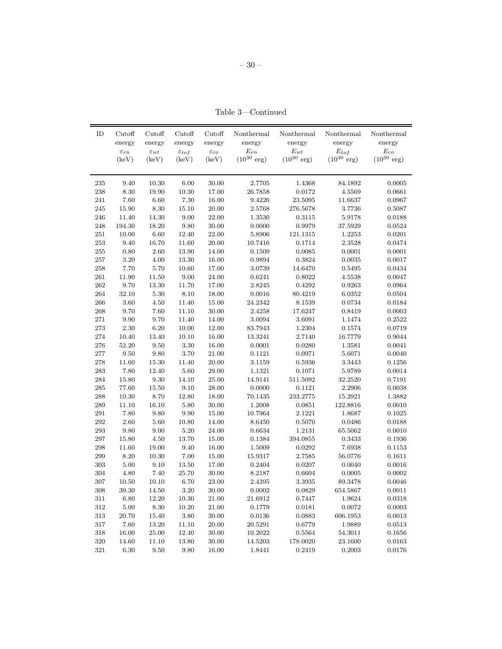– 30 –

Table 3—Continued

| energy<br>energy<br>energy<br>energy<br>energy<br>energy<br>energy<br>energy<br>$E_{en}$<br>$E_{wt}$<br>$\mathcal{E}_{tof}$<br>$\mathcal{E}_{co}$<br>$\varepsilon_{en}$<br>$\varepsilon_{wt}$<br>$\varepsilon_{co}$<br>$\varepsilon_{tof}$<br>$(10^{30} \text{ erg})$<br>$(10^{30} \text{ erg})$<br>$(10^{30} \text{ erg})$<br>$(10^{30} \text{ erg})$<br>(keV)<br>(keV)<br>(keV)<br>(keV)<br>9.40<br>10.30<br>6.00<br>30.00<br>1.4368<br>0.0005<br>235<br>2.7705<br>84.1892<br>$\boldsymbol{238}$<br>8.30<br>4.5569<br>19.90<br>10.30<br>17.00<br>26.7858<br>0.0172<br>0.0661<br>7.60<br>6.60<br>7.30<br>241<br>16.00<br>9.4226<br>23.5095<br>11.6637<br>0.0967<br>15.90<br>8.30<br>15.10<br>245<br>20.00<br>2.5768<br>276.5678<br>3.7736<br>0.5087<br>14.30<br>$9.00\,$<br>246<br>11.40<br>22.00<br>1.3530<br>0.3115<br>5.9178<br>0.0188<br>$9.80\,$<br>248<br>194.30<br>18.20<br>30.00<br>0.0000<br>0.9979<br>37.5929<br>0.0524<br>$251\,$<br>10.00<br>6.60<br>12.40<br>0.0201<br>22.00<br>5.8906<br>121.1315<br>1.2253<br>$253\,$<br>11.60<br>9.40<br>16.70<br>20.00<br>10.7416<br>0.1714<br>2.3528<br>0.0474<br>$255\,$<br>$0.80\,$<br>2.60<br>13.90<br>0.0085<br>0.0001<br>0.0001<br>14.00<br>0.1509<br>$257\,$<br>$3.20\,$<br>$4.00\,$<br>0.3824<br>0.0035<br>0.0017<br>13.30<br>16.00<br>0.9894<br>258<br>7.70<br>5.70<br>10.60<br>14.6470<br>17.00<br>3.0739<br>0.5495<br>0.0434<br>261<br>11.90<br>11.50<br>9.00<br>24.00<br>0.0047<br>0.6241<br>0.8022<br>4.5538<br>262<br>2.8245<br>9.70<br>13.30<br>11.70<br>17.00<br>0.4292<br>0.9263<br>0.0964<br>264<br>32.10<br>$5.30\,$<br>8.10<br>18.00<br>0.0016<br>80.4219<br>6.0352<br>0.0504<br>$266\,$<br>$4.50\,$<br>11.40<br>0.0734<br>3.60<br>15.00<br>24.2342<br>8.1539<br>0.0184<br>268<br>7.60<br>11.10<br>0.0003<br>9.70<br>30.00<br>2.4258<br>17.6247<br>0.8419<br>9.70<br>271<br>9.90<br>11.40<br>14.00<br>3.0094<br>3.6091<br>1.1474<br>0.2522<br>6.20<br>10.00<br>273<br>2.30<br>12.00<br>83.7943<br>1.2304<br>0.1574<br>0.0719<br>$274\,$<br>10.40<br>13.40<br>10.10<br>16.00<br>13.3241<br>2.7140<br>16.7779<br>0.9044<br>276<br>9.50<br>3.30<br>52.20<br>16.00<br>0.0001<br>0.0280<br>1.3581<br>0.0041<br>3.70<br>$277\,$<br>9.50<br>9.80<br>21.00<br>0.1121<br>0.0971<br>5.6071<br>0.0040<br>$278\,$<br>11.60<br>$15.30\,$<br>11.40<br>20.00<br>3.1159<br>0.5936<br>3.3443<br>0.1256<br>$\bf 283$<br>7.80<br>$5.60\,$<br>12.40<br>29.00<br>1.1321<br>0.1071<br>5.9789<br>0.0014<br>284<br>15.80<br>9.30<br>14.10<br>511.5092<br>25.00<br>14.9141<br>32.2520<br>0.7191<br>$\bf 285$<br>9.10<br>77.60<br>15.50<br>28.00<br>0.0000<br>0.1121<br>2.2906<br>0.0038<br>$\boldsymbol{288}$<br>10.30<br>8.70<br>12.80<br>233.2775<br>15.2921<br>18.00<br>70.1435<br>1.3882<br>$\,289$<br>11.10<br>16.10<br>5.80<br>30.00<br>1.2008<br>0.0851<br>122.8816<br>0.0010<br>$\bf 291$<br>7.80<br>9.80<br>$\,9.90$<br>15.00<br>10.7964<br>2.1221<br>0.1025<br>1.8687<br>10.80<br>292<br>$2.60\,$<br>5.60<br>0.5070<br>0.0188<br>14.00<br>8.6450<br>0.0486<br>$\,293$<br>9.00<br>$5.20\,$<br>9.80<br>24.00<br>0.6634<br>1.2131<br>65.5062<br>0.0010<br>$\,297$<br>$4.50\,$<br>15.80<br>13.70<br>15.00<br>0.1384<br>394.0855<br>0.3433<br>0.1936<br>298<br>11.60<br>19.00<br>9.40<br>16.00<br>1.5009<br>0.0292<br>7.6938<br>0.1153<br>299<br>7.00<br>8.20<br>10.30<br>15.00<br>15.9317<br>2.7585<br>56.0776<br>0.1611<br>303<br>5.00<br>9.10<br>13.50<br>17.00<br>0.2404<br>0.0207<br>0.0040<br>0.0016<br>304<br>4.80<br>$7.40\,$<br>25.70<br>30.00<br>8.2187<br>0.6604<br>0.0005<br>0.0002<br>307<br>10.50<br>6.70<br>10.10<br>23.00<br>2.4395<br>3.3935<br>89.3478<br>0.0046<br>$308\,$<br>39.30<br>14.50<br>3.20<br>30.00<br>0.0002<br>0.0829<br>654.5867<br>0.0011<br>12.20<br>311<br>6.80<br>10.30<br>21.00<br>21.6912<br>0.7447<br>1.9624<br>0.0318<br>$312\,$<br>$5.00\,$<br>0.0072<br>8.30<br>10.20<br>21.00<br>0.1779<br>0.0181<br>0.0003<br>$313\,$<br>15.40<br>3.80<br>606.1953<br>20.70<br>30.00<br>0.0136<br>0.0883<br>0.0013 | ID | Cutoff | Cutoff | Cutoff | Cutoff | Nonthermal | Nonthermal | Nonthermal | Nonthermal |
|--------------------------------------------------------------------------------------------------------------------------------------------------------------------------------------------------------------------------------------------------------------------------------------------------------------------------------------------------------------------------------------------------------------------------------------------------------------------------------------------------------------------------------------------------------------------------------------------------------------------------------------------------------------------------------------------------------------------------------------------------------------------------------------------------------------------------------------------------------------------------------------------------------------------------------------------------------------------------------------------------------------------------------------------------------------------------------------------------------------------------------------------------------------------------------------------------------------------------------------------------------------------------------------------------------------------------------------------------------------------------------------------------------------------------------------------------------------------------------------------------------------------------------------------------------------------------------------------------------------------------------------------------------------------------------------------------------------------------------------------------------------------------------------------------------------------------------------------------------------------------------------------------------------------------------------------------------------------------------------------------------------------------------------------------------------------------------------------------------------------------------------------------------------------------------------------------------------------------------------------------------------------------------------------------------------------------------------------------------------------------------------------------------------------------------------------------------------------------------------------------------------------------------------------------------------------------------------------------------------------------------------------------------------------------------------------------------------------------------------------------------------------------------------------------------------------------------------------------------------------------------------------------------------------------------------------------------------------------------------------------------------------------------------------------------------------------------------------------------------------------------------------------------------------------------------------------------------------------------------------------------------------------------------------------------------------------------------------------------------------------------------------------------------------------------------------------------------------------------------------------------------------------------------------------------------------------------------------------------------------------------------------------------------------------------------------------------------------------------------------------------------------------------------------------------------------------------------------------------------------------------------------------------------------------------------------------------------------------------------------------|----|--------|--------|--------|--------|------------|------------|------------|------------|
|                                                                                                                                                                                                                                                                                                                                                                                                                                                                                                                                                                                                                                                                                                                                                                                                                                                                                                                                                                                                                                                                                                                                                                                                                                                                                                                                                                                                                                                                                                                                                                                                                                                                                                                                                                                                                                                                                                                                                                                                                                                                                                                                                                                                                                                                                                                                                                                                                                                                                                                                                                                                                                                                                                                                                                                                                                                                                                                                                                                                                                                                                                                                                                                                                                                                                                                                                                                                                                                                                                                                                                                                                                                                                                                                                                                                                                                                                                                                                                                                  |    |        |        |        |        |            |            |            |            |
|                                                                                                                                                                                                                                                                                                                                                                                                                                                                                                                                                                                                                                                                                                                                                                                                                                                                                                                                                                                                                                                                                                                                                                                                                                                                                                                                                                                                                                                                                                                                                                                                                                                                                                                                                                                                                                                                                                                                                                                                                                                                                                                                                                                                                                                                                                                                                                                                                                                                                                                                                                                                                                                                                                                                                                                                                                                                                                                                                                                                                                                                                                                                                                                                                                                                                                                                                                                                                                                                                                                                                                                                                                                                                                                                                                                                                                                                                                                                                                                                  |    |        |        |        |        |            |            |            |            |
|                                                                                                                                                                                                                                                                                                                                                                                                                                                                                                                                                                                                                                                                                                                                                                                                                                                                                                                                                                                                                                                                                                                                                                                                                                                                                                                                                                                                                                                                                                                                                                                                                                                                                                                                                                                                                                                                                                                                                                                                                                                                                                                                                                                                                                                                                                                                                                                                                                                                                                                                                                                                                                                                                                                                                                                                                                                                                                                                                                                                                                                                                                                                                                                                                                                                                                                                                                                                                                                                                                                                                                                                                                                                                                                                                                                                                                                                                                                                                                                                  |    |        |        |        |        |            |            |            |            |
|                                                                                                                                                                                                                                                                                                                                                                                                                                                                                                                                                                                                                                                                                                                                                                                                                                                                                                                                                                                                                                                                                                                                                                                                                                                                                                                                                                                                                                                                                                                                                                                                                                                                                                                                                                                                                                                                                                                                                                                                                                                                                                                                                                                                                                                                                                                                                                                                                                                                                                                                                                                                                                                                                                                                                                                                                                                                                                                                                                                                                                                                                                                                                                                                                                                                                                                                                                                                                                                                                                                                                                                                                                                                                                                                                                                                                                                                                                                                                                                                  |    |        |        |        |        |            |            |            |            |
|                                                                                                                                                                                                                                                                                                                                                                                                                                                                                                                                                                                                                                                                                                                                                                                                                                                                                                                                                                                                                                                                                                                                                                                                                                                                                                                                                                                                                                                                                                                                                                                                                                                                                                                                                                                                                                                                                                                                                                                                                                                                                                                                                                                                                                                                                                                                                                                                                                                                                                                                                                                                                                                                                                                                                                                                                                                                                                                                                                                                                                                                                                                                                                                                                                                                                                                                                                                                                                                                                                                                                                                                                                                                                                                                                                                                                                                                                                                                                                                                  |    |        |        |        |        |            |            |            |            |
|                                                                                                                                                                                                                                                                                                                                                                                                                                                                                                                                                                                                                                                                                                                                                                                                                                                                                                                                                                                                                                                                                                                                                                                                                                                                                                                                                                                                                                                                                                                                                                                                                                                                                                                                                                                                                                                                                                                                                                                                                                                                                                                                                                                                                                                                                                                                                                                                                                                                                                                                                                                                                                                                                                                                                                                                                                                                                                                                                                                                                                                                                                                                                                                                                                                                                                                                                                                                                                                                                                                                                                                                                                                                                                                                                                                                                                                                                                                                                                                                  |    |        |        |        |        |            |            |            |            |
|                                                                                                                                                                                                                                                                                                                                                                                                                                                                                                                                                                                                                                                                                                                                                                                                                                                                                                                                                                                                                                                                                                                                                                                                                                                                                                                                                                                                                                                                                                                                                                                                                                                                                                                                                                                                                                                                                                                                                                                                                                                                                                                                                                                                                                                                                                                                                                                                                                                                                                                                                                                                                                                                                                                                                                                                                                                                                                                                                                                                                                                                                                                                                                                                                                                                                                                                                                                                                                                                                                                                                                                                                                                                                                                                                                                                                                                                                                                                                                                                  |    |        |        |        |        |            |            |            |            |
|                                                                                                                                                                                                                                                                                                                                                                                                                                                                                                                                                                                                                                                                                                                                                                                                                                                                                                                                                                                                                                                                                                                                                                                                                                                                                                                                                                                                                                                                                                                                                                                                                                                                                                                                                                                                                                                                                                                                                                                                                                                                                                                                                                                                                                                                                                                                                                                                                                                                                                                                                                                                                                                                                                                                                                                                                                                                                                                                                                                                                                                                                                                                                                                                                                                                                                                                                                                                                                                                                                                                                                                                                                                                                                                                                                                                                                                                                                                                                                                                  |    |        |        |        |        |            |            |            |            |
|                                                                                                                                                                                                                                                                                                                                                                                                                                                                                                                                                                                                                                                                                                                                                                                                                                                                                                                                                                                                                                                                                                                                                                                                                                                                                                                                                                                                                                                                                                                                                                                                                                                                                                                                                                                                                                                                                                                                                                                                                                                                                                                                                                                                                                                                                                                                                                                                                                                                                                                                                                                                                                                                                                                                                                                                                                                                                                                                                                                                                                                                                                                                                                                                                                                                                                                                                                                                                                                                                                                                                                                                                                                                                                                                                                                                                                                                                                                                                                                                  |    |        |        |        |        |            |            |            |            |
|                                                                                                                                                                                                                                                                                                                                                                                                                                                                                                                                                                                                                                                                                                                                                                                                                                                                                                                                                                                                                                                                                                                                                                                                                                                                                                                                                                                                                                                                                                                                                                                                                                                                                                                                                                                                                                                                                                                                                                                                                                                                                                                                                                                                                                                                                                                                                                                                                                                                                                                                                                                                                                                                                                                                                                                                                                                                                                                                                                                                                                                                                                                                                                                                                                                                                                                                                                                                                                                                                                                                                                                                                                                                                                                                                                                                                                                                                                                                                                                                  |    |        |        |        |        |            |            |            |            |
|                                                                                                                                                                                                                                                                                                                                                                                                                                                                                                                                                                                                                                                                                                                                                                                                                                                                                                                                                                                                                                                                                                                                                                                                                                                                                                                                                                                                                                                                                                                                                                                                                                                                                                                                                                                                                                                                                                                                                                                                                                                                                                                                                                                                                                                                                                                                                                                                                                                                                                                                                                                                                                                                                                                                                                                                                                                                                                                                                                                                                                                                                                                                                                                                                                                                                                                                                                                                                                                                                                                                                                                                                                                                                                                                                                                                                                                                                                                                                                                                  |    |        |        |        |        |            |            |            |            |
|                                                                                                                                                                                                                                                                                                                                                                                                                                                                                                                                                                                                                                                                                                                                                                                                                                                                                                                                                                                                                                                                                                                                                                                                                                                                                                                                                                                                                                                                                                                                                                                                                                                                                                                                                                                                                                                                                                                                                                                                                                                                                                                                                                                                                                                                                                                                                                                                                                                                                                                                                                                                                                                                                                                                                                                                                                                                                                                                                                                                                                                                                                                                                                                                                                                                                                                                                                                                                                                                                                                                                                                                                                                                                                                                                                                                                                                                                                                                                                                                  |    |        |        |        |        |            |            |            |            |
|                                                                                                                                                                                                                                                                                                                                                                                                                                                                                                                                                                                                                                                                                                                                                                                                                                                                                                                                                                                                                                                                                                                                                                                                                                                                                                                                                                                                                                                                                                                                                                                                                                                                                                                                                                                                                                                                                                                                                                                                                                                                                                                                                                                                                                                                                                                                                                                                                                                                                                                                                                                                                                                                                                                                                                                                                                                                                                                                                                                                                                                                                                                                                                                                                                                                                                                                                                                                                                                                                                                                                                                                                                                                                                                                                                                                                                                                                                                                                                                                  |    |        |        |        |        |            |            |            |            |
|                                                                                                                                                                                                                                                                                                                                                                                                                                                                                                                                                                                                                                                                                                                                                                                                                                                                                                                                                                                                                                                                                                                                                                                                                                                                                                                                                                                                                                                                                                                                                                                                                                                                                                                                                                                                                                                                                                                                                                                                                                                                                                                                                                                                                                                                                                                                                                                                                                                                                                                                                                                                                                                                                                                                                                                                                                                                                                                                                                                                                                                                                                                                                                                                                                                                                                                                                                                                                                                                                                                                                                                                                                                                                                                                                                                                                                                                                                                                                                                                  |    |        |        |        |        |            |            |            |            |
|                                                                                                                                                                                                                                                                                                                                                                                                                                                                                                                                                                                                                                                                                                                                                                                                                                                                                                                                                                                                                                                                                                                                                                                                                                                                                                                                                                                                                                                                                                                                                                                                                                                                                                                                                                                                                                                                                                                                                                                                                                                                                                                                                                                                                                                                                                                                                                                                                                                                                                                                                                                                                                                                                                                                                                                                                                                                                                                                                                                                                                                                                                                                                                                                                                                                                                                                                                                                                                                                                                                                                                                                                                                                                                                                                                                                                                                                                                                                                                                                  |    |        |        |        |        |            |            |            |            |
|                                                                                                                                                                                                                                                                                                                                                                                                                                                                                                                                                                                                                                                                                                                                                                                                                                                                                                                                                                                                                                                                                                                                                                                                                                                                                                                                                                                                                                                                                                                                                                                                                                                                                                                                                                                                                                                                                                                                                                                                                                                                                                                                                                                                                                                                                                                                                                                                                                                                                                                                                                                                                                                                                                                                                                                                                                                                                                                                                                                                                                                                                                                                                                                                                                                                                                                                                                                                                                                                                                                                                                                                                                                                                                                                                                                                                                                                                                                                                                                                  |    |        |        |        |        |            |            |            |            |
|                                                                                                                                                                                                                                                                                                                                                                                                                                                                                                                                                                                                                                                                                                                                                                                                                                                                                                                                                                                                                                                                                                                                                                                                                                                                                                                                                                                                                                                                                                                                                                                                                                                                                                                                                                                                                                                                                                                                                                                                                                                                                                                                                                                                                                                                                                                                                                                                                                                                                                                                                                                                                                                                                                                                                                                                                                                                                                                                                                                                                                                                                                                                                                                                                                                                                                                                                                                                                                                                                                                                                                                                                                                                                                                                                                                                                                                                                                                                                                                                  |    |        |        |        |        |            |            |            |            |
|                                                                                                                                                                                                                                                                                                                                                                                                                                                                                                                                                                                                                                                                                                                                                                                                                                                                                                                                                                                                                                                                                                                                                                                                                                                                                                                                                                                                                                                                                                                                                                                                                                                                                                                                                                                                                                                                                                                                                                                                                                                                                                                                                                                                                                                                                                                                                                                                                                                                                                                                                                                                                                                                                                                                                                                                                                                                                                                                                                                                                                                                                                                                                                                                                                                                                                                                                                                                                                                                                                                                                                                                                                                                                                                                                                                                                                                                                                                                                                                                  |    |        |        |        |        |            |            |            |            |
|                                                                                                                                                                                                                                                                                                                                                                                                                                                                                                                                                                                                                                                                                                                                                                                                                                                                                                                                                                                                                                                                                                                                                                                                                                                                                                                                                                                                                                                                                                                                                                                                                                                                                                                                                                                                                                                                                                                                                                                                                                                                                                                                                                                                                                                                                                                                                                                                                                                                                                                                                                                                                                                                                                                                                                                                                                                                                                                                                                                                                                                                                                                                                                                                                                                                                                                                                                                                                                                                                                                                                                                                                                                                                                                                                                                                                                                                                                                                                                                                  |    |        |        |        |        |            |            |            |            |
|                                                                                                                                                                                                                                                                                                                                                                                                                                                                                                                                                                                                                                                                                                                                                                                                                                                                                                                                                                                                                                                                                                                                                                                                                                                                                                                                                                                                                                                                                                                                                                                                                                                                                                                                                                                                                                                                                                                                                                                                                                                                                                                                                                                                                                                                                                                                                                                                                                                                                                                                                                                                                                                                                                                                                                                                                                                                                                                                                                                                                                                                                                                                                                                                                                                                                                                                                                                                                                                                                                                                                                                                                                                                                                                                                                                                                                                                                                                                                                                                  |    |        |        |        |        |            |            |            |            |
|                                                                                                                                                                                                                                                                                                                                                                                                                                                                                                                                                                                                                                                                                                                                                                                                                                                                                                                                                                                                                                                                                                                                                                                                                                                                                                                                                                                                                                                                                                                                                                                                                                                                                                                                                                                                                                                                                                                                                                                                                                                                                                                                                                                                                                                                                                                                                                                                                                                                                                                                                                                                                                                                                                                                                                                                                                                                                                                                                                                                                                                                                                                                                                                                                                                                                                                                                                                                                                                                                                                                                                                                                                                                                                                                                                                                                                                                                                                                                                                                  |    |        |        |        |        |            |            |            |            |
|                                                                                                                                                                                                                                                                                                                                                                                                                                                                                                                                                                                                                                                                                                                                                                                                                                                                                                                                                                                                                                                                                                                                                                                                                                                                                                                                                                                                                                                                                                                                                                                                                                                                                                                                                                                                                                                                                                                                                                                                                                                                                                                                                                                                                                                                                                                                                                                                                                                                                                                                                                                                                                                                                                                                                                                                                                                                                                                                                                                                                                                                                                                                                                                                                                                                                                                                                                                                                                                                                                                                                                                                                                                                                                                                                                                                                                                                                                                                                                                                  |    |        |        |        |        |            |            |            |            |
|                                                                                                                                                                                                                                                                                                                                                                                                                                                                                                                                                                                                                                                                                                                                                                                                                                                                                                                                                                                                                                                                                                                                                                                                                                                                                                                                                                                                                                                                                                                                                                                                                                                                                                                                                                                                                                                                                                                                                                                                                                                                                                                                                                                                                                                                                                                                                                                                                                                                                                                                                                                                                                                                                                                                                                                                                                                                                                                                                                                                                                                                                                                                                                                                                                                                                                                                                                                                                                                                                                                                                                                                                                                                                                                                                                                                                                                                                                                                                                                                  |    |        |        |        |        |            |            |            |            |
|                                                                                                                                                                                                                                                                                                                                                                                                                                                                                                                                                                                                                                                                                                                                                                                                                                                                                                                                                                                                                                                                                                                                                                                                                                                                                                                                                                                                                                                                                                                                                                                                                                                                                                                                                                                                                                                                                                                                                                                                                                                                                                                                                                                                                                                                                                                                                                                                                                                                                                                                                                                                                                                                                                                                                                                                                                                                                                                                                                                                                                                                                                                                                                                                                                                                                                                                                                                                                                                                                                                                                                                                                                                                                                                                                                                                                                                                                                                                                                                                  |    |        |        |        |        |            |            |            |            |
|                                                                                                                                                                                                                                                                                                                                                                                                                                                                                                                                                                                                                                                                                                                                                                                                                                                                                                                                                                                                                                                                                                                                                                                                                                                                                                                                                                                                                                                                                                                                                                                                                                                                                                                                                                                                                                                                                                                                                                                                                                                                                                                                                                                                                                                                                                                                                                                                                                                                                                                                                                                                                                                                                                                                                                                                                                                                                                                                                                                                                                                                                                                                                                                                                                                                                                                                                                                                                                                                                                                                                                                                                                                                                                                                                                                                                                                                                                                                                                                                  |    |        |        |        |        |            |            |            |            |
|                                                                                                                                                                                                                                                                                                                                                                                                                                                                                                                                                                                                                                                                                                                                                                                                                                                                                                                                                                                                                                                                                                                                                                                                                                                                                                                                                                                                                                                                                                                                                                                                                                                                                                                                                                                                                                                                                                                                                                                                                                                                                                                                                                                                                                                                                                                                                                                                                                                                                                                                                                                                                                                                                                                                                                                                                                                                                                                                                                                                                                                                                                                                                                                                                                                                                                                                                                                                                                                                                                                                                                                                                                                                                                                                                                                                                                                                                                                                                                                                  |    |        |        |        |        |            |            |            |            |
|                                                                                                                                                                                                                                                                                                                                                                                                                                                                                                                                                                                                                                                                                                                                                                                                                                                                                                                                                                                                                                                                                                                                                                                                                                                                                                                                                                                                                                                                                                                                                                                                                                                                                                                                                                                                                                                                                                                                                                                                                                                                                                                                                                                                                                                                                                                                                                                                                                                                                                                                                                                                                                                                                                                                                                                                                                                                                                                                                                                                                                                                                                                                                                                                                                                                                                                                                                                                                                                                                                                                                                                                                                                                                                                                                                                                                                                                                                                                                                                                  |    |        |        |        |        |            |            |            |            |
|                                                                                                                                                                                                                                                                                                                                                                                                                                                                                                                                                                                                                                                                                                                                                                                                                                                                                                                                                                                                                                                                                                                                                                                                                                                                                                                                                                                                                                                                                                                                                                                                                                                                                                                                                                                                                                                                                                                                                                                                                                                                                                                                                                                                                                                                                                                                                                                                                                                                                                                                                                                                                                                                                                                                                                                                                                                                                                                                                                                                                                                                                                                                                                                                                                                                                                                                                                                                                                                                                                                                                                                                                                                                                                                                                                                                                                                                                                                                                                                                  |    |        |        |        |        |            |            |            |            |
|                                                                                                                                                                                                                                                                                                                                                                                                                                                                                                                                                                                                                                                                                                                                                                                                                                                                                                                                                                                                                                                                                                                                                                                                                                                                                                                                                                                                                                                                                                                                                                                                                                                                                                                                                                                                                                                                                                                                                                                                                                                                                                                                                                                                                                                                                                                                                                                                                                                                                                                                                                                                                                                                                                                                                                                                                                                                                                                                                                                                                                                                                                                                                                                                                                                                                                                                                                                                                                                                                                                                                                                                                                                                                                                                                                                                                                                                                                                                                                                                  |    |        |        |        |        |            |            |            |            |
|                                                                                                                                                                                                                                                                                                                                                                                                                                                                                                                                                                                                                                                                                                                                                                                                                                                                                                                                                                                                                                                                                                                                                                                                                                                                                                                                                                                                                                                                                                                                                                                                                                                                                                                                                                                                                                                                                                                                                                                                                                                                                                                                                                                                                                                                                                                                                                                                                                                                                                                                                                                                                                                                                                                                                                                                                                                                                                                                                                                                                                                                                                                                                                                                                                                                                                                                                                                                                                                                                                                                                                                                                                                                                                                                                                                                                                                                                                                                                                                                  |    |        |        |        |        |            |            |            |            |
|                                                                                                                                                                                                                                                                                                                                                                                                                                                                                                                                                                                                                                                                                                                                                                                                                                                                                                                                                                                                                                                                                                                                                                                                                                                                                                                                                                                                                                                                                                                                                                                                                                                                                                                                                                                                                                                                                                                                                                                                                                                                                                                                                                                                                                                                                                                                                                                                                                                                                                                                                                                                                                                                                                                                                                                                                                                                                                                                                                                                                                                                                                                                                                                                                                                                                                                                                                                                                                                                                                                                                                                                                                                                                                                                                                                                                                                                                                                                                                                                  |    |        |        |        |        |            |            |            |            |
|                                                                                                                                                                                                                                                                                                                                                                                                                                                                                                                                                                                                                                                                                                                                                                                                                                                                                                                                                                                                                                                                                                                                                                                                                                                                                                                                                                                                                                                                                                                                                                                                                                                                                                                                                                                                                                                                                                                                                                                                                                                                                                                                                                                                                                                                                                                                                                                                                                                                                                                                                                                                                                                                                                                                                                                                                                                                                                                                                                                                                                                                                                                                                                                                                                                                                                                                                                                                                                                                                                                                                                                                                                                                                                                                                                                                                                                                                                                                                                                                  |    |        |        |        |        |            |            |            |            |
|                                                                                                                                                                                                                                                                                                                                                                                                                                                                                                                                                                                                                                                                                                                                                                                                                                                                                                                                                                                                                                                                                                                                                                                                                                                                                                                                                                                                                                                                                                                                                                                                                                                                                                                                                                                                                                                                                                                                                                                                                                                                                                                                                                                                                                                                                                                                                                                                                                                                                                                                                                                                                                                                                                                                                                                                                                                                                                                                                                                                                                                                                                                                                                                                                                                                                                                                                                                                                                                                                                                                                                                                                                                                                                                                                                                                                                                                                                                                                                                                  |    |        |        |        |        |            |            |            |            |
|                                                                                                                                                                                                                                                                                                                                                                                                                                                                                                                                                                                                                                                                                                                                                                                                                                                                                                                                                                                                                                                                                                                                                                                                                                                                                                                                                                                                                                                                                                                                                                                                                                                                                                                                                                                                                                                                                                                                                                                                                                                                                                                                                                                                                                                                                                                                                                                                                                                                                                                                                                                                                                                                                                                                                                                                                                                                                                                                                                                                                                                                                                                                                                                                                                                                                                                                                                                                                                                                                                                                                                                                                                                                                                                                                                                                                                                                                                                                                                                                  |    |        |        |        |        |            |            |            |            |
|                                                                                                                                                                                                                                                                                                                                                                                                                                                                                                                                                                                                                                                                                                                                                                                                                                                                                                                                                                                                                                                                                                                                                                                                                                                                                                                                                                                                                                                                                                                                                                                                                                                                                                                                                                                                                                                                                                                                                                                                                                                                                                                                                                                                                                                                                                                                                                                                                                                                                                                                                                                                                                                                                                                                                                                                                                                                                                                                                                                                                                                                                                                                                                                                                                                                                                                                                                                                                                                                                                                                                                                                                                                                                                                                                                                                                                                                                                                                                                                                  |    |        |        |        |        |            |            |            |            |
|                                                                                                                                                                                                                                                                                                                                                                                                                                                                                                                                                                                                                                                                                                                                                                                                                                                                                                                                                                                                                                                                                                                                                                                                                                                                                                                                                                                                                                                                                                                                                                                                                                                                                                                                                                                                                                                                                                                                                                                                                                                                                                                                                                                                                                                                                                                                                                                                                                                                                                                                                                                                                                                                                                                                                                                                                                                                                                                                                                                                                                                                                                                                                                                                                                                                                                                                                                                                                                                                                                                                                                                                                                                                                                                                                                                                                                                                                                                                                                                                  |    |        |        |        |        |            |            |            |            |
|                                                                                                                                                                                                                                                                                                                                                                                                                                                                                                                                                                                                                                                                                                                                                                                                                                                                                                                                                                                                                                                                                                                                                                                                                                                                                                                                                                                                                                                                                                                                                                                                                                                                                                                                                                                                                                                                                                                                                                                                                                                                                                                                                                                                                                                                                                                                                                                                                                                                                                                                                                                                                                                                                                                                                                                                                                                                                                                                                                                                                                                                                                                                                                                                                                                                                                                                                                                                                                                                                                                                                                                                                                                                                                                                                                                                                                                                                                                                                                                                  |    |        |        |        |        |            |            |            |            |
|                                                                                                                                                                                                                                                                                                                                                                                                                                                                                                                                                                                                                                                                                                                                                                                                                                                                                                                                                                                                                                                                                                                                                                                                                                                                                                                                                                                                                                                                                                                                                                                                                                                                                                                                                                                                                                                                                                                                                                                                                                                                                                                                                                                                                                                                                                                                                                                                                                                                                                                                                                                                                                                                                                                                                                                                                                                                                                                                                                                                                                                                                                                                                                                                                                                                                                                                                                                                                                                                                                                                                                                                                                                                                                                                                                                                                                                                                                                                                                                                  |    |        |        |        |        |            |            |            |            |
|                                                                                                                                                                                                                                                                                                                                                                                                                                                                                                                                                                                                                                                                                                                                                                                                                                                                                                                                                                                                                                                                                                                                                                                                                                                                                                                                                                                                                                                                                                                                                                                                                                                                                                                                                                                                                                                                                                                                                                                                                                                                                                                                                                                                                                                                                                                                                                                                                                                                                                                                                                                                                                                                                                                                                                                                                                                                                                                                                                                                                                                                                                                                                                                                                                                                                                                                                                                                                                                                                                                                                                                                                                                                                                                                                                                                                                                                                                                                                                                                  |    |        |        |        |        |            |            |            |            |
|                                                                                                                                                                                                                                                                                                                                                                                                                                                                                                                                                                                                                                                                                                                                                                                                                                                                                                                                                                                                                                                                                                                                                                                                                                                                                                                                                                                                                                                                                                                                                                                                                                                                                                                                                                                                                                                                                                                                                                                                                                                                                                                                                                                                                                                                                                                                                                                                                                                                                                                                                                                                                                                                                                                                                                                                                                                                                                                                                                                                                                                                                                                                                                                                                                                                                                                                                                                                                                                                                                                                                                                                                                                                                                                                                                                                                                                                                                                                                                                                  |    |        |        |        |        |            |            |            |            |
|                                                                                                                                                                                                                                                                                                                                                                                                                                                                                                                                                                                                                                                                                                                                                                                                                                                                                                                                                                                                                                                                                                                                                                                                                                                                                                                                                                                                                                                                                                                                                                                                                                                                                                                                                                                                                                                                                                                                                                                                                                                                                                                                                                                                                                                                                                                                                                                                                                                                                                                                                                                                                                                                                                                                                                                                                                                                                                                                                                                                                                                                                                                                                                                                                                                                                                                                                                                                                                                                                                                                                                                                                                                                                                                                                                                                                                                                                                                                                                                                  |    |        |        |        |        |            |            |            |            |
|                                                                                                                                                                                                                                                                                                                                                                                                                                                                                                                                                                                                                                                                                                                                                                                                                                                                                                                                                                                                                                                                                                                                                                                                                                                                                                                                                                                                                                                                                                                                                                                                                                                                                                                                                                                                                                                                                                                                                                                                                                                                                                                                                                                                                                                                                                                                                                                                                                                                                                                                                                                                                                                                                                                                                                                                                                                                                                                                                                                                                                                                                                                                                                                                                                                                                                                                                                                                                                                                                                                                                                                                                                                                                                                                                                                                                                                                                                                                                                                                  |    |        |        |        |        |            |            |            |            |
|                                                                                                                                                                                                                                                                                                                                                                                                                                                                                                                                                                                                                                                                                                                                                                                                                                                                                                                                                                                                                                                                                                                                                                                                                                                                                                                                                                                                                                                                                                                                                                                                                                                                                                                                                                                                                                                                                                                                                                                                                                                                                                                                                                                                                                                                                                                                                                                                                                                                                                                                                                                                                                                                                                                                                                                                                                                                                                                                                                                                                                                                                                                                                                                                                                                                                                                                                                                                                                                                                                                                                                                                                                                                                                                                                                                                                                                                                                                                                                                                  |    |        |        |        |        |            |            |            |            |
|                                                                                                                                                                                                                                                                                                                                                                                                                                                                                                                                                                                                                                                                                                                                                                                                                                                                                                                                                                                                                                                                                                                                                                                                                                                                                                                                                                                                                                                                                                                                                                                                                                                                                                                                                                                                                                                                                                                                                                                                                                                                                                                                                                                                                                                                                                                                                                                                                                                                                                                                                                                                                                                                                                                                                                                                                                                                                                                                                                                                                                                                                                                                                                                                                                                                                                                                                                                                                                                                                                                                                                                                                                                                                                                                                                                                                                                                                                                                                                                                  |    |        |        |        |        |            |            |            |            |
| 317<br>7.60<br>11.10<br>0.6779<br>13.20<br>20.00<br>20.5291<br>1.9889<br>0.0513                                                                                                                                                                                                                                                                                                                                                                                                                                                                                                                                                                                                                                                                                                                                                                                                                                                                                                                                                                                                                                                                                                                                                                                                                                                                                                                                                                                                                                                                                                                                                                                                                                                                                                                                                                                                                                                                                                                                                                                                                                                                                                                                                                                                                                                                                                                                                                                                                                                                                                                                                                                                                                                                                                                                                                                                                                                                                                                                                                                                                                                                                                                                                                                                                                                                                                                                                                                                                                                                                                                                                                                                                                                                                                                                                                                                                                                                                                                  |    |        |        |        |        |            |            |            |            |
| $318\,$<br>16.00<br>12.40<br>25.00<br>30.00<br>10.2022<br>0.5564<br>54.3011<br>0.1656                                                                                                                                                                                                                                                                                                                                                                                                                                                                                                                                                                                                                                                                                                                                                                                                                                                                                                                                                                                                                                                                                                                                                                                                                                                                                                                                                                                                                                                                                                                                                                                                                                                                                                                                                                                                                                                                                                                                                                                                                                                                                                                                                                                                                                                                                                                                                                                                                                                                                                                                                                                                                                                                                                                                                                                                                                                                                                                                                                                                                                                                                                                                                                                                                                                                                                                                                                                                                                                                                                                                                                                                                                                                                                                                                                                                                                                                                                            |    |        |        |        |        |            |            |            |            |
| $320\,$<br>13.80<br>14.60<br>11.10<br>30.00<br>14.5203<br>178.0020<br>23.1600<br>0.0163                                                                                                                                                                                                                                                                                                                                                                                                                                                                                                                                                                                                                                                                                                                                                                                                                                                                                                                                                                                                                                                                                                                                                                                                                                                                                                                                                                                                                                                                                                                                                                                                                                                                                                                                                                                                                                                                                                                                                                                                                                                                                                                                                                                                                                                                                                                                                                                                                                                                                                                                                                                                                                                                                                                                                                                                                                                                                                                                                                                                                                                                                                                                                                                                                                                                                                                                                                                                                                                                                                                                                                                                                                                                                                                                                                                                                                                                                                          |    |        |        |        |        |            |            |            |            |
| $321\,$<br>6.30<br>9.50<br>9.80<br>16.00<br>0.2419<br>0.2003<br>0.0176<br>1.8441                                                                                                                                                                                                                                                                                                                                                                                                                                                                                                                                                                                                                                                                                                                                                                                                                                                                                                                                                                                                                                                                                                                                                                                                                                                                                                                                                                                                                                                                                                                                                                                                                                                                                                                                                                                                                                                                                                                                                                                                                                                                                                                                                                                                                                                                                                                                                                                                                                                                                                                                                                                                                                                                                                                                                                                                                                                                                                                                                                                                                                                                                                                                                                                                                                                                                                                                                                                                                                                                                                                                                                                                                                                                                                                                                                                                                                                                                                                 |    |        |        |        |        |            |            |            |            |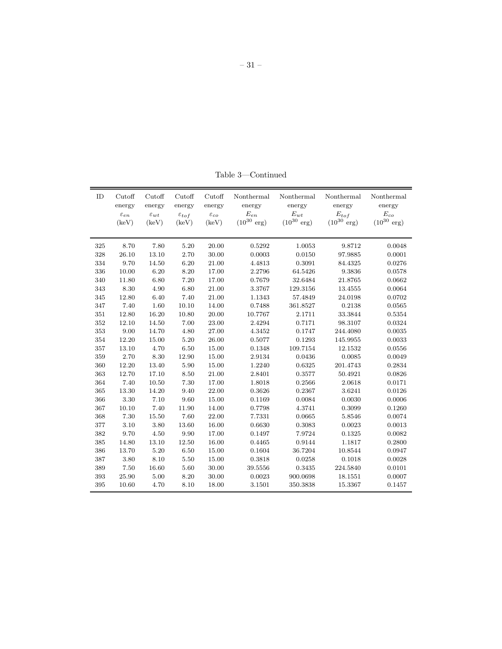| ID  | Cutoff             | Cutoff             | Cutoff              | Cutoff             | Nonthermal              | Nonthermal              | Nonthermal              | Nonthermal              |
|-----|--------------------|--------------------|---------------------|--------------------|-------------------------|-------------------------|-------------------------|-------------------------|
|     | energy             | energy             | energy              | energy             | energy                  | energy                  | energy                  | energy                  |
|     | $\varepsilon_{en}$ | $\varepsilon_{wt}$ | $\varepsilon_{tof}$ | $\varepsilon_{co}$ | $E_{en}$                | $E_{wt}$                | $\mathcal{E}_{tof}$     | $E_{co}$                |
|     | (keV)              | (keV)              | (keV)               | (keV)              | $(10^{30} \text{ erg})$ | $(10^{30} \text{ erg})$ | $(10^{30} \text{ erg})$ | $(10^{30} \text{ erg})$ |
|     |                    |                    |                     |                    |                         |                         |                         |                         |
| 325 | 8.70               | 7.80               | 5.20                | 20.00              | 0.5292                  | 1.0053                  | 9.8712                  | 0.0048                  |
| 328 | 26.10              | 13.10              | 2.70                | 30.00              | 0.0003                  | 0.0150                  | 97.9885                 | 0.0001                  |
| 334 | 9.70               | 14.50              | 6.20                | 21.00              | 4.4813                  | 0.3091                  | 84.4325                 | 0.0276                  |
| 336 | 10.00              | 6.20               | 8.20                | 17.00              | 2.2796                  | 64.5426                 | 9.3836                  | 0.0578                  |
| 340 | 11.80              | 6.80               | 7.20                | 17.00              | 0.7679                  | 32.6484                 | 21.8765                 | 0.0662                  |
| 343 | 8.30               | 4.90               | 6.80                | 21.00              | 3.3767                  | 129.3156                | 13.4555                 | 0.0064                  |
| 345 | 12.80              | 6.40               | 7.40                | 21.00              | 1.1343                  | 57.4849                 | 24.0198                 | 0.0702                  |
| 347 | 7.40               | 1.60               | 10.10               | 14.00              | 0.7488                  | 361.8527                | 0.2138                  | 0.0565                  |
| 351 | 12.80              | 16.20              | 10.80               | 20.00              | 10.7767                 | 2.1711                  | 33.3844                 | 0.5354                  |
| 352 | 12.10              | 14.50              | 7.00                | 23.00              | 2.4294                  | 0.7171                  | 98.3107                 | 0.0324                  |
| 353 | 9.00               | 14.70              | 4.80                | 27.00              | 4.3452                  | 0.1747                  | 244.4080                | 0.0035                  |
| 354 | 12.20              | 15.00              | 5.20                | 26.00              | 0.5077                  | 0.1293                  | 145.9955                | 0.0033                  |
| 357 | 13.10              | 4.70               | 6.50                | 15.00              | 0.1348                  | 109.7154                | 12.1532                 | 0.0556                  |
| 359 | 2.70               | 8.30               | 12.90               | 15.00              | 2.9134                  | 0.0436                  | 0.0085                  | 0.0049                  |
| 360 | 12.20              | 13.40              | 5.90                | 15.00              | 1.2240                  | 0.6325                  | 201.4743                | 0.2834                  |
| 363 | 12.70              | 17.10              | 8.50                | 21.00              | 2.8401                  | 0.3577                  | 50.4921                 | 0.0826                  |
| 364 | 7.40               | 10.50              | 7.30                | 17.00              | 1.8018                  | 0.2566                  | 2.0618                  | 0.0171                  |
| 365 | 13.30              | 14.20              | 9.40                | 22.00              | 0.3626                  | 0.2367                  | 3.6241                  | 0.0126                  |
| 366 | 3.30               | 7.10               | 9.60                | 15.00              | 0.1169                  | 0.0084                  | 0.0030                  | 0.0006                  |
| 367 | 10.10              | 7.40               | 11.90               | 14.00              | 0.7798                  | 4.3741                  | 0.3099                  | 0.1260                  |
| 368 | 7.30               | 15.50              | 7.60                | 22.00              | 7.7331                  | 0.0665                  | 5.8546                  | 0.0074                  |
| 377 | 3.10               | 3.80               | 13.60               | 16.00              | 0.6630                  | 0.3083                  | 0.0023                  | 0.0013                  |
| 382 | 9.70               | 4.50               | 9.90                | 17.00              | 0.1497                  | 7.9724                  | 0.1325                  | 0.0082                  |
| 385 | 14.80              | 13.10              | 12.50               | 16.00              | 0.4465                  | 0.9144                  | 1.1817                  | 0.2800                  |
| 386 | 13.70              | 5.20               | 6.50                | 15.00              | 0.1604                  | 36.7204                 | 10.8544                 | 0.0947                  |
| 387 | 3.80               | 8.10               | 5.50                | 15.00              | 0.3818                  | 0.0258                  | 0.1018                  | 0.0028                  |
| 389 | 7.50               | 16.60              | 5.60                | 30.00              | 39.5556                 | 0.3435                  | 224.5840                | 0.0101                  |
| 393 | 25.90              | 5.00               | 8.20                | 30.00              | 0.0023                  | 900.0698                | 18.1551                 | 0.0007                  |
| 395 | 10.60              | 4.70               | 8.10                | 18.00              | 3.1501                  | 350.3838                | 15.3367                 | 0.1457                  |

Table 3—Continued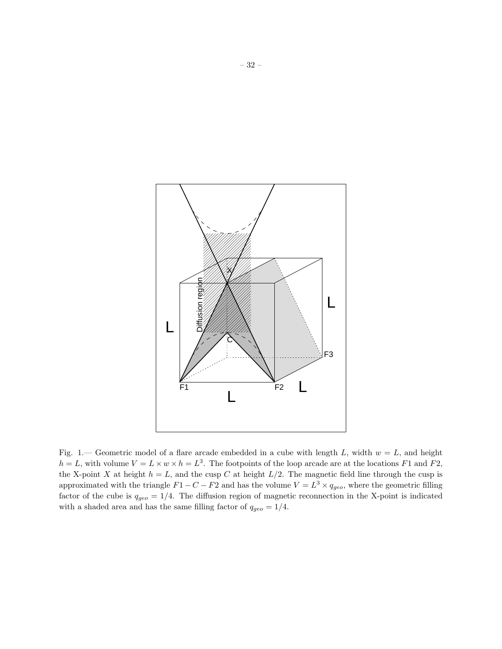

Fig. 1.— Geometric model of a flare arcade embedded in a cube with length L, width  $w = L$ , and height  $h = L$ , with volume  $V = L \times w \times h = L^3$ . The footpoints of the loop arcade are at the locations F1 and F2, the X-point X at height  $h = L$ , and the cusp C at height  $L/2$ . The magnetic field line through the cusp is approximated with the triangle  $F1 - C - F2$  and has the volume  $V = L<sup>3</sup> \times q_{geo}$ , where the geometric filling factor of the cube is  $q_{geo} = 1/4$ . The diffusion region of magnetic reconnection in the X-point is indicated with a shaded area and has the same filling factor of  $q_{geo} = 1/4$ .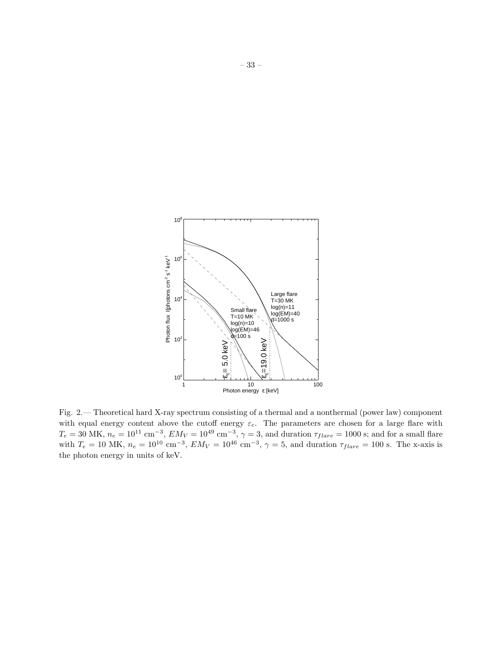

Fig. 2.— Theoretical hard X-ray spectrum consisting of a thermal and a nonthermal (power law) component with equal energy content above the cutoff energy  $\varepsilon_c$ . The parameters are chosen for a large flare with  $T_e = 30$  MK,  $n_e = 10^{11}$  cm<sup>-3</sup>,  $EM_V = 10^{49}$  cm<sup>-3</sup>,  $\gamma = 3$ , and duration  $\tau_{flare} = 1000$  s; and for a small flare with  $T_e = 10$  MK,  $n_e = 10^{10}$  cm<sup>-3</sup>,  $EM_V = 10^{46}$  cm<sup>-3</sup>,  $\gamma = 5$ , and duration  $\tau_{flare} = 100$  s. The x-axis is the photon energy in units of keV.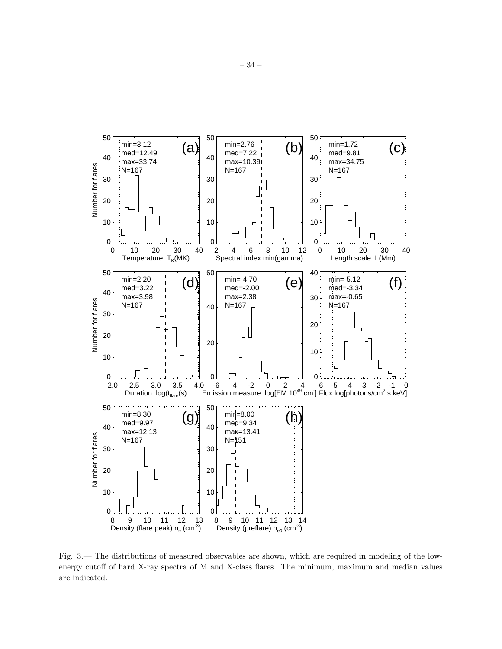

Fig. 3.— The distributions of measured observables are shown, which are required in modeling of the lowenergy cutoff of hard X-ray spectra of M and X-class flares. The minimum, maximum and median values are indicated.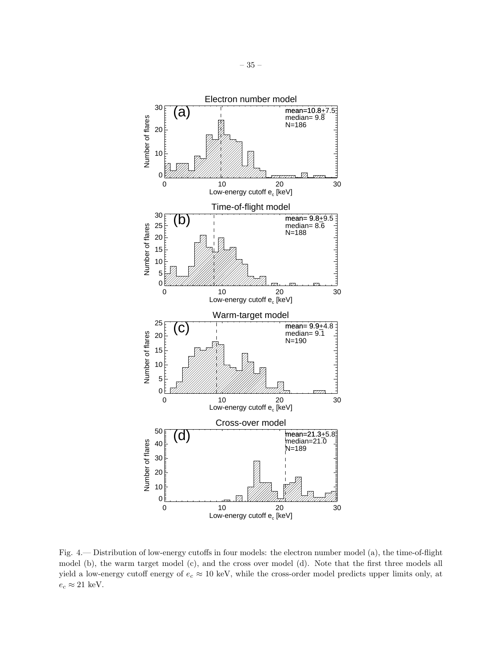

Fig. 4.— Distribution of low-energy cutoffs in four models: the electron number model (a), the time-of-flight model (b), the warm target model (c), and the cross over model (d). Note that the first three models all yield a low-energy cutoff energy of  $e_c \approx 10$  keV, while the cross-order model predicts upper limits only, at  $e_c \approx 21$  keV.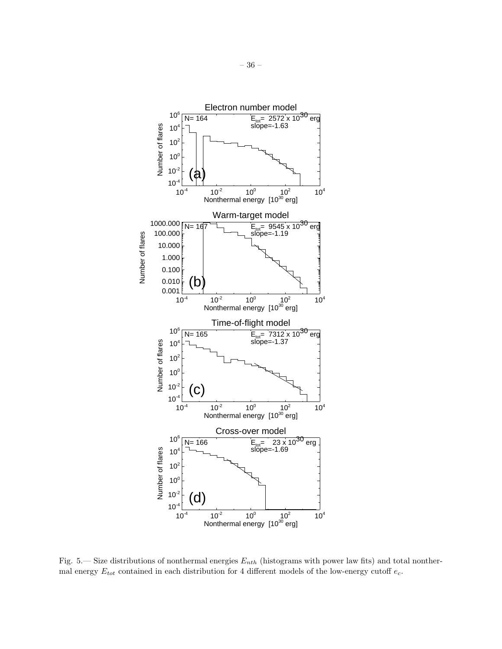

Fig. 5.— Size distributions of nonthermal energies  $E_{nth}$  (histograms with power law fits) and total nonthermal energy  $E_{tot}$  contained in each distribution for 4 different models of the low-energy cutoff  $e_c$ .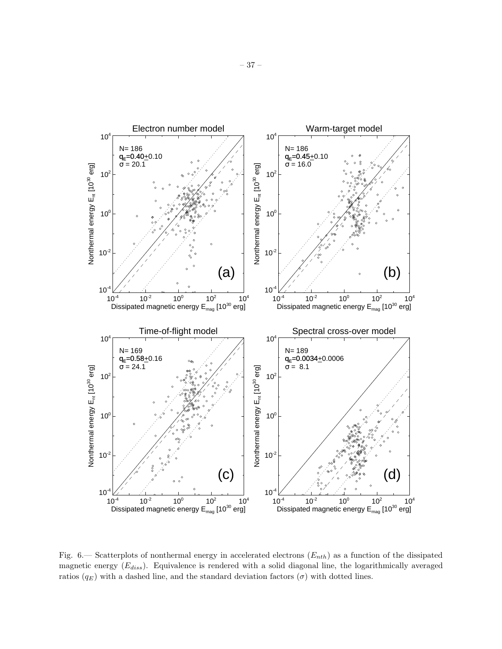

Fig. 6.— Scatterplots of nonthermal energy in accelerated electrons  $(E_{nth})$  as a function of the dissipated magnetic energy  $(E_{diss})$ . Equivalence is rendered with a solid diagonal line, the logarithmically averaged ratios  $(q_E)$  with a dashed line, and the standard deviation factors  $(\sigma)$  with dotted lines.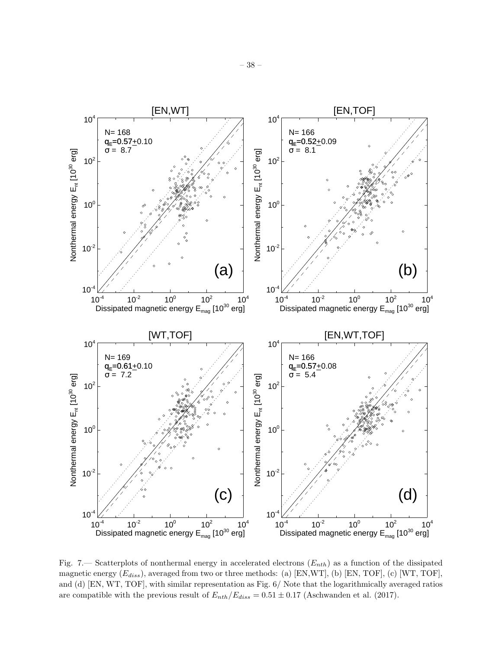

Fig. 7.— Scatterplots of nonthermal energy in accelerated electrons  $(E_{nth})$  as a function of the dissipated magnetic energy  $(E_{diss})$ , averaged from two or three methods: (a) [EN,WT], (b) [EN, TOF], (c) [WT, TOF], and (d) [EN, WT, TOF], with similar representation as Fig. 6/ Note that the logarithmically averaged ratios are compatible with the previous result of  $E_{nth}/E_{diss} = 0.51 \pm 0.17$  (Aschwanden et al. (2017).